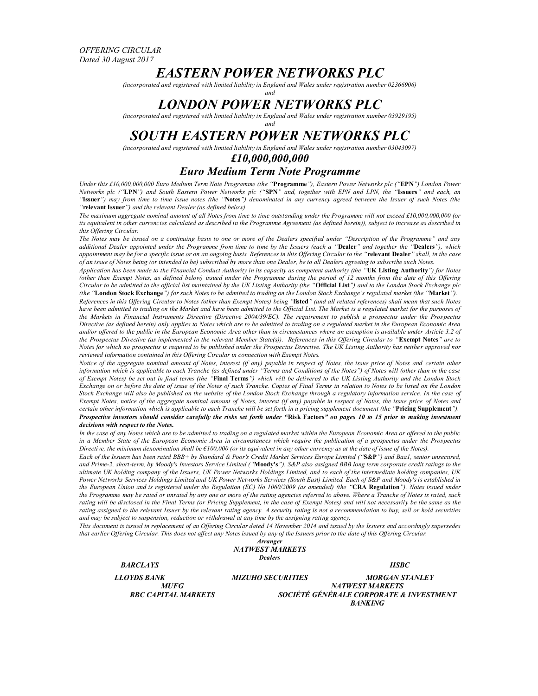*OFFERING CIRCULAR Dated 30 August 2017*

# *EASTERN POWER NETWORKS PLC*

*(incorporated and registered with limited liability in England and Wales under registration number 02366906) and*

# *LONDON POWER NETWORKS PLC*

*(incorporated and registered with limited liability in England and Wales under registration number 03929195) and*

# *SOUTH EASTERN POWER NETWORKS PLC*

*(incorporated and registered with limited liability in England and Wales under registration number 03043097)*

# *£10,000,000,000*

# *Euro Medium Term Note Programme*

*Under this £10,000,000,000 Euro Medium Term Note Programme (the "***Programme***"), Eastern Power Networks plc ("***EPN***") London Power Networks plc ("***LPN***") and South Eastern Power Networks plc ("***SPN***" and, together with EPN and LPN, the "***Issuers***" and each, an "***Issuer***") may from time to time issue notes (the "***Notes***") denominated in any currency agreed between the Issuer of such Notes (the "***relevant Issuer***") and the relevant Dealer (as defined below).*

*The maximum aggregate nominal amount of all Notes from time to time outstanding under the Programme will not exceed £10,000,000,000 (or*  its equivalent in other currencies calculated as described in the Programme Agreement (as defined herein)), subject to increase as described in *this Offering Circular.*

*The Notes may be issued on a continuing basis to one or more of the Dealers specified under "Description of the Programme" and any additional Dealer appointed under the Programme from time to time by the Issuers (each a "***Dealer***" and together the "***Dealers***"), which appointment may be for a specific issue or on an ongoing basis. References in this Offering Circular to the "***relevant Dealer***" shall, in the case of an issue of Notes being (or intended to be) subscribed by more than one Dealer, be to all Dealers agreeing to subscribe such Notes.*

*Application has been made to the Financial Conduct Authority in its capacity as competent authority (the "***UK Listing Authority***") for Notes (other than Exempt Notes, as defined below) issued under the Programme during the period of 12 months from the date of this Offering Circular to be admitted to the official list maintained by the UK Listing Authority (the "***Official List***") and to the London Stock Exchange plc (the "***London Stock Exchange***") for such Notes to be admitted to trading on the London Stock Exchange's regulated market (the "***Market***").*

*References in this Offering Circular to Notes (other than Exempt Notes) being "***listed***" (and all related references) shall mean that such Notes have been admitted to trading on the Market and have been admitted to the Official List. The Market is a regulated market for the purposes of the Markets in Financial Instruments Directive (Directive 2004/39/EC). The requirement to publish a prospectus under the Prospectus Directive (as defined herein) only applies to Notes which are to be admitted to trading on a regulated market in the European Economic Area and/or offered to the public in the European Economic Area other than in circumstances where an exemption is available under Article 3.2 of the Prospectus Directive (as implemented in the relevant Member State(s)). References in this Offering Circular to "***Exempt Notes***" are to Notes for which no prospectus is required to be published under the Prospectus Directive. The UK Listing Authority has neithe r approved nor reviewed information contained in this Offering Circular in connection with Exempt Notes.*

*Notice of the aggregate nominal amount of Notes, interest (if any) payable in respect of Notes, the issue price of Notes and certain other information which is applicable to each Tranche (as defined under "Terms and Conditions of the Notes") of Notes will (other than in the case of Exempt Notes) be set out in final terms (the "***Final Terms***") which will be delivered to the UK Listing Authority and the London Stock Exchange on or before the date of issue of the Notes of such Tranche. Copies of Final Terms in relation to Notes to be listed on the London Stock Exchange will also be published on the website of the London Stock Exchange through a regulatory information service. In the case of Exempt Notes, notice of the aggregate nominal amount of Notes, interest (if any) payable in respect of Notes, the issue price of Notes and certain other information which is applicable to each Tranche will be set forth in a pricing supplement document (the "***Pricing Supplement***"). Prospective investors should consider carefully the risks set forth under "***Risk Factors***" on pages 10 to 15 prior to making investment decisions with respect to the Notes.*

*In the case of any Notes which are to be admitted to trading on a regulated market within the European Economic Area or offered to the public*  in a Member State of the European Economic Area in circumstances which require the publication of a prospectus under the Prospectus *Directive, the minimum denomination shall be €100,000 (or its equivalent in any other currency as at the date of issue of the Notes).*

*Each of the Issuers has been rated BBB+ by Standard & Poor's Credit Market Services Europe Limited ("***S&P***") and Baa1, senior unsecured, and Prime-2, short-term, by Moody's Investors Service Limited ("***Moody's***"). S&P also assigned BBB long term corporate credit ratings to the ultimate UK holding company of the Issuers, UK Power Networks Holdings Limited, and to each of the intermediate holding companies, UK Power Networks Services Holdings Limited and UK Power Networks Services (South East) Limited. Each of S&P and Moody's is established in the European Union and is registered under the Regulation (EC) No 1060/2009 (as amended) (the "***CRA Regulation***"). Notes issued under the Programme may be rated or unrated by any one or more of the rating agencies referred to above. Where a Tranche of Notes is rated, such*  rating will be disclosed in the Final Terms (or Pricing Supplement, in the case of Exempt Notes) and will not necessarily be the same as the *rating assigned to the relevant Issuer by the relevant rating agency. A security rating is not a recommendation to buy, sell or hold securities and may be subject to suspension, reduction or withdrawal at any time by the assigning rating agency.* 

*This document is issued in replacement of an Offering Circular dated 14 November 2014 and issued by the Issuers and accordingly supersedes that earlier Offering Circular. This does not affect any Notes issued by any of the Issuers prior to the date of this Offering Circular.*

*Arranger NATWEST MARKETS Dealers*

*BARCLAYS HSBC*

*LLOYDS BANK MIZUHO SECURITIES MORGAN STANLEY MUFG NATWEST MARKETS RBC CAPITAL MARKETS SOCIÉTÉ GÉNÉRALE CORPORATE & INVESTMENT BANKING*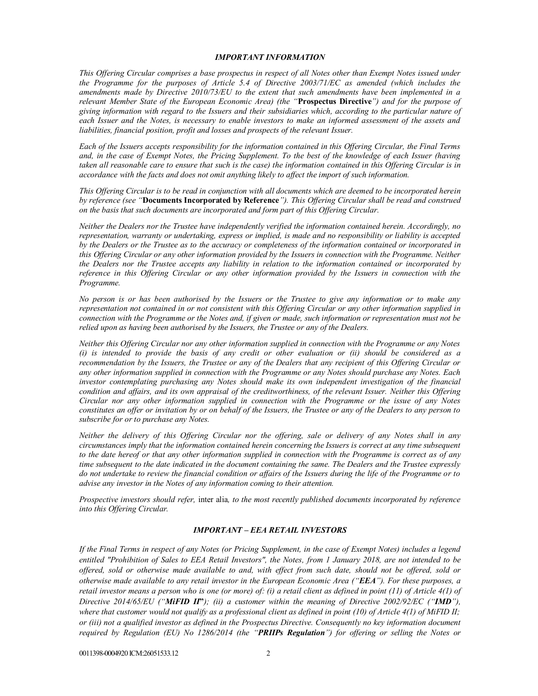# *IMPORTANT INFORMATION*

*This Offering Circular comprises a base prospectus in respect of all Notes other than Exempt Notes issued under the Programme for the purposes of Article 5.4 of Directive 2003/71/EC as amended (which includes the amendments made by Directive 2010/73/EU to the extent that such amendments have been implemented in a relevant Member State of the European Economic Area) (the "***Prospectus Directive***") and for the purpose of giving information with regard to the Issuers and their subsidiaries which, according to the particular nature of each Issuer and the Notes, is necessary to enable investors to make an informed assessment of the assets and liabilities, financial position, profit and losses and prospects of the relevant Issuer.*

*Each of the Issuers accepts responsibility for the information contained in this Offering Circular, the Final Terms and, in the case of Exempt Notes, the Pricing Supplement. To the best of the knowledge of each Issuer (having taken all reasonable care to ensure that such is the case) the information contained in this Offering Circular is in accordance with the facts and does not omit anything likely to affect the import of such information.*

*This Offering Circular is to be read in conjunction with all documents which are deemed to be incorporated herein by reference (see "***Documents Incorporated by Reference***"). This Offering Circular shall be read and construed on the basis that such documents are incorporated and form part of this Offering Circular.*

*Neither the Dealers nor the Trustee have independently verified the information contained herein. Accordingly, no representation, warranty or undertaking, express or implied, is made and no responsibility or liability is accepted by the Dealers or the Trustee as to the accuracy or completeness of the information contained or incorporated in this Offering Circular or any other information provided by the Issuers in connection with the Programme. Neither the Dealers nor the Trustee accepts any liability in relation to the information contained or incorporated by reference in this Offering Circular or any other information provided by the Issuers in connection with the Programme.*

*No person is or has been authorised by the Issuers or the Trustee to give any information or to make any representation not contained in or not consistent with this Offering Circular or any other information supplied in connection with the Programme or the Notes and, if given or made, such information or representation must not be relied upon as having been authorised by the Issuers, the Trustee or any of the Dealers.*

*Neither this Offering Circular nor any other information supplied in connection with the Programme or any Notes (i) is intended to provide the basis of any credit or other evaluation or (ii) should be considered as a recommendation by the Issuers, the Trustee or any of the Dealers that any recipient of this Offering Circular or any other information supplied in connection with the Programme or any Notes should purchase any Notes. Each investor contemplating purchasing any Notes should make its own independent investigation of the financial condition and affairs, and its own appraisal of the creditworthiness, of the relevant Issuer. Neither this Offering Circular nor any other information supplied in connection with the Programme or the issue of any Notes constitutes an offer or invitation by or on behalf of the Issuers, the Trustee or any of the Dealers to any person to subscribe for or to purchase any Notes.*

*Neither the delivery of this Offering Circular nor the offering, sale or delivery of any Notes shall in any circumstances imply that the information contained herein concerning the Issuers is correct at any time subsequent to the date hereof or that any other information supplied in connection with the Programme is correct as of any time subsequent to the date indicated in the document containing the same. The Dealers and the Trustee expressly do not undertake to review the financial condition or affairs of the Issuers during the life of the Programme or to advise any investor in the Notes of any information coming to their attention.*

*Prospective investors should refer,* inter alia*, to the most recently published documents incorporated by reference into this Offering Circular.*

# *IMPORTANT – EEA RETAIL INVESTORS*

*If the Final Terms in respect of any Notes (or Pricing Supplement, in the case of Exempt Notes) includes a legend entitled "Prohibition of Sales to EEA Retail Investors", the Notes, from 1 January 2018, are not intended to be offered, sold or otherwise made available to and, with effect from such date, should not be offered, sold or otherwise made available to any retail investor in the European Economic Area ("EEA"). For these purposes, a retail investor means a person who is one (or more) of: (i) a retail client as defined in point (11) of Article 4(1) of Directive 2014/65/EU ("MiFID II***"***); (ii) a customer within the meaning of Directive 2002/92/EC ("IMD"), where that customer would not qualify as a professional client as defined in point (10) of Article 4(1) of MiFID II; or (iii) not a qualified investor as defined in the Prospectus Directive. Consequently no key information document required by Regulation (EU) No 1286/2014 (the "PRIIPs Regulation") for offering or selling the Notes or*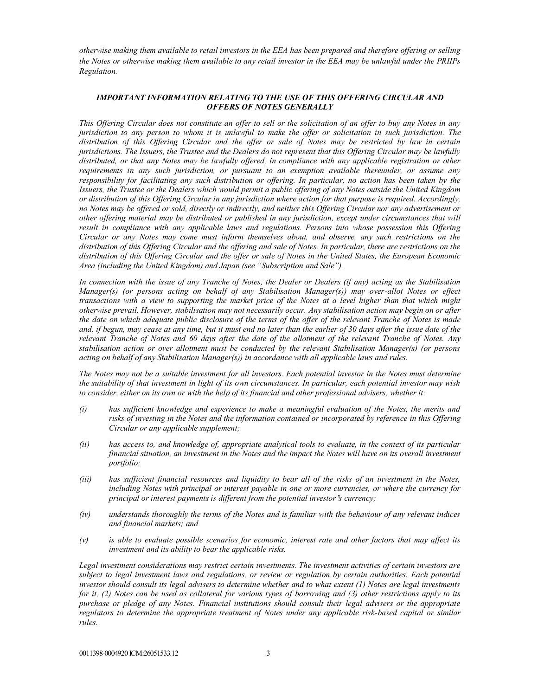*otherwise making them available to retail investors in the EEA has been prepared and therefore offering or selling the Notes or otherwise making them available to any retail investor in the EEA may be unlawful under the PRIIPs Regulation.*

# *IMPORTANT INFORMATION RELATING TO THE USE OF THIS OFFERING CIRCULAR AND OFFERS OF NOTES GENERALLY*

*This Offering Circular does not constitute an offer to sell or the solicitation of an offer to buy any Notes in any jurisdiction to any person to whom it is unlawful to make the offer or solicitation in such jurisdiction. The distribution of this Offering Circular and the offer or sale of Notes may be restricted by law in certain jurisdictions. The Issuers, the Trustee and the Dealers do not represent that this Offering Circular may be lawfully distributed, or that any Notes may be lawfully offered, in compliance with any applicable registration or other requirements in any such jurisdiction, or pursuant to an exemption available thereunder, or assume any responsibility for facilitating any such distribution or offering. In particular, no action has been taken by the Issuers, the Trustee or the Dealers which would permit a public offering of any Notes outside the United Kingdom or distribution of this Offering Circular in any jurisdiction where action for that purpose is required. Accordingly, no Notes may be offered or sold, directly or indirectly, and neither this Offering Circular nor any advertisement or other offering material may be distributed or published in any jurisdiction, except under circumstances that will result in compliance with any applicable laws and regulations. Persons into whose possession this Offering Circular or any Notes may come must inform themselves about, and observe, any such restrictions on the distribution of this Offering Circular and the offering and sale of Notes. In particular, there are restrictions on the distribution of this Offering Circular and the offer or sale of Notes in the United States, the European Economic Area (including the United Kingdom) and Japan (see "Subscription and Sale").*

*In connection with the issue of any Tranche of Notes, the Dealer or Dealers (if any) acting as the Stabilisation Manager(s) (or persons acting on behalf of any Stabilisation Manager(s)) may over-allot Notes or effect transactions with a view to supporting the market price of the Notes at a level higher than that which might otherwise prevail. However, stabilisation may not necessarily occur. Any stabilisation action may begin on or after the date on which adequate public disclosure of the terms of the offer of the relevant Tranche of Notes is made and, if begun, may cease at any time, but it must end no later than the earlier of 30 days after the issue date of the relevant Tranche of Notes and 60 days after the date of the allotment of the relevant Tranche of Notes. Any stabilisation action or over allotment must be conducted by the relevant Stabilisation Manager(s) (or persons acting on behalf of any Stabilisation Manager(s)) in accordance with all applicable laws and rules.*

*The Notes may not be a suitable investment for all investors. Each potential investor in the Notes must determine the suitability of that investment in light of its own circumstances. In particular, each potential investor may wish to consider, either on its own or with the help of its financial and other professional advisers, whether it:*

- *(i) has sufficient knowledge and experience to make a meaningful evaluation of the Notes, the merits and risks of investing in the Notes and the information contained or incorporated by reference in this Offering Circular or any applicable supplement;*
- *(ii) has access to, and knowledge of, appropriate analytical tools to evaluate, in the context of its particular financial situation, an investment in the Notes and the impact the Notes will have on its overall investment portfolio;*
- *(iii) has sufficient financial resources and liquidity to bear all of the risks of an investment in the Notes, including Notes with principal or interest payable in one or more currencies, or where the currency for principal or interest payments is different from the potential investor***'***s currency;*
- *(iv) understands thoroughly the terms of the Notes and is familiar with the behaviour of any relevant indices and financial markets; and*
- *(v) is able to evaluate possible scenarios for economic, interest rate and other factors that may affect its investment and its ability to bear the applicable risks.*

*Legal investment considerations may restrict certain investments. The investment activities of certain investors are subject to legal investment laws and regulations, or review or regulation by certain authorities. Each potential investor should consult its legal advisers to determine whether and to what extent (1) Notes are legal investments for it, (2) Notes can be used as collateral for various types of borrowing and (3) other restrictions apply to its purchase or pledge of any Notes. Financial institutions should consult their legal advisers or the appropriate regulators to determine the appropriate treatment of Notes under any applicable risk-based capital or similar rules.*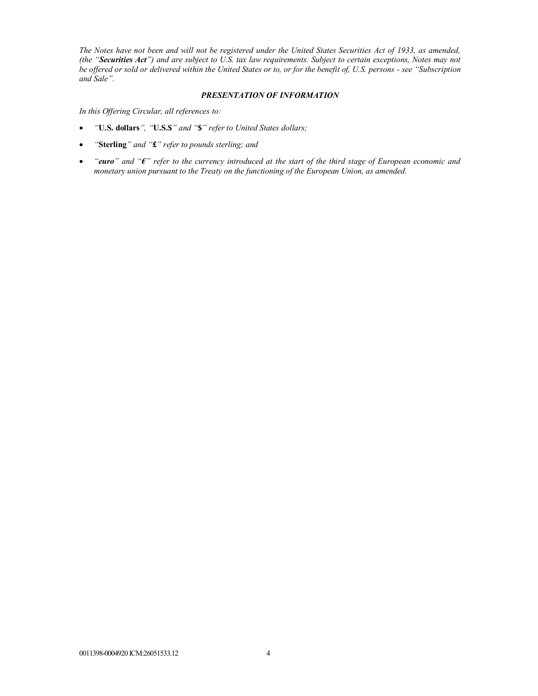*The Notes have not been and will not be registered under the United States Securities Act of 1933, as amended, (the "Securities Act") and are subject to U.S. tax law requirements. Subject to certain exceptions, Notes may not be offered or sold or delivered within the United States or to, or for the benefit of, U.S. persons - see "Subscription and Sale".*

## *PRESENTATION OF INFORMATION*

*In this Offering Circular, all references to:*

- *"***U.S. dollars***", "***U.S.\$***" and "***\$***" refer to United States dollars;*
- *"***Sterling***" and "***£***" refer to pounds sterling; and*
- *"euro" and "€" refer to the currency introduced at the start of the third stage of European economic and monetary union pursuant to the Treaty on the functioning of the European Union, as amended.*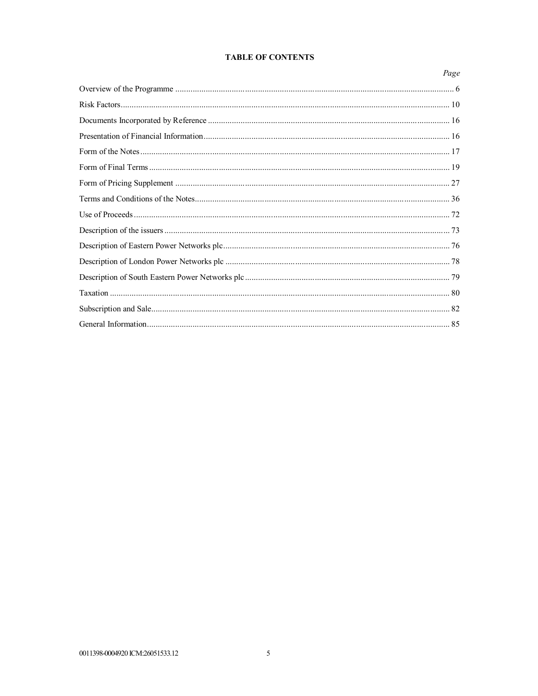# **TABLE OF CONTENTS**

| Page |
|------|
|      |
|      |
|      |
|      |
|      |
|      |
|      |
|      |
|      |
|      |
|      |
|      |
|      |
|      |
|      |
|      |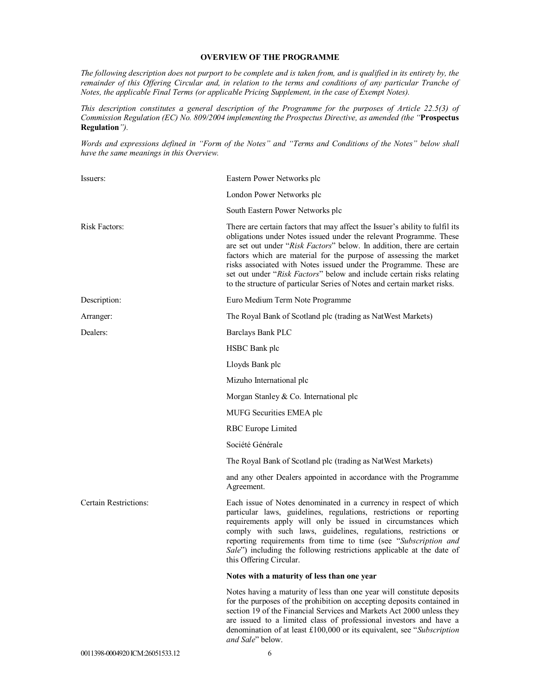# **OVERVIEW OF THE PROGRAMME**

*The following description does not purport to be complete and is taken from, and is qualified in its entirety by, the*  remainder of this Offering Circular and, in relation to the terms and conditions of any particular Tranche of *Notes, the applicable Final Terms (or applicable Pricing Supplement, in the case of Exempt Notes).*

*This description constitutes a general description of the Programme for the purposes of Article 22.5(3) of Commission Regulation (EC) No. 809/2004 implementing the Prospectus Directive, as amended (the "***Prospectus Regulation***").*

*Words and expressions defined in "Form of the Notes" and "Terms and Conditions of the Notes" below shall have the same meanings in this Overview.*

| Issuers:              | Eastern Power Networks plc                                                                                                                                                                                                                                                                                                                                                                                                                                                                                                   |  |  |
|-----------------------|------------------------------------------------------------------------------------------------------------------------------------------------------------------------------------------------------------------------------------------------------------------------------------------------------------------------------------------------------------------------------------------------------------------------------------------------------------------------------------------------------------------------------|--|--|
|                       | London Power Networks plc                                                                                                                                                                                                                                                                                                                                                                                                                                                                                                    |  |  |
|                       | South Eastern Power Networks plc                                                                                                                                                                                                                                                                                                                                                                                                                                                                                             |  |  |
| Risk Factors:         | There are certain factors that may affect the Issuer's ability to fulfil its<br>obligations under Notes issued under the relevant Programme. These<br>are set out under "Risk Factors" below. In addition, there are certain<br>factors which are material for the purpose of assessing the market<br>risks associated with Notes issued under the Programme. These are<br>set out under "Risk Factors" below and include certain risks relating<br>to the structure of particular Series of Notes and certain market risks. |  |  |
| Description:          | Euro Medium Term Note Programme                                                                                                                                                                                                                                                                                                                                                                                                                                                                                              |  |  |
| Arranger:             | The Royal Bank of Scotland plc (trading as NatWest Markets)                                                                                                                                                                                                                                                                                                                                                                                                                                                                  |  |  |
| Dealers:              | Barclays Bank PLC                                                                                                                                                                                                                                                                                                                                                                                                                                                                                                            |  |  |
|                       | HSBC Bank plc                                                                                                                                                                                                                                                                                                                                                                                                                                                                                                                |  |  |
|                       | Lloyds Bank plc                                                                                                                                                                                                                                                                                                                                                                                                                                                                                                              |  |  |
|                       | Mizuho International plc                                                                                                                                                                                                                                                                                                                                                                                                                                                                                                     |  |  |
|                       | Morgan Stanley & Co. International plc                                                                                                                                                                                                                                                                                                                                                                                                                                                                                       |  |  |
|                       | MUFG Securities EMEA plc                                                                                                                                                                                                                                                                                                                                                                                                                                                                                                     |  |  |
|                       | RBC Europe Limited                                                                                                                                                                                                                                                                                                                                                                                                                                                                                                           |  |  |
|                       | Société Générale                                                                                                                                                                                                                                                                                                                                                                                                                                                                                                             |  |  |
|                       | The Royal Bank of Scotland plc (trading as NatWest Markets)                                                                                                                                                                                                                                                                                                                                                                                                                                                                  |  |  |
|                       | and any other Dealers appointed in accordance with the Programme<br>Agreement.                                                                                                                                                                                                                                                                                                                                                                                                                                               |  |  |
| Certain Restrictions: | Each issue of Notes denominated in a currency in respect of which<br>particular laws, guidelines, regulations, restrictions or reporting<br>requirements apply will only be issued in circumstances which<br>comply with such laws, guidelines, regulations, restrictions or<br>reporting requirements from time to time (see "Subscription and<br>Sale") including the following restrictions applicable at the date of<br>this Offering Circular.                                                                          |  |  |
|                       | Notes with a maturity of less than one year                                                                                                                                                                                                                                                                                                                                                                                                                                                                                  |  |  |
|                       | Notes having a maturity of less than one year will constitute deposits<br>for the purposes of the prohibition on accepting deposits contained in<br>section 19 of the Financial Services and Markets Act 2000 unless they<br>are issued to a limited class of professional investors and have a<br>denomination of at least £100,000 or its equivalent, see "Subscription<br>and Sale" below.                                                                                                                                |  |  |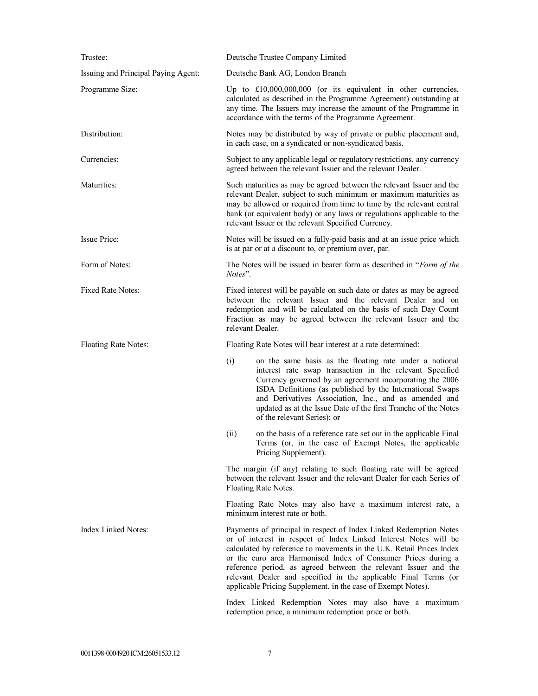| Trustee:                            | Deutsche Trustee Company Limited                                                                                                                                                                                                                                                                                                                                                                                                                                                     |
|-------------------------------------|--------------------------------------------------------------------------------------------------------------------------------------------------------------------------------------------------------------------------------------------------------------------------------------------------------------------------------------------------------------------------------------------------------------------------------------------------------------------------------------|
| Issuing and Principal Paying Agent: | Deutsche Bank AG, London Branch                                                                                                                                                                                                                                                                                                                                                                                                                                                      |
| Programme Size:                     | Up to $£10,000,000,000$ (or its equivalent in other currencies,<br>calculated as described in the Programme Agreement) outstanding at<br>any time. The Issuers may increase the amount of the Programme in<br>accordance with the terms of the Programme Agreement.                                                                                                                                                                                                                  |
| Distribution:                       | Notes may be distributed by way of private or public placement and,<br>in each case, on a syndicated or non-syndicated basis.                                                                                                                                                                                                                                                                                                                                                        |
| Currencies:                         | Subject to any applicable legal or regulatory restrictions, any currency<br>agreed between the relevant Issuer and the relevant Dealer.                                                                                                                                                                                                                                                                                                                                              |
| Maturities:                         | Such maturities as may be agreed between the relevant Issuer and the<br>relevant Dealer, subject to such minimum or maximum maturities as<br>may be allowed or required from time to time by the relevant central<br>bank (or equivalent body) or any laws or regulations applicable to the<br>relevant Issuer or the relevant Specified Currency.                                                                                                                                   |
| Issue Price:                        | Notes will be issued on a fully-paid basis and at an issue price which<br>is at par or at a discount to, or premium over, par.                                                                                                                                                                                                                                                                                                                                                       |
| Form of Notes:                      | The Notes will be issued in bearer form as described in "Form of the<br>Notes".                                                                                                                                                                                                                                                                                                                                                                                                      |
| Fixed Rate Notes:                   | Fixed interest will be payable on such date or dates as may be agreed<br>between the relevant Issuer and the relevant Dealer and on<br>redemption and will be calculated on the basis of such Day Count<br>Fraction as may be agreed between the relevant Issuer and the<br>relevant Dealer.                                                                                                                                                                                         |
| Floating Rate Notes:                | Floating Rate Notes will bear interest at a rate determined:                                                                                                                                                                                                                                                                                                                                                                                                                         |
|                                     | on the same basis as the floating rate under a notional<br>(i)<br>interest rate swap transaction in the relevant Specified<br>Currency governed by an agreement incorporating the 2006<br>ISDA Definitions (as published by the International Swaps<br>and Derivatives Association, Inc., and as amended and<br>updated as at the Issue Date of the first Tranche of the Notes<br>of the relevant Series); or                                                                        |
|                                     | on the basis of a reference rate set out in the applicable Final<br>(ii)<br>Terms (or, in the case of Exempt Notes, the applicable<br>Pricing Supplement).                                                                                                                                                                                                                                                                                                                           |
|                                     | The margin (if any) relating to such floating rate will be agreed<br>between the relevant Issuer and the relevant Dealer for each Series of<br>Floating Rate Notes.                                                                                                                                                                                                                                                                                                                  |
|                                     | Floating Rate Notes may also have a maximum interest rate, a<br>minimum interest rate or both.                                                                                                                                                                                                                                                                                                                                                                                       |
| Index Linked Notes:                 | Payments of principal in respect of Index Linked Redemption Notes<br>or of interest in respect of Index Linked Interest Notes will be<br>calculated by reference to movements in the U.K. Retail Prices Index<br>or the euro area Harmonised Index of Consumer Prices during a<br>reference period, as agreed between the relevant Issuer and the<br>relevant Dealer and specified in the applicable Final Terms (or<br>applicable Pricing Supplement, in the case of Exempt Notes). |
|                                     | Index Linked Redemption Notes may also have a maximum<br>redemption price, a minimum redemption price or both.                                                                                                                                                                                                                                                                                                                                                                       |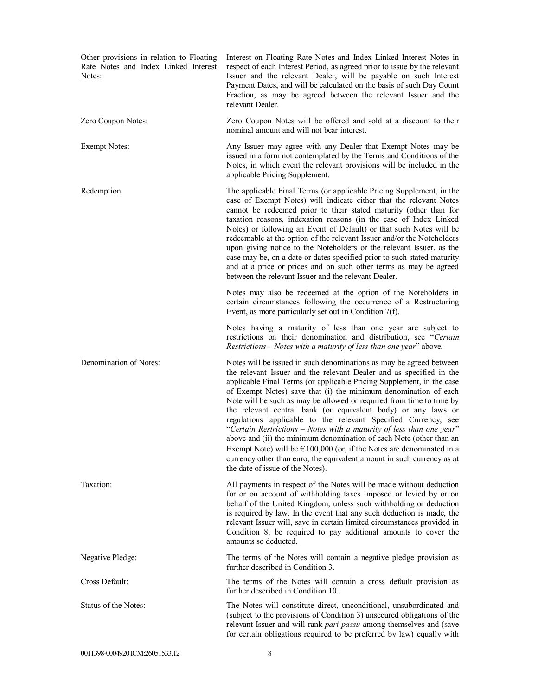| Other provisions in relation to Floating<br>Rate Notes and Index Linked Interest<br>Notes: | Interest on Floating Rate Notes and Index Linked Interest Notes in<br>respect of each Interest Period, as agreed prior to issue by the relevant<br>Issuer and the relevant Dealer, will be payable on such Interest<br>Payment Dates, and will be calculated on the basis of such Day Count<br>Fraction, as may be agreed between the relevant Issuer and the<br>relevant Dealer.                                                                                                                                                                                                                                                                                                                                                                                                                                                           |
|--------------------------------------------------------------------------------------------|---------------------------------------------------------------------------------------------------------------------------------------------------------------------------------------------------------------------------------------------------------------------------------------------------------------------------------------------------------------------------------------------------------------------------------------------------------------------------------------------------------------------------------------------------------------------------------------------------------------------------------------------------------------------------------------------------------------------------------------------------------------------------------------------------------------------------------------------|
| Zero Coupon Notes:                                                                         | Zero Coupon Notes will be offered and sold at a discount to their<br>nominal amount and will not bear interest.                                                                                                                                                                                                                                                                                                                                                                                                                                                                                                                                                                                                                                                                                                                             |
| <b>Exempt Notes:</b>                                                                       | Any Issuer may agree with any Dealer that Exempt Notes may be<br>issued in a form not contemplated by the Terms and Conditions of the<br>Notes, in which event the relevant provisions will be included in the<br>applicable Pricing Supplement.                                                                                                                                                                                                                                                                                                                                                                                                                                                                                                                                                                                            |
| Redemption:                                                                                | The applicable Final Terms (or applicable Pricing Supplement, in the<br>case of Exempt Notes) will indicate either that the relevant Notes<br>cannot be redeemed prior to their stated maturity (other than for<br>taxation reasons, indexation reasons (in the case of Index Linked<br>Notes) or following an Event of Default) or that such Notes will be<br>redeemable at the option of the relevant Issuer and/or the Noteholders<br>upon giving notice to the Noteholders or the relevant Issuer, as the<br>case may be, on a date or dates specified prior to such stated maturity<br>and at a price or prices and on such other terms as may be agreed<br>between the relevant Issuer and the relevant Dealer.                                                                                                                       |
|                                                                                            | Notes may also be redeemed at the option of the Noteholders in<br>certain circumstances following the occurrence of a Restructuring<br>Event, as more particularly set out in Condition $7(f)$ .                                                                                                                                                                                                                                                                                                                                                                                                                                                                                                                                                                                                                                            |
|                                                                                            | Notes having a maturity of less than one year are subject to<br>restrictions on their denomination and distribution, see "Certain<br>Restrictions – Notes with a maturity of less than one year" above.                                                                                                                                                                                                                                                                                                                                                                                                                                                                                                                                                                                                                                     |
| Denomination of Notes:                                                                     | Notes will be issued in such denominations as may be agreed between<br>the relevant Issuer and the relevant Dealer and as specified in the<br>applicable Final Terms (or applicable Pricing Supplement, in the case<br>of Exempt Notes) save that (i) the minimum denomination of each<br>Note will be such as may be allowed or required from time to time by<br>the relevant central bank (or equivalent body) or any laws or<br>regulations applicable to the relevant Specified Currency, see<br>"Certain Restrictions – Notes with a maturity of less than one year"<br>above and (ii) the minimum denomination of each Note (other than an<br>Exempt Note) will be $\in$ 100,000 (or, if the Notes are denominated in a<br>currency other than euro, the equivalent amount in such currency as at<br>the date of issue of the Notes). |
| Taxation:                                                                                  | All payments in respect of the Notes will be made without deduction<br>for or on account of withholding taxes imposed or levied by or on<br>behalf of the United Kingdom, unless such withholding or deduction<br>is required by law. In the event that any such deduction is made, the<br>relevant Issuer will, save in certain limited circumstances provided in<br>Condition 8, be required to pay additional amounts to cover the<br>amounts so deducted.                                                                                                                                                                                                                                                                                                                                                                               |
| Negative Pledge:                                                                           | The terms of the Notes will contain a negative pledge provision as<br>further described in Condition 3.                                                                                                                                                                                                                                                                                                                                                                                                                                                                                                                                                                                                                                                                                                                                     |
| Cross Default:                                                                             | The terms of the Notes will contain a cross default provision as<br>further described in Condition 10.                                                                                                                                                                                                                                                                                                                                                                                                                                                                                                                                                                                                                                                                                                                                      |
| Status of the Notes:                                                                       | The Notes will constitute direct, unconditional, unsubordinated and<br>(subject to the provisions of Condition 3) unsecured obligations of the<br>relevant Issuer and will rank pari passu among themselves and (save<br>for certain obligations required to be preferred by law) equally with                                                                                                                                                                                                                                                                                                                                                                                                                                                                                                                                              |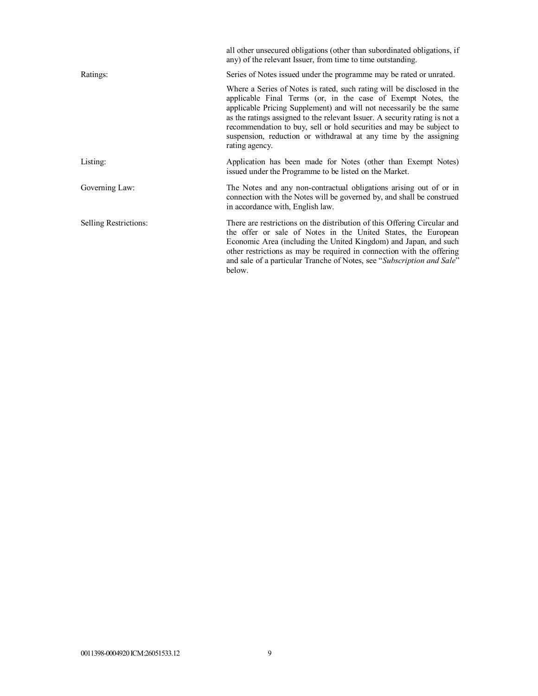|                              | all other unsecured obligations (other than subordinated obligations, if<br>any) of the relevant Issuer, from time to time outstanding.                                                                                                                                                                                                                                                                                                                   |
|------------------------------|-----------------------------------------------------------------------------------------------------------------------------------------------------------------------------------------------------------------------------------------------------------------------------------------------------------------------------------------------------------------------------------------------------------------------------------------------------------|
| Ratings:                     | Series of Notes issued under the programme may be rated or unrated.                                                                                                                                                                                                                                                                                                                                                                                       |
|                              | Where a Series of Notes is rated, such rating will be disclosed in the<br>applicable Final Terms (or, in the case of Exempt Notes, the<br>applicable Pricing Supplement) and will not necessarily be the same<br>as the ratings assigned to the relevant Issuer. A security rating is not a<br>recommendation to buy, sell or hold securities and may be subject to<br>suspension, reduction or withdrawal at any time by the assigning<br>rating agency. |
| Listing:                     | Application has been made for Notes (other than Exempt Notes)<br>issued under the Programme to be listed on the Market.                                                                                                                                                                                                                                                                                                                                   |
| Governing Law:               | The Notes and any non-contractual obligations arising out of or in<br>connection with the Notes will be governed by, and shall be construed<br>in accordance with, English law.                                                                                                                                                                                                                                                                           |
| <b>Selling Restrictions:</b> | There are restrictions on the distribution of this Offering Circular and<br>the offer or sale of Notes in the United States, the European<br>Economic Area (including the United Kingdom) and Japan, and such<br>other restrictions as may be required in connection with the offering<br>and sale of a particular Tranche of Notes, see "Subscription and Sale"<br>below.                                                                                |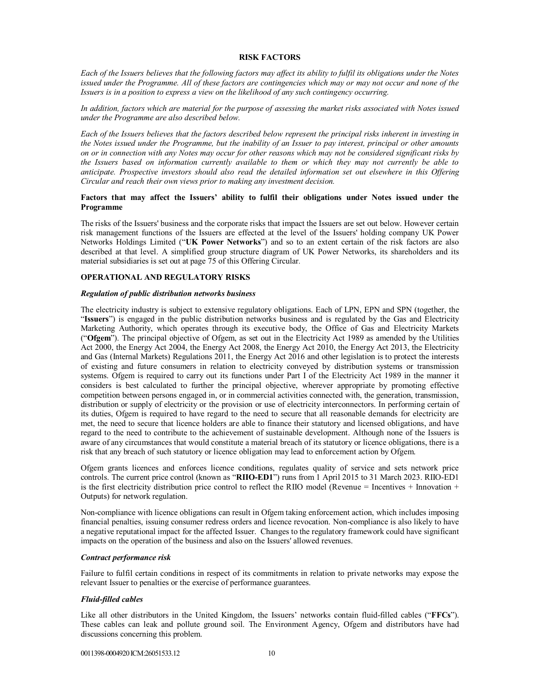# **RISK FACTORS**

*Each of the Issuers believes that the following factors may affect its ability to fulfil its obligations under the Notes issued under the Programme. All of these factors are contingencies which may or may not occur and none of the Issuers is in a position to express a view on the likelihood of any such contingency occurring.* 

*In addition, factors which are material for the purpose of assessing the market risks associated with Notes issued under the Programme are also described below.*

*Each of the Issuers believes that the factors described below represent the principal risks inherent in investing in the Notes issued under the Programme, but the inability of an Issuer to pay interest, principal or other amounts on or in connection with any Notes may occur for other reasons which may not be considered significant risks by the Issuers based on information currently available to them or which they may not currently be able to anticipate. Prospective investors should also read the detailed information set out elsewhere in this Offering Circular and reach their own views prior to making any investment decision.*

# **Factors that may affect the Issuers' ability to fulfil their obligations under Notes issued under the Programme**

The risks of the Issuers' business and the corporate risks that impact the Issuers are set out below. However certain risk management functions of the Issuers are effected at the level of the Issuers' holding company UK Power Networks Holdings Limited ("**UK Power Networks**") and so to an extent certain of the risk factors are also described at that level. A simplified group structure diagram of UK Power Networks, its shareholders and its material subsidiaries is set out at page 75 of this Offering Circular*.*

## **OPERATIONAL AND REGULATORY RISKS**

## *Regulation of public distribution networks business*

The electricity industry is subject to extensive regulatory obligations. Each of LPN, EPN and SPN (together, the "**Issuers**") is engaged in the public distribution networks business and is regulated by the Gas and Electricity Marketing Authority, which operates through its executive body, the Office of Gas and Electricity Markets ("**Ofgem**"). The principal objective of Ofgem, as set out in the Electricity Act 1989 as amended by the Utilities Act 2000, the Energy Act 2004, the Energy Act 2008, the Energy Act 2010, the Energy Act 2013, the Electricity and Gas (Internal Markets) Regulations 2011, the Energy Act 2016 and other legislation is to protect the interests of existing and future consumers in relation to electricity conveyed by distribution systems or transmission systems. Ofgem is required to carry out its functions under Part I of the Electricity Act 1989 in the manner it considers is best calculated to further the principal objective, wherever appropriate by promoting effective competition between persons engaged in, or in commercial activities connected with, the generation, transmission, distribution or supply of electricity or the provision or use of electricity interconnectors. In performing certain of its duties, Ofgem is required to have regard to the need to secure that all reasonable demands for electricity are met, the need to secure that licence holders are able to finance their statutory and licensed obligations, and have regard to the need to contribute to the achievement of sustainable development. Although none of the Issuers is aware of any circumstances that would constitute a material breach of its statutory or licence obligations, there is a risk that any breach of such statutory or licence obligation may lead to enforcement action by Ofgem.

Ofgem grants licences and enforces licence conditions, regulates quality of service and sets network price controls. The current price control (known as "**RIIO-ED1**") runs from 1 April 2015 to 31 March 2023. RIIO-ED1 is the first electricity distribution price control to reflect the RIIO model (Revenue  $=$  Incentives  $+$  Innovation  $+$ Outputs) for network regulation.

Non-compliance with licence obligations can result in Ofgem taking enforcement action, which includes imposing financial penalties, issuing consumer redress orders and licence revocation. Non-compliance is also likely to have a negative reputational impact for the affected Issuer. Changes to the regulatory framework could have significant impacts on the operation of the business and also on the Issuers' allowed revenues.

#### *Contract performance risk*

Failure to fulfil certain conditions in respect of its commitments in relation to private networks may expose the relevant Issuer to penalties or the exercise of performance guarantees.

# *Fluid-filled cables*

Like all other distributors in the United Kingdom, the Issuers' networks contain fluid-filled cables ("**FFCs**"). These cables can leak and pollute ground soil. The Environment Agency, Ofgem and distributors have had discussions concerning this problem.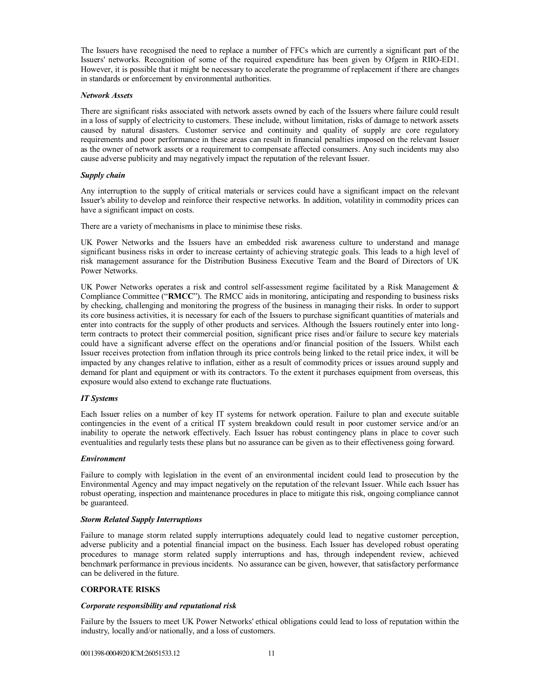The Issuers have recognised the need to replace a number of FFCs which are currently a significant part of the Issuers' networks. Recognition of some of the required expenditure has been given by Ofgem in RIIO-ED1. However, it is possible that it might be necessary to accelerate the programme of replacement if there are changes in standards or enforcement by environmental authorities.

## *Network Assets*

There are significant risks associated with network assets owned by each of the Issuers where failure could result in a loss of supply of electricity to customers. These include, without limitation, risks of damage to network assets caused by natural disasters. Customer service and continuity and quality of supply are core regulatory requirements and poor performance in these areas can result in financial penalties imposed on the relevant Issuer as the owner of network assets or a requirement to compensate affected consumers. Any such incidents may also cause adverse publicity and may negatively impact the reputation of the relevant Issuer.

# *Supply chain*

Any interruption to the supply of critical materials or services could have a significant impact on the relevant Issuer's ability to develop and reinforce their respective networks. In addition, volatility in commodity prices can have a significant impact on costs.

There are a variety of mechanisms in place to minimise these risks.

UK Power Networks and the Issuers have an embedded risk awareness culture to understand and manage significant business risks in order to increase certainty of achieving strategic goals. This leads to a high level of risk management assurance for the Distribution Business Executive Team and the Board of Directors of UK Power Networks.

UK Power Networks operates a risk and control self-assessment regime facilitated by a Risk Management & Compliance Committee ("**RMCC**"). The RMCC aids in monitoring, anticipating and responding to business risks by checking, challenging and monitoring the progress of the business in managing their risks. In order to support its core business activities, it is necessary for each of the Issuers to purchase significant quantities of materials and enter into contracts for the supply of other products and services. Although the Issuers routinely enter into longterm contracts to protect their commercial position, significant price rises and/or failure to secure key materials could have a significant adverse effect on the operations and/or financial position of the Issuers. Whilst each Issuer receives protection from inflation through its price controls being linked to the retail price index, it will be impacted by any changes relative to inflation, either as a result of commodity prices or issues around supply and demand for plant and equipment or with its contractors. To the extent it purchases equipment from overseas, this exposure would also extend to exchange rate fluctuations.

# *IT Systems*

Each Issuer relies on a number of key IT systems for network operation. Failure to plan and execute suitable contingencies in the event of a critical IT system breakdown could result in poor customer service and/or an inability to operate the network effectively. Each Issuer has robust contingency plans in place to cover such eventualities and regularly tests these plans but no assurance can be given as to their effectiveness going forward.

#### *Environment*

Failure to comply with legislation in the event of an environmental incident could lead to prosecution by the Environmental Agency and may impact negatively on the reputation of the relevant Issuer. While each Issuer has robust operating, inspection and maintenance procedures in place to mitigate this risk, ongoing compliance cannot be guaranteed.

# *Storm Related Supply Interruptions*

Failure to manage storm related supply interruptions adequately could lead to negative customer perception, adverse publicity and a potential financial impact on the business. Each Issuer has developed robust operating procedures to manage storm related supply interruptions and has, through independent review, achieved benchmark performance in previous incidents. No assurance can be given, however, that satisfactory performance can be delivered in the future.

# **CORPORATE RISKS**

# *Corporate responsibility and reputational risk*

Failure by the Issuers to meet UK Power Networks' ethical obligations could lead to loss of reputation within the industry, locally and/or nationally, and a loss of customers.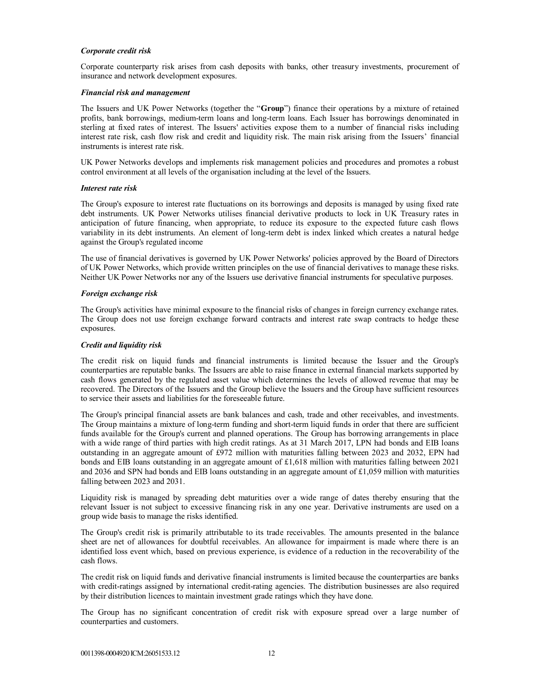# *Corporate credit risk*

Corporate counterparty risk arises from cash deposits with banks, other treasury investments, procurement of insurance and network development exposures.

#### *Financial risk and management*

The Issuers and UK Power Networks (together the "**Group**") finance their operations by a mixture of retained profits, bank borrowings, medium-term loans and long-term loans. Each Issuer has borrowings denominated in sterling at fixed rates of interest. The Issuers' activities expose them to a number of financial risks including interest rate risk, cash flow risk and credit and liquidity risk. The main risk arising from the Issuers' financial instruments is interest rate risk.

UK Power Networks develops and implements risk management policies and procedures and promotes a robust control environment at all levels of the organisation including at the level of the Issuers.

#### *Interest rate risk*

The Group's exposure to interest rate fluctuations on its borrowings and deposits is managed by using fixed rate debt instruments. UK Power Networks utilises financial derivative products to lock in UK Treasury rates in anticipation of future financing, when appropriate, to reduce its exposure to the expected future cash flows variability in its debt instruments. An element of long-term debt is index linked which creates a natural hedge against the Group's regulated income

The use of financial derivatives is governed by UK Power Networks' policies approved by the Board of Directors of UK Power Networks, which provide written principles on the use of financial derivatives to manage these risks. Neither UK Power Networks nor any of the Issuers use derivative financial instruments for speculative purposes.

## *Foreign exchange risk*

The Group's activities have minimal exposure to the financial risks of changes in foreign currency exchange rates. The Group does not use foreign exchange forward contracts and interest rate swap contracts to hedge these exposures.

# *Credit and liquidity risk*

The credit risk on liquid funds and financial instruments is limited because the Issuer and the Group's counterparties are reputable banks. The Issuers are able to raise finance in external financial markets supported by cash flows generated by the regulated asset value which determines the levels of allowed revenue that may be recovered. The Directors of the Issuers and the Group believe the Issuers and the Group have sufficient resources to service their assets and liabilities for the foreseeable future.

The Group's principal financial assets are bank balances and cash, trade and other receivables, and investments. The Group maintains a mixture of long-term funding and short-term liquid funds in order that there are sufficient funds available for the Group's current and planned operations. The Group has borrowing arrangements in place with a wide range of third parties with high credit ratings. As at 31 March 2017, LPN had bonds and EIB loans outstanding in an aggregate amount of £972 million with maturities falling between 2023 and 2032, EPN had bonds and EIB loans outstanding in an aggregate amount of £1,618 million with maturities falling between 2021 and 2036 and SPN had bonds and EIB loans outstanding in an aggregate amount of £1,059 million with maturities falling between 2023 and 2031.

Liquidity risk is managed by spreading debt maturities over a wide range of dates thereby ensuring that the relevant Issuer is not subject to excessive financing risk in any one year. Derivative instruments are used on a group wide basis to manage the risks identified.

The Group's credit risk is primarily attributable to its trade receivables. The amounts presented in the balance sheet are net of allowances for doubtful receivables. An allowance for impairment is made where there is an identified loss event which, based on previous experience, is evidence of a reduction in the recoverability of the cash flows.

The credit risk on liquid funds and derivative financial instruments is limited because the counterparties are banks with credit-ratings assigned by international credit-rating agencies. The distribution businesses are also required by their distribution licences to maintain investment grade ratings which they have done.

The Group has no significant concentration of credit risk with exposure spread over a large number of counterparties and customers.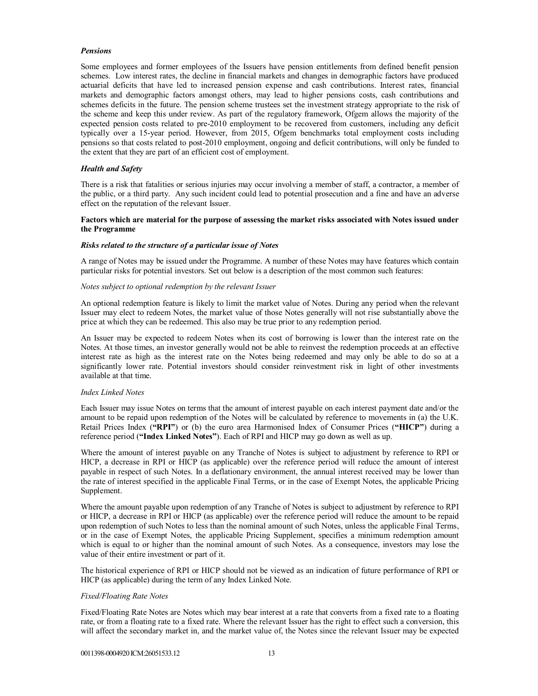## *Pensions*

Some employees and former employees of the Issuers have pension entitlements from defined benefit pension schemes. Low interest rates, the decline in financial markets and changes in demographic factors have produced actuarial deficits that have led to increased pension expense and cash contributions. Interest rates, financial markets and demographic factors amongst others, may lead to higher pensions costs, cash contributions and schemes deficits in the future. The pension scheme trustees set the investment strategy appropriate to the risk of the scheme and keep this under review. As part of the regulatory framework, Ofgem allows the majority of the expected pension costs related to pre-2010 employment to be recovered from customers, including any deficit typically over a 15-year period. However, from 2015, Ofgem benchmarks total employment costs including pensions so that costs related to post-2010 employment, ongoing and deficit contributions, will only be funded to the extent that they are part of an efficient cost of employment.

## *Health and Safety*

There is a risk that fatalities or serious injuries may occur involving a member of staff, a contractor, a member of the public, or a third party. Any such incident could lead to potential prosecution and a fine and have an adverse effect on the reputation of the relevant Issuer.

#### **Factors which are material for the purpose of assessing the market risks associated with Notes issued under the Programme**

#### *Risks related to the structure of a particular issue of Notes*

A range of Notes may be issued under the Programme. A number of these Notes may have features which contain particular risks for potential investors. Set out below is a description of the most common such features:

# *Notes subject to optional redemption by the relevant Issuer*

An optional redemption feature is likely to limit the market value of Notes. During any period when the relevant Issuer may elect to redeem Notes, the market value of those Notes generally will not rise substantially above the price at which they can be redeemed. This also may be true prior to any redemption period.

An Issuer may be expected to redeem Notes when its cost of borrowing is lower than the interest rate on the Notes. At those times, an investor generally would not be able to reinvest the redemption proceeds at an effective interest rate as high as the interest rate on the Notes being redeemed and may only be able to do so at a significantly lower rate. Potential investors should consider reinvestment risk in light of other investments available at that time.

#### *Index Linked Notes*

Each Issuer may issue Notes on terms that the amount of interest payable on each interest payment date and/or the amount to be repaid upon redemption of the Notes will be calculated by reference to movements in (a) the U.K. Retail Prices Index (**"RPI"**) or (b) the euro area Harmonised Index of Consumer Prices (**"HICP"**) during a reference period (**"Index Linked Notes"**). Each of RPI and HICP may go down as well as up.

Where the amount of interest payable on any Tranche of Notes is subject to adjustment by reference to RPI or HICP, a decrease in RPI or HICP (as applicable) over the reference period will reduce the amount of interest payable in respect of such Notes. In a deflationary environment, the annual interest received may be lower than the rate of interest specified in the applicable Final Terms, or in the case of Exempt Notes, the applicable Pricing Supplement.

Where the amount payable upon redemption of any Tranche of Notes is subject to adjustment by reference to RPI or HICP, a decrease in RPI or HICP (as applicable) over the reference period will reduce the amount to be repaid upon redemption of such Notes to less than the nominal amount of such Notes, unless the applicable Final Terms, or in the case of Exempt Notes, the applicable Pricing Supplement, specifies a minimum redemption amount which is equal to or higher than the nominal amount of such Notes. As a consequence, investors may lose the value of their entire investment or part of it.

The historical experience of RPI or HICP should not be viewed as an indication of future performance of RPI or HICP (as applicable) during the term of any Index Linked Note.

#### *Fixed/Floating Rate Notes*

Fixed/Floating Rate Notes are Notes which may bear interest at a rate that converts from a fixed rate to a floating rate, or from a floating rate to a fixed rate. Where the relevant Issuer has the right to effect such a conversion, this will affect the secondary market in, and the market value of, the Notes since the relevant Issuer may be expected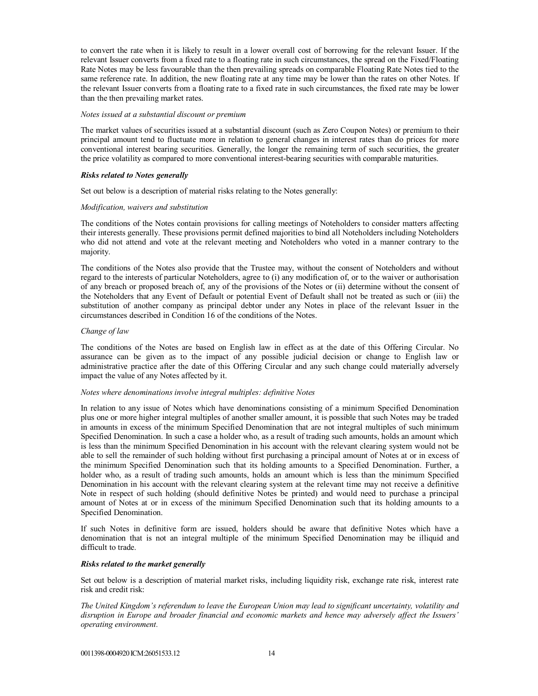to convert the rate when it is likely to result in a lower overall cost of borrowing for the relevant Issuer. If the relevant Issuer converts from a fixed rate to a floating rate in such circumstances, the spread on the Fixed/Floating Rate Notes may be less favourable than the then prevailing spreads on comparable Floating Rate Notes tied to the same reference rate. In addition, the new floating rate at any time may be lower than the rates on other Notes. If the relevant Issuer converts from a floating rate to a fixed rate in such circumstances, the fixed rate may be lower than the then prevailing market rates.

#### *Notes issued at a substantial discount or premium*

The market values of securities issued at a substantial discount (such as Zero Coupon Notes) or premium to their principal amount tend to fluctuate more in relation to general changes in interest rates than do prices for more conventional interest bearing securities. Generally, the longer the remaining term of such securities, the greater the price volatility as compared to more conventional interest-bearing securities with comparable maturities.

#### *Risks related to Notes generally*

Set out below is a description of material risks relating to the Notes generally:

#### *Modification, waivers and substitution*

The conditions of the Notes contain provisions for calling meetings of Noteholders to consider matters affecting their interests generally. These provisions permit defined majorities to bind all Noteholders including Noteholders who did not attend and vote at the relevant meeting and Noteholders who voted in a manner contrary to the majority.

The conditions of the Notes also provide that the Trustee may, without the consent of Noteholders and without regard to the interests of particular Noteholders, agree to (i) any modification of, or to the waiver or authorisation of any breach or proposed breach of, any of the provisions of the Notes or (ii) determine without the consent of the Noteholders that any Event of Default or potential Event of Default shall not be treated as such or (iii) the substitution of another company as principal debtor under any Notes in place of the relevant Issuer in the circumstances described in Condition 16 of the conditions of the Notes.

## *Change of law*

The conditions of the Notes are based on English law in effect as at the date of this Offering Circular. No assurance can be given as to the impact of any possible judicial decision or change to English law or administrative practice after the date of this Offering Circular and any such change could materially adversely impact the value of any Notes affected by it.

#### *Notes where denominations involve integral multiples: definitive Notes*

In relation to any issue of Notes which have denominations consisting of a minimum Specified Denomination plus one or more higher integral multiples of another smaller amount, it is possible that such Notes may be traded in amounts in excess of the minimum Specified Denomination that are not integral multiples of such minimum Specified Denomination. In such a case a holder who, as a result of trading such amounts, holds an amount which is less than the minimum Specified Denomination in his account with the relevant clearing system would not be able to sell the remainder of such holding without first purchasing a principal amount of Notes at or in excess of the minimum Specified Denomination such that its holding amounts to a Specified Denomination. Further, a holder who, as a result of trading such amounts, holds an amount which is less than the minimum Specified Denomination in his account with the relevant clearing system at the relevant time may not receive a definitive Note in respect of such holding (should definitive Notes be printed) and would need to purchase a principal amount of Notes at or in excess of the minimum Specified Denomination such that its holding amounts to a Specified Denomination.

If such Notes in definitive form are issued, holders should be aware that definitive Notes which have a denomination that is not an integral multiple of the minimum Specified Denomination may be illiquid and difficult to trade.

# *Risks related to the market generally*

Set out below is a description of material market risks, including liquidity risk, exchange rate risk, interest rate risk and credit risk:

*The United Kingdom's referendum to leave the European Union may lead to significant uncertainty, volatility and disruption in Europe and broader financial and economic markets and hence may adversely affect the Issuers' operating environment.*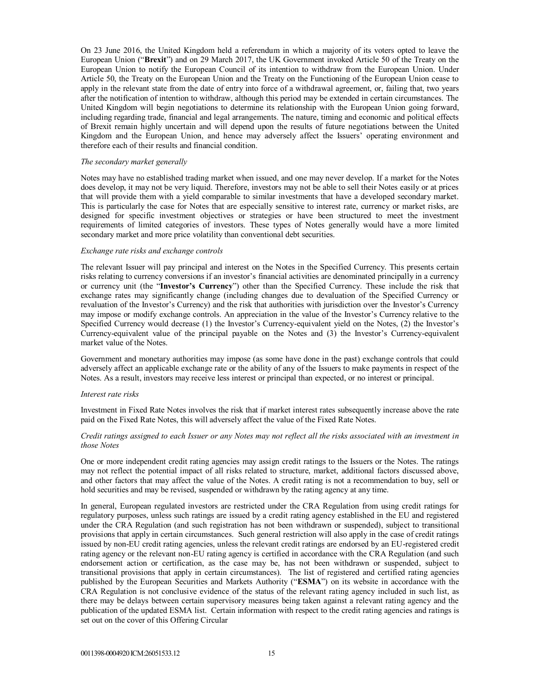On 23 June 2016, the United Kingdom held a referendum in which a majority of its voters opted to leave the European Union ("**Brexit**") and on 29 March 2017, the UK Government invoked Article 50 of the Treaty on the European Union to notify the European Council of its intention to withdraw from the European Union. Under Article 50, the Treaty on the European Union and the Treaty on the Functioning of the European Union cease to apply in the relevant state from the date of entry into force of a withdrawal agreement, or, failing that, two years after the notification of intention to withdraw, although this period may be extended in certain circumstances. The United Kingdom will begin negotiations to determine its relationship with the European Union going forward, including regarding trade, financial and legal arrangements. The nature, timing and economic and political effects of Brexit remain highly uncertain and will depend upon the results of future negotiations between the United Kingdom and the European Union, and hence may adversely affect the Issuers' operating environment and therefore each of their results and financial condition.

#### *The secondary market generally*

Notes may have no established trading market when issued, and one may never develop. If a market for the Notes does develop, it may not be very liquid. Therefore, investors may not be able to sell their Notes easily or at prices that will provide them with a yield comparable to similar investments that have a developed secondary market. This is particularly the case for Notes that are especially sensitive to interest rate, currency or market risks, are designed for specific investment objectives or strategies or have been structured to meet the investment requirements of limited categories of investors. These types of Notes generally would have a more limited secondary market and more price volatility than conventional debt securities.

# *Exchange rate risks and exchange controls*

The relevant Issuer will pay principal and interest on the Notes in the Specified Currency. This presents certain risks relating to currency conversions if an investor's financial activities are denominated principally in a currency or currency unit (the "**Investor's Currency**") other than the Specified Currency. These include the risk that exchange rates may significantly change (including changes due to devaluation of the Specified Currency or revaluation of the Investor's Currency) and the risk that authorities with jurisdiction over the Investor's Currency may impose or modify exchange controls. An appreciation in the value of the Investor's Currency relative to the Specified Currency would decrease (1) the Investor's Currency-equivalent yield on the Notes, (2) the Investor's Currency-equivalent value of the principal payable on the Notes and (3) the Investor's Currency-equivalent market value of the Notes.

Government and monetary authorities may impose (as some have done in the past) exchange controls that could adversely affect an applicable exchange rate or the ability of any of the Issuers to make payments in respect of the Notes. As a result, investors may receive less interest or principal than expected, or no interest or principal.

#### *Interest rate risks*

Investment in Fixed Rate Notes involves the risk that if market interest rates subsequently increase above the rate paid on the Fixed Rate Notes, this will adversely affect the value of the Fixed Rate Notes.

# *Credit ratings assigned to each Issuer or any Notes may not reflect all the risks associated with an investment in those Notes*

One or more independent credit rating agencies may assign credit ratings to the Issuers or the Notes. The ratings may not reflect the potential impact of all risks related to structure, market, additional factors discussed above, and other factors that may affect the value of the Notes. A credit rating is not a recommendation to buy, sell or hold securities and may be revised, suspended or withdrawn by the rating agency at any time.

In general, European regulated investors are restricted under the CRA Regulation from using credit ratings for regulatory purposes, unless such ratings are issued by a credit rating agency established in the EU and registered under the CRA Regulation (and such registration has not been withdrawn or suspended), subject to transitional provisions that apply in certain circumstances. Such general restriction will also apply in the case of credit ratings issued by non-EU credit rating agencies, unless the relevant credit ratings are endorsed by an EU-registered credit rating agency or the relevant non-EU rating agency is certified in accordance with the CRA Regulation (and such endorsement action or certification, as the case may be, has not been withdrawn or suspended, subject to transitional provisions that apply in certain circumstances). The list of registered and certified rating agencies published by the European Securities and Markets Authority ("**ESMA**") on its website in accordance with the CRA Regulation is not conclusive evidence of the status of the relevant rating agency included in such list, as there may be delays between certain supervisory measures being taken against a relevant rating agency and the publication of the updated ESMA list. Certain information with respect to the credit rating agencies and ratings is set out on the cover of this Offering Circular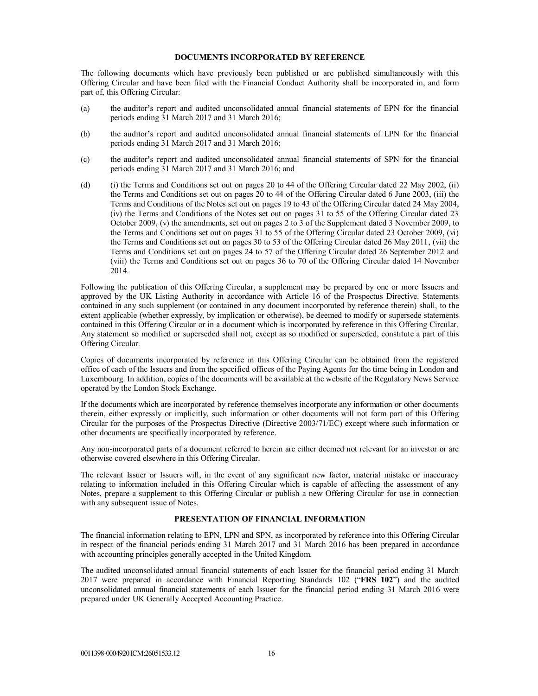# **DOCUMENTS INCORPORATED BY REFERENCE**

The following documents which have previously been published or are published simultaneously with this Offering Circular and have been filed with the Financial Conduct Authority shall be incorporated in, and form part of, this Offering Circular:

- (a) the auditor**'**s report and audited unconsolidated annual financial statements of EPN for the financial periods ending 31 March 2017 and 31 March 2016;
- (b) the auditor**'**s report and audited unconsolidated annual financial statements of LPN for the financial periods ending 31 March 2017 and 31 March 2016;
- (c) the auditor**'**s report and audited unconsolidated annual financial statements of SPN for the financial periods ending 31 March 2017 and 31 March 2016; and
- (d) (i) the Terms and Conditions set out on pages 20 to 44 of the Offering Circular dated 22 May 2002, (ii) the Terms and Conditions set out on pages 20 to 44 of the Offering Circular dated 6 June 2003, (iii) the Terms and Conditions of the Notes set out on pages 19 to 43 of the Offering Circular dated 24 May 2004, (iv) the Terms and Conditions of the Notes set out on pages 31 to 55 of the Offering Circular dated 23 October 2009, (v) the amendments, set out on pages 2 to 3 of the Supplement dated 3 November 2009, to the Terms and Conditions set out on pages 31 to 55 of the Offering Circular dated 23 October 2009, (vi) the Terms and Conditions set out on pages 30 to 53 of the Offering Circular dated 26 May 2011, (vii) the Terms and Conditions set out on pages 24 to 57 of the Offering Circular dated 26 September 2012 and (viii) the Terms and Conditions set out on pages 36 to 70 of the Offering Circular dated 14 November 2014.

Following the publication of this Offering Circular, a supplement may be prepared by one or more Issuers and approved by the UK Listing Authority in accordance with Article 16 of the Prospectus Directive. Statements contained in any such supplement (or contained in any document incorporated by reference therein) shall, to the extent applicable (whether expressly, by implication or otherwise), be deemed to modify or supersede statements contained in this Offering Circular or in a document which is incorporated by reference in this Offering Circular. Any statement so modified or superseded shall not, except as so modified or superseded, constitute a part of this Offering Circular.

Copies of documents incorporated by reference in this Offering Circular can be obtained from the registered office of each of the Issuers and from the specified offices of the Paying Agents for the time being in London and Luxembourg. In addition, copies of the documents will be available at the website of the Regulatory News Service operated by the London Stock Exchange.

If the documents which are incorporated by reference themselves incorporate any information or other documents therein, either expressly or implicitly, such information or other documents will not form part of this Offering Circular for the purposes of the Prospectus Directive (Directive 2003/71/EC) except where such information or other documents are specifically incorporated by reference.

Any non-incorporated parts of a document referred to herein are either deemed not relevant for an investor or are otherwise covered elsewhere in this Offering Circular.

The relevant Issuer or Issuers will, in the event of any significant new factor, material mistake or inaccuracy relating to information included in this Offering Circular which is capable of affecting the assessment of any Notes, prepare a supplement to this Offering Circular or publish a new Offering Circular for use in connection with any subsequent issue of Notes.

# **PRESENTATION OF FINANCIAL INFORMATION**

The financial information relating to EPN, LPN and SPN, as incorporated by reference into this Offering Circular in respect of the financial periods ending 31 March 2017 and 31 March 2016 has been prepared in accordance with accounting principles generally accepted in the United Kingdom.

The audited unconsolidated annual financial statements of each Issuer for the financial period ending 31 March 2017 were prepared in accordance with Financial Reporting Standards 102 ("**FRS 102**") and the audited unconsolidated annual financial statements of each Issuer for the financial period ending 31 March 2016 were prepared under UK Generally Accepted Accounting Practice.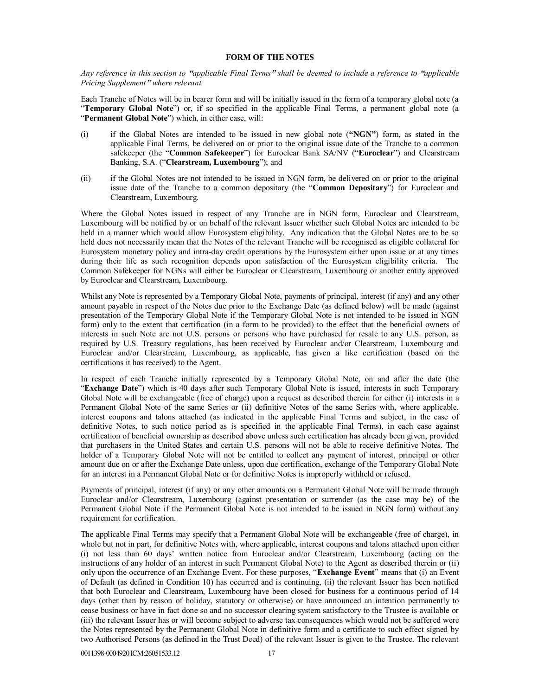# **FORM OF THE NOTES**

*Any reference in this section to* **"***applicable Final Terms***"** *shall be deemed to include a reference to* **"***applicable Pricing Supplement***"** *where relevant.*

Each Tranche of Notes will be in bearer form and will be initially issued in the form of a temporary global note (a "**Temporary Global Note**") or, if so specified in the applicable Final Terms, a permanent global note (a "**Permanent Global Note**") which, in either case, will:

- (i) if the Global Notes are intended to be issued in new global note (**"NGN"**) form, as stated in the applicable Final Terms, be delivered on or prior to the original issue date of the Tranche to a common safekeeper (the "**Common Safekeeper**") for Euroclear Bank SA/NV ("**Euroclear**") and Clearstream Banking, S.A. ("**Clearstream, Luxembourg**"); and
- (ii) if the Global Notes are not intended to be issued in NGN form, be delivered on or prior to the original issue date of the Tranche to a common depositary (the "**Common Depositary**") for Euroclear and Clearstream, Luxembourg.

Where the Global Notes issued in respect of any Tranche are in NGN form, Euroclear and Clearstream, Luxembourg will be notified by or on behalf of the relevant Issuer whether such Global Notes are intended to be held in a manner which would allow Eurosystem eligibility. Any indication that the Global Notes are to be so held does not necessarily mean that the Notes of the relevant Tranche will be recognised as eligible collateral for Eurosystem monetary policy and intra-day credit operations by the Eurosystem either upon issue or at any times during their life as such recognition depends upon satisfaction of the Eurosystem eligibility criteria. The Common Safekeeper for NGNs will either be Euroclear or Clearstream, Luxembourg or another entity approved by Euroclear and Clearstream, Luxembourg.

Whilst any Note is represented by a Temporary Global Note, payments of principal, interest (if any) and any other amount payable in respect of the Notes due prior to the Exchange Date (as defined below) will be made (against presentation of the Temporary Global Note if the Temporary Global Note is not intended to be issued in NGN form) only to the extent that certification (in a form to be provided) to the effect that the beneficial owners of interests in such Note are not U.S. persons or persons who have purchased for resale to any U.S. person, as required by U.S. Treasury regulations, has been received by Euroclear and/or Clearstream, Luxembourg and Euroclear and/or Clearstream, Luxembourg, as applicable, has given a like certification (based on the certifications it has received) to the Agent.

In respect of each Tranche initially represented by a Temporary Global Note, on and after the date (the "**Exchange Date**") which is 40 days after such Temporary Global Note is issued, interests in such Temporary Global Note will be exchangeable (free of charge) upon a request as described therein for either (i) interests in a Permanent Global Note of the same Series or (ii) definitive Notes of the same Series with, where applicable, interest coupons and talons attached (as indicated in the applicable Final Terms and subject, in the case of definitive Notes, to such notice period as is specified in the applicable Final Terms), in each case against certification of beneficial ownership as described above unless such certification has already been given, provided that purchasers in the United States and certain U.S. persons will not be able to receive definitive Notes. The holder of a Temporary Global Note will not be entitled to collect any payment of interest, principal or other amount due on or after the Exchange Date unless, upon due certification, exchange of the Temporary Global Note for an interest in a Permanent Global Note or for definitive Notes is improperly withheld or refused.

Payments of principal, interest (if any) or any other amounts on a Permanent Global Note will be made through Euroclear and/or Clearstream, Luxembourg (against presentation or surrender (as the case may be) of the Permanent Global Note if the Permanent Global Note is not intended to be issued in NGN form) without any requirement for certification.

The applicable Final Terms may specify that a Permanent Global Note will be exchangeable (free of charge), in whole but not in part, for definitive Notes with, where applicable, interest coupons and talons attached upon either (i) not less than 60 days' written notice from Euroclear and/or Clearstream, Luxembourg (acting on the instructions of any holder of an interest in such Permanent Global Note) to the Agent as described therein or (ii) only upon the occurrence of an Exchange Event. For these purposes, "**Exchange Event**" means that (i) an Event of Default (as defined in Condition 10) has occurred and is continuing, (ii) the relevant Issuer has been notified that both Euroclear and Clearstream, Luxembourg have been closed for business for a continuous period of 14 days (other than by reason of holiday, statutory or otherwise) or have announced an intention permanently to cease business or have in fact done so and no successor clearing system satisfactory to the Trustee is available or (iii) the relevant Issuer has or will become subject to adverse tax consequences which would not be suffered were the Notes represented by the Permanent Global Note in definitive form and a certificate to such effect signed by two Authorised Persons (as defined in the Trust Deed) of the relevant Issuer is given to the Trustee. The relevant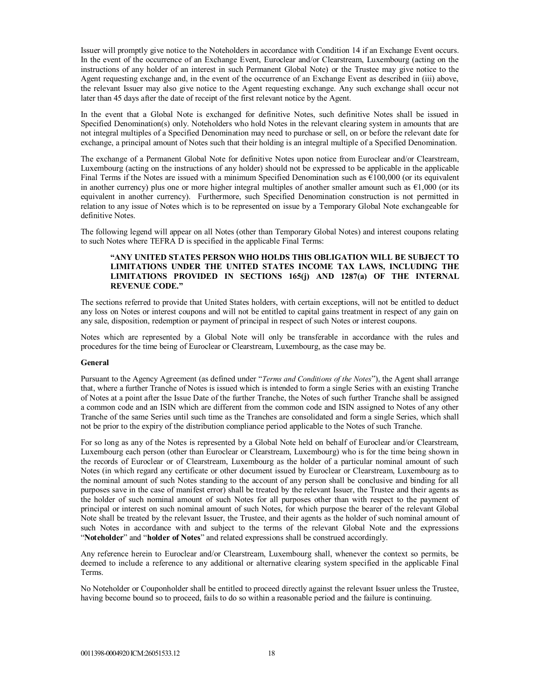Issuer will promptly give notice to the Noteholders in accordance with Condition 14 if an Exchange Event occurs. In the event of the occurrence of an Exchange Event, Euroclear and/or Clearstream, Luxembourg (acting on the instructions of any holder of an interest in such Permanent Global Note) or the Trustee may give notice to the Agent requesting exchange and, in the event of the occurrence of an Exchange Event as described in (iii) above, the relevant Issuer may also give notice to the Agent requesting exchange. Any such exchange shall occur not later than 45 days after the date of receipt of the first relevant notice by the Agent.

In the event that a Global Note is exchanged for definitive Notes, such definitive Notes shall be issued in Specified Denomination(s) only. Noteholders who hold Notes in the relevant clearing system in amounts that are not integral multiples of a Specified Denomination may need to purchase or sell, on or before the relevant date for exchange, a principal amount of Notes such that their holding is an integral multiple of a Specified Denomination.

The exchange of a Permanent Global Note for definitive Notes upon notice from Euroclear and/or Clearstream, Luxembourg (acting on the instructions of any holder) should not be expressed to be applicable in the applicable Final Terms if the Notes are issued with a minimum Specified Denomination such as €100,000 (or its equivalent in another currency) plus one or more higher integral multiples of another smaller amount such as  $E1,000$  (or its equivalent in another currency). Furthermore, such Specified Denomination construction is not permitted in relation to any issue of Notes which is to be represented on issue by a Temporary Global Note exchangeable for definitive Notes.

The following legend will appear on all Notes (other than Temporary Global Notes) and interest coupons relating to such Notes where TEFRA D is specified in the applicable Final Terms:

# **"ANY UNITED STATES PERSON WHO HOLDS THIS OBLIGATION WILL BE SUBJECT TO LIMITATIONS UNDER THE UNITED STATES INCOME TAX LAWS, INCLUDING THE LIMITATIONS PROVIDED IN SECTIONS 165(j) AND 1287(a) OF THE INTERNAL REVENUE CODE."**

The sections referred to provide that United States holders, with certain exceptions, will not be entitled to deduct any loss on Notes or interest coupons and will not be entitled to capital gains treatment in respect of any gain on any sale, disposition, redemption or payment of principal in respect of such Notes or interest coupons.

Notes which are represented by a Global Note will only be transferable in accordance with the rules and procedures for the time being of Euroclear or Clearstream, Luxembourg, as the case may be.

#### **General**

Pursuant to the Agency Agreement (as defined under "*Terms and Conditions of the Notes*"), the Agent shall arrange that, where a further Tranche of Notes is issued which is intended to form a single Series with an existing Tranche of Notes at a point after the Issue Date of the further Tranche, the Notes of such further Tranche shall be assigned a common code and an ISIN which are different from the common code and ISIN assigned to Notes of any other Tranche of the same Series until such time as the Tranches are consolidated and form a single Series, which shall not be prior to the expiry of the distribution compliance period applicable to the Notes of such Tranche.

For so long as any of the Notes is represented by a Global Note held on behalf of Euroclear and/or Clearstream, Luxembourg each person (other than Euroclear or Clearstream, Luxembourg) who is for the time being shown in the records of Euroclear or of Clearstream, Luxembourg as the holder of a particular nominal amount of such Notes (in which regard any certificate or other document issued by Euroclear or Clearstream, Luxembourg as to the nominal amount of such Notes standing to the account of any person shall be conclusive and binding for all purposes save in the case of manifest error) shall be treated by the relevant Issuer, the Trustee and their agents as the holder of such nominal amount of such Notes for all purposes other than with respect to the payment of principal or interest on such nominal amount of such Notes, for which purpose the bearer of the relevant Global Note shall be treated by the relevant Issuer, the Trustee, and their agents as the holder of such nominal amount of such Notes in accordance with and subject to the terms of the relevant Global Note and the expressions "**Noteholder**" and "**holder of Notes**" and related expressions shall be construed accordingly.

Any reference herein to Euroclear and/or Clearstream, Luxembourg shall, whenever the context so permits, be deemed to include a reference to any additional or alternative clearing system specified in the applicable Final Terms.

No Noteholder or Couponholder shall be entitled to proceed directly against the relevant Issuer unless the Trustee, having become bound so to proceed, fails to do so within a reasonable period and the failure is continuing.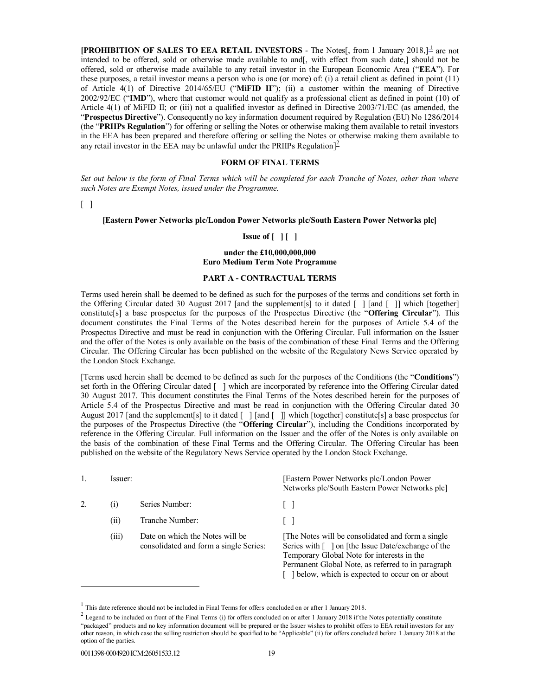**[PROHIBITION OF SALES TO EEA RETAIL INVESTORS** - The Notes<sup>[1]</sup>, from 1 January 2018, $\frac{1}{2}$  are not intended to be offered, sold or otherwise made available to and[, with effect from such date,] should not be offered, sold or otherwise made available to any retail investor in the European Economic Area ("**EEA**"). For these purposes, a retail investor means a person who is one (or more) of: (i) a retail client as defined in point (11) of Article 4(1) of Directive 2014/65/EU ("**MiFID II**"); (ii) a customer within the meaning of Directive 2002/92/EC ("**IMD**"), where that customer would not qualify as a professional client as defined in point (10) of Article 4(1) of MiFID II; or (iii) not a qualified investor as defined in Directive 2003/71/EC (as amended, the "**Prospectus Directive**"). Consequently no key information document required by Regulation (EU) No 1286/2014 (the "**PRIIPs Regulation**") for offering or selling the Notes or otherwise making them available to retail investors in the EEA has been prepared and therefore offering or selling the Notes or otherwise making them available to any retail investor in the EEA may be unlawful under the PRIIPs Regulation $]$ <sup>2</sup>

# **FORM OF FINAL TERMS**

*Set out below is the form of Final Terms which will be completed for each Tranche of Notes, other than where such Notes are Exempt Notes, issued under the Programme.*

[]

## **[Eastern Power Networks plc/London Power Networks plc/South Eastern Power Networks plc]**

# **Issue of [ ] [ ]**

#### **under the £10,000,000,000 Euro Medium Term Note Programme**

#### **PART A - CONTRACTUAL TERMS**

Terms used herein shall be deemed to be defined as such for the purposes of the terms and conditions set forth in the Offering Circular dated 30 August 2017 [and the supplement[s] to it dated [ ] [and [ ]] which [together] constitute[s] a base prospectus for the purposes of the Prospectus Directive (the "**Offering Circular**"). This document constitutes the Final Terms of the Notes described herein for the purposes of Article 5.4 of the Prospectus Directive and must be read in conjunction with the Offering Circular. Full information on the Issuer and the offer of the Notes is only available on the basis of the combination of these Final Terms and the Offering Circular. The Offering Circular has been published on the website of the Regulatory News Service operated by the London Stock Exchange.

[Terms used herein shall be deemed to be defined as such for the purposes of the Conditions (the "**Conditions**") set forth in the Offering Circular dated [ ] which are incorporated by reference into the Offering Circular dated 30 August 2017. This document constitutes the Final Terms of the Notes described herein for the purposes of Article 5.4 of the Prospectus Directive and must be read in conjunction with the Offering Circular dated 30 August 2017 [and the supplement[s] to it dated [ ] [and [ ]] which [together] constitute[s] a base prospectus for the purposes of the Prospectus Directive (the "**Offering Circular**"), including the Conditions incorporated by reference in the Offering Circular. Full information on the Issuer and the offer of the Notes is only available on the basis of the combination of these Final Terms and the Offering Circular. The Offering Circular has been published on the website of the Regulatory News Service operated by the London Stock Exchange.

| Issuer: |                                                                           | [Eastern Power Networks plc/London Power<br>Networks plc/South Eastern Power Networks plc]                                                                                                                                                                  |
|---------|---------------------------------------------------------------------------|-------------------------------------------------------------------------------------------------------------------------------------------------------------------------------------------------------------------------------------------------------------|
| (1)     | Series Number:                                                            |                                                                                                                                                                                                                                                             |
| (11)    | Tranche Number:                                                           |                                                                                                                                                                                                                                                             |
| (111)   | Date on which the Notes will be<br>consolidated and form a single Series: | The Notes will be consolidated and form a single<br>Series with [ ] on [the Issue Date/exchange of the<br>Temporary Global Note for interests in the<br>Permanent Global Note, as referred to in paragraph<br>below, which is expected to occur on or about |

<sup>&</sup>lt;sup>1</sup> This date reference should not be included in Final Terms for offers concluded on or after 1 January 2018.

 $\overline{a}$ 

 $2$  Legend to be included on front of the Final Terms (i) for offers concluded on or after 1 January 2018 if the Notes potentially constitute "packaged" products and no key information document will be prepared or the Issuer wishes to prohibit offers to EEA retail investors for any other reason, in which case the selling restriction should be specified to be "Applicable" (ii) for offers concluded before 1 January 2018 at the option of the parties.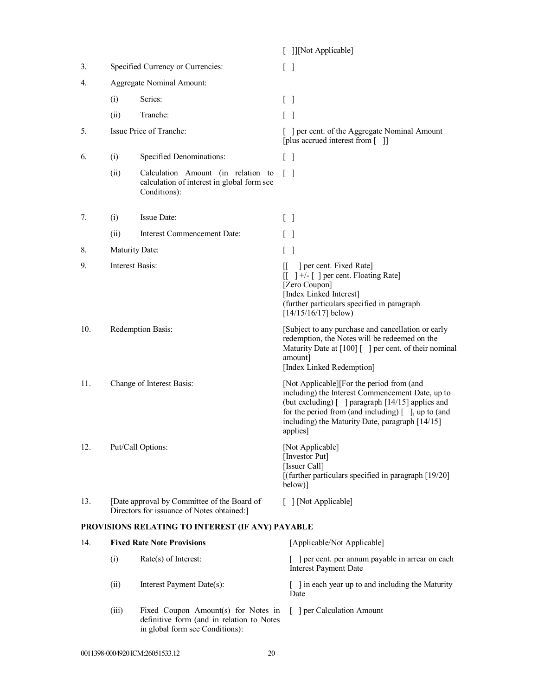|     |                                   |                                                                                                  | [ ]][Not Applicable]                                                                                                                                                                                                                                                                    |
|-----|-----------------------------------|--------------------------------------------------------------------------------------------------|-----------------------------------------------------------------------------------------------------------------------------------------------------------------------------------------------------------------------------------------------------------------------------------------|
| 3.  | Specified Currency or Currencies: |                                                                                                  | $\begin{bmatrix} \\ \\ \\ \end{bmatrix}$                                                                                                                                                                                                                                                |
| 4.  |                                   | Aggregate Nominal Amount:                                                                        |                                                                                                                                                                                                                                                                                         |
|     | (i)                               | Series:                                                                                          | $\begin{bmatrix} \end{bmatrix}$                                                                                                                                                                                                                                                         |
|     | (ii)                              | Tranche:                                                                                         | $\lceil \ \rceil$                                                                                                                                                                                                                                                                       |
| 5.  |                                   | Issue Price of Tranche:                                                                          | [ ] per cent. of the Aggregate Nominal Amount<br>[plus accrued interest from []                                                                                                                                                                                                         |
| 6.  | (i)                               | Specified Denominations:                                                                         | $\begin{bmatrix} 1 \end{bmatrix}$                                                                                                                                                                                                                                                       |
|     | (ii)                              | Calculation Amount (in relation to<br>calculation of interest in global form see<br>Conditions): | $\lceil \ \rceil$                                                                                                                                                                                                                                                                       |
| 7.  | (i)                               | Issue Date:                                                                                      | $\begin{bmatrix} \end{bmatrix}$                                                                                                                                                                                                                                                         |
|     | (ii)                              | Interest Commencement Date:                                                                      | $\Box$                                                                                                                                                                                                                                                                                  |
| 8.  | Maturity Date:                    |                                                                                                  | $\lceil$ $\rceil$                                                                                                                                                                                                                                                                       |
| 9.  | Interest Basis:                   |                                                                                                  | ] per cent. Fixed Rate]<br>Ш<br>$\begin{bmatrix} 1 \\ 1 \end{bmatrix}$ +/- $\begin{bmatrix} 1 \\ 1 \end{bmatrix}$ per cent. Floating Rate<br>[Zero Coupon]<br>[Index Linked Interest]<br>(further particulars specified in paragraph<br>$[14/15/16/17]$ below)                          |
| 10. | Redemption Basis:                 |                                                                                                  | [Subject to any purchase and cancellation or early<br>redemption, the Notes will be redeemed on the<br>Maturity Date at $[100]$ $[$ per cent. of their nominal<br>amount]<br>[Index Linked Redemption]                                                                                  |
| 11. | Change of Interest Basis:         |                                                                                                  | [Not Applicable][For the period from (and<br>including) the Interest Commencement Date, up to<br>(but excluding) [ ] paragraph [14/15] applies and<br>for the period from (and including) $\lceil \ \rceil$ , up to (and<br>including) the Maturity Date, paragraph [14/15]<br>applies] |
| 12. | Put/Call Options:                 |                                                                                                  | [Not Applicable]<br>[Investor Put]<br>[Issuer Call]<br>[(further particulars specified in paragraph [19/20]<br>below)]                                                                                                                                                                  |
| 13. |                                   | [Date approval by Committee of the Board of<br>Directors for issuance of Notes obtained:]        | [ ] [Not Applicable]                                                                                                                                                                                                                                                                    |
|     |                                   | PROVISIONS RELATING TO INTEREST (IF ANY) PAYABLE                                                 |                                                                                                                                                                                                                                                                                         |
| 14. |                                   | <b>Fixed Rate Note Provisions</b>                                                                | [Applicable/Not Applicable]                                                                                                                                                                                                                                                             |
|     | (i)                               | $Rate(s)$ of Interest:                                                                           | [ ] per cent. per annum payable in arrear on each<br><b>Interest Payment Date</b>                                                                                                                                                                                                       |
|     | (ii)                              | Interest Payment Date(s):                                                                        | $\lceil$ 1 in each year up to and including the Maturity<br>Date                                                                                                                                                                                                                        |

(iii) Fixed Coupon Amount(s) for Notes in definitive form (and in relation to Notes in global form see Conditions): [ ] per Calculation Amount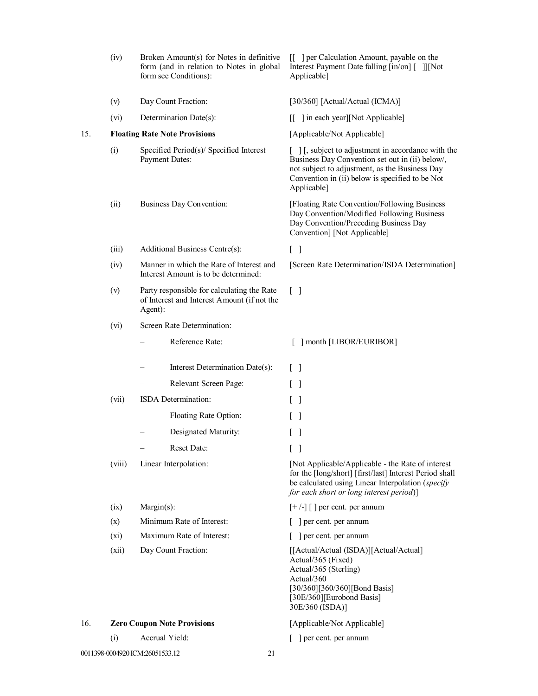|                                 | (iv)  | Broken Amount(s) for Notes in definitive<br>form (and in relation to Notes in global<br>form see Conditions): | [[ ] per Calculation Amount, payable on the<br>Interest Payment Date falling [in/on] [ ]][Not<br>Applicable]                                                                                                                                |
|---------------------------------|-------|---------------------------------------------------------------------------------------------------------------|---------------------------------------------------------------------------------------------------------------------------------------------------------------------------------------------------------------------------------------------|
|                                 | (v)   | Day Count Fraction:                                                                                           | [30/360] [Actual/Actual (ICMA)]                                                                                                                                                                                                             |
|                                 | (vi)  | Determination Date(s):                                                                                        | [[ ] in each year][Not Applicable]                                                                                                                                                                                                          |
| 15.                             |       | <b>Floating Rate Note Provisions</b>                                                                          | [Applicable/Not Applicable]                                                                                                                                                                                                                 |
|                                 | (i)   | Specified Period(s)/ Specified Interest<br>Payment Dates:                                                     | $\lceil \cdot \rceil$ , subject to adjustment in accordance with the<br>Business Day Convention set out in (ii) below/,<br>not subject to adjustment, as the Business Day<br>Convention in (ii) below is specified to be Not<br>Applicable] |
|                                 | (ii)  | Business Day Convention:                                                                                      | [Floating Rate Convention/Following Business<br>Day Convention/Modified Following Business<br>Day Convention/Preceding Business Day<br>Convention] [Not Applicable]                                                                         |
|                                 | (iii) | Additional Business Centre(s):                                                                                | $[\ ]$                                                                                                                                                                                                                                      |
|                                 | (iv)  | Manner in which the Rate of Interest and<br>Interest Amount is to be determined:                              | [Screen Rate Determination/ISDA Determination]                                                                                                                                                                                              |
|                                 | (v)   | Party responsible for calculating the Rate<br>of Interest and Interest Amount (if not the<br>Agent):          | $\lceil$ $\rceil$                                                                                                                                                                                                                           |
|                                 | (vi)  | Screen Rate Determination:                                                                                    |                                                                                                                                                                                                                                             |
|                                 |       | Reference Rate:                                                                                               | [ ] month [LIBOR/EURIBOR]                                                                                                                                                                                                                   |
|                                 |       | Interest Determination Date(s):                                                                               | $\lceil$ $\rceil$                                                                                                                                                                                                                           |
|                                 |       | Relevant Screen Page:                                                                                         | $\Box$                                                                                                                                                                                                                                      |
|                                 | (vii) | ISDA Determination:                                                                                           | -1                                                                                                                                                                                                                                          |
|                                 |       | Floating Rate Option:                                                                                         | - 1                                                                                                                                                                                                                                         |
|                                 |       | Designated Maturity:                                                                                          | - 1                                                                                                                                                                                                                                         |
|                                 |       | Reset Date:                                                                                                   | $\begin{bmatrix} 1 \end{bmatrix}$                                                                                                                                                                                                           |
| (viii)<br>Linear Interpolation: |       |                                                                                                               | [Not Applicable/Applicable - the Rate of interest<br>for the [long/short] [first/last] Interest Period shall<br>be calculated using Linear Interpolation (specify<br>for each short or long interest period)]                               |
|                                 | (ix)  | $Margin(s)$ :                                                                                                 | $[+/.]$ [ ] per cent. per annum                                                                                                                                                                                                             |
|                                 | (x)   | Minimum Rate of Interest:                                                                                     | $\lceil \cdot \rceil$ per cent. per annum                                                                                                                                                                                                   |
|                                 | (xi)  | Maximum Rate of Interest:                                                                                     | per cent. per annum                                                                                                                                                                                                                         |
|                                 | (xii) | Day Count Fraction:                                                                                           | [[Actual/Actual (ISDA)][Actual/Actual]<br>Actual/365 (Fixed)<br>Actual/365 (Sterling)<br>Actual/360<br>[30/360][360/360][Bond Basis]<br>[30E/360][Eurobond Basis]<br>30E/360 (ISDA)]                                                        |
| 16.                             |       | <b>Zero Coupon Note Provisions</b>                                                                            | [Applicable/Not Applicable]                                                                                                                                                                                                                 |
|                                 | (i)   | Accrual Yield:                                                                                                | [ ] per cent. per annum                                                                                                                                                                                                                     |
|                                 |       | 0011398-0004920 ICM:26051533.12<br>21                                                                         |                                                                                                                                                                                                                                             |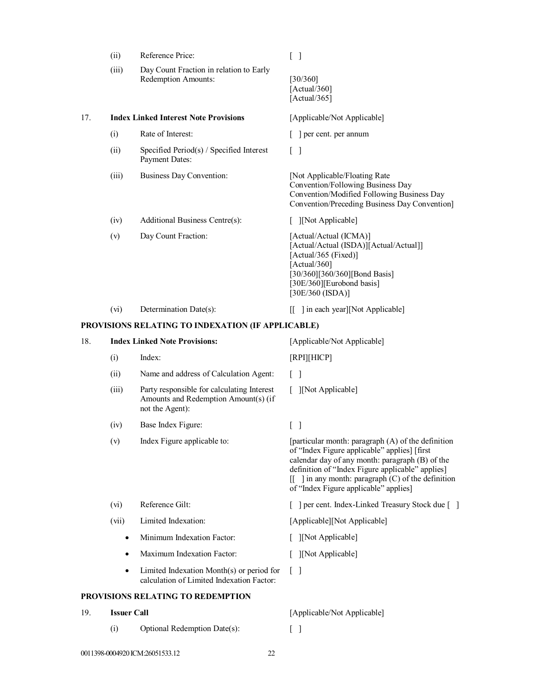| 19. | <b>Issuer Call</b> |                                                                                                       | [Applicable/Not Applicable]                                                                                                                                                                                                                                                                                                                       |
|-----|--------------------|-------------------------------------------------------------------------------------------------------|---------------------------------------------------------------------------------------------------------------------------------------------------------------------------------------------------------------------------------------------------------------------------------------------------------------------------------------------------|
|     |                    | PROVISIONS RELATING TO REDEMPTION                                                                     |                                                                                                                                                                                                                                                                                                                                                   |
|     | ٠                  | Limited Indexation Month(s) or period for<br>calculation of Limited Indexation Factor:                | $\lceil$ 1                                                                                                                                                                                                                                                                                                                                        |
|     | $\bullet$          | Maximum Indexation Factor:                                                                            | [ ][Not Applicable]                                                                                                                                                                                                                                                                                                                               |
|     | ٠                  | Minimum Indexation Factor:                                                                            | [ ][Not Applicable]                                                                                                                                                                                                                                                                                                                               |
|     | (vii)              | Limited Indexation:                                                                                   | [Applicable][Not Applicable]                                                                                                                                                                                                                                                                                                                      |
|     | (vi)               | Reference Gilt:                                                                                       | [ ] per cent. Index-Linked Treasury Stock due [ ]                                                                                                                                                                                                                                                                                                 |
|     | (v)                | Index Figure applicable to:                                                                           | [particular month: paragraph (A) of the definition<br>of "Index Figure applicable" applies] [first]<br>calendar day of any month: paragraph (B) of the<br>definition of "Index Figure applicable" applies]<br>$\left[\begin{array}{cc} \end{array}\right]$ in any month: paragraph (C) of the definition<br>of "Index Figure applicable" applies] |
|     | (iv)               | Base Index Figure:                                                                                    | $[\ ]$                                                                                                                                                                                                                                                                                                                                            |
|     | (iii)              | Party responsible for calculating Interest<br>Amounts and Redemption Amount(s) (if<br>not the Agent): | [ ][Not Applicable]                                                                                                                                                                                                                                                                                                                               |
|     | (ii)               | Name and address of Calculation Agent:                                                                | $\begin{bmatrix} \end{bmatrix}$                                                                                                                                                                                                                                                                                                                   |
|     | (i)                | Index:                                                                                                | [RPI][HICP]                                                                                                                                                                                                                                                                                                                                       |
| 18. |                    | <b>Index Linked Note Provisions:</b>                                                                  | [Applicable/Not Applicable]                                                                                                                                                                                                                                                                                                                       |
|     |                    | PROVISIONS RELATING TO INDEXATION (IF APPLICABLE)                                                     |                                                                                                                                                                                                                                                                                                                                                   |
|     | (vi)               | Determination Date(s):                                                                                | [[] in each year][Not Applicable]                                                                                                                                                                                                                                                                                                                 |
|     | (v)                | Day Count Fraction:                                                                                   | [Actual/Actual (ICMA)]<br>[Actual/Actual (ISDA)][Actual/Actual]]<br>[Actual/365 (Fixed)]<br>[Actual/360]<br>[30/360][360/360][Bond Basis]<br>[30E/360][Eurobond basis]<br>[30E/360 (ISDA)]                                                                                                                                                        |
|     | (iv)               | Additional Business Centre(s):                                                                        | [ ][Not Applicable]                                                                                                                                                                                                                                                                                                                               |
|     | (iii)              | Business Day Convention:                                                                              | [Not Applicable/Floating Rate<br>Convention/Following Business Day<br>Convention/Modified Following Business Day<br>Convention/Preceding Business Day Convention]                                                                                                                                                                                 |
|     | (ii)               | Specified Period(s) / Specified Interest<br>Payment Dates:                                            | $\begin{bmatrix} \end{bmatrix}$                                                                                                                                                                                                                                                                                                                   |
|     | (i)                | Rate of Interest:                                                                                     | [ ] per cent. per annum                                                                                                                                                                                                                                                                                                                           |
| 17. |                    | <b>Index Linked Interest Note Provisions</b>                                                          | [Applicable/Not Applicable]                                                                                                                                                                                                                                                                                                                       |
|     | (iii)              | Day Count Fraction in relation to Early<br>Redemption Amounts:                                        | [30/360]<br>[Actual/360]<br>[Actual/365]                                                                                                                                                                                                                                                                                                          |
|     | (ii)               | Reference Price:                                                                                      | $\begin{bmatrix} \\ \\ \end{bmatrix}$                                                                                                                                                                                                                                                                                                             |
|     |                    |                                                                                                       |                                                                                                                                                                                                                                                                                                                                                   |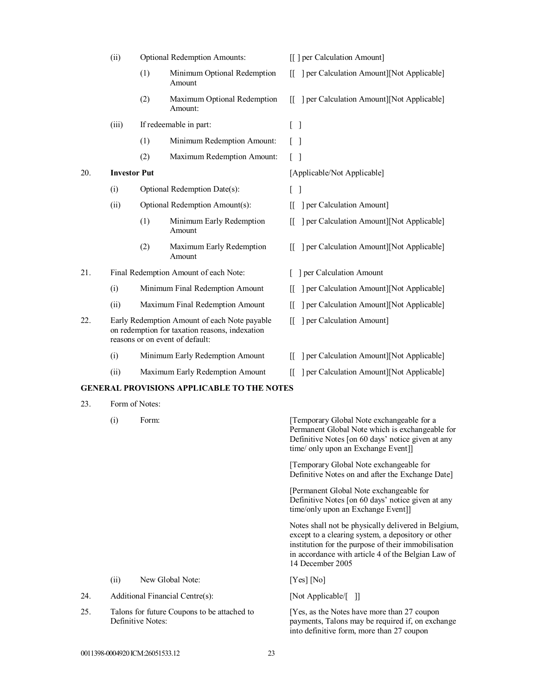|     | (ii)                                |                   | <b>Optional Redemption Amounts:</b>                                                                                               |                   | [[] per Calculation Amount]                                                                                                                                                                                                                |
|-----|-------------------------------------|-------------------|-----------------------------------------------------------------------------------------------------------------------------------|-------------------|--------------------------------------------------------------------------------------------------------------------------------------------------------------------------------------------------------------------------------------------|
|     |                                     | (1)               | Minimum Optional Redemption<br>Amount                                                                                             |                   | [[ ] per Calculation Amount][Not Applicable]                                                                                                                                                                                               |
|     |                                     | (2)               | Maximum Optional Redemption<br>Amount:                                                                                            |                   | [[ ] per Calculation Amount][Not Applicable]                                                                                                                                                                                               |
|     | (iii)                               |                   | If redeemable in part:                                                                                                            | $\lceil \rceil$   |                                                                                                                                                                                                                                            |
|     |                                     | (1)               | Minimum Redemption Amount:                                                                                                        | $\lceil$ 1        |                                                                                                                                                                                                                                            |
|     |                                     | (2)               | Maximum Redemption Amount:                                                                                                        | $\lceil$ $\rceil$ |                                                                                                                                                                                                                                            |
| 20. | <b>Investor Put</b>                 |                   |                                                                                                                                   |                   | [Applicable/Not Applicable]                                                                                                                                                                                                                |
|     | Optional Redemption Date(s):<br>(i) |                   |                                                                                                                                   | $\lceil \ \rceil$ |                                                                                                                                                                                                                                            |
|     | (ii)                                |                   | Optional Redemption Amount(s):                                                                                                    |                   | [[ ] per Calculation Amount]                                                                                                                                                                                                               |
|     |                                     | (1)               | Minimum Early Redemption<br>Amount                                                                                                |                   | [[ ] per Calculation Amount][Not Applicable]                                                                                                                                                                                               |
|     |                                     | (2)               | Maximum Early Redemption<br>Amount                                                                                                |                   | [[ ] per Calculation Amount][Not Applicable]                                                                                                                                                                                               |
| 21. |                                     |                   | Final Redemption Amount of each Note:                                                                                             |                   | ] per Calculation Amount                                                                                                                                                                                                                   |
|     | (i)                                 |                   | Minimum Final Redemption Amount                                                                                                   |                   | [[ ] per Calculation Amount][Not Applicable]                                                                                                                                                                                               |
|     | (ii)                                |                   | Maximum Final Redemption Amount                                                                                                   | IL.               | ] per Calculation Amount][Not Applicable]                                                                                                                                                                                                  |
| 22. |                                     |                   | Early Redemption Amount of each Note payable<br>on redemption for taxation reasons, indexation<br>reasons or on event of default: |                   | [[ ] per Calculation Amount]                                                                                                                                                                                                               |
|     | (i)                                 |                   | Minimum Early Redemption Amount                                                                                                   |                   | [[ ] per Calculation Amount][Not Applicable]                                                                                                                                                                                               |
|     | (ii)                                |                   | Maximum Early Redemption Amount                                                                                                   |                   | per Calculation Amount [Not Applicable]                                                                                                                                                                                                    |
|     |                                     |                   | <b>GENERAL PROVISIONS APPLICABLE TO THE NOTES</b>                                                                                 |                   |                                                                                                                                                                                                                                            |
| 23. |                                     | Form of Notes:    |                                                                                                                                   |                   |                                                                                                                                                                                                                                            |
|     | (i)                                 | Form:             |                                                                                                                                   |                   | [Temporary Global Note exchangeable for a<br>Permanent Global Note which is exchangeable for<br>Definitive Notes [on 60 days' notice given at any<br>time/ only upon an Exchange Event]]                                                   |
|     |                                     |                   |                                                                                                                                   |                   | [Temporary Global Note exchangeable for<br>Definitive Notes on and after the Exchange Date]                                                                                                                                                |
|     |                                     |                   |                                                                                                                                   |                   | [Permanent Global Note exchangeable for<br>Definitive Notes [on 60 days' notice given at any<br>time/only upon an Exchange Event]]                                                                                                         |
|     |                                     |                   |                                                                                                                                   |                   | Notes shall not be physically delivered in Belgium,<br>except to a clearing system, a depository or other<br>institution for the purpose of their immobilisation<br>in accordance with article 4 of the Belgian Law of<br>14 December 2005 |
|     | (ii)                                |                   | New Global Note:                                                                                                                  |                   | $[Yes]$ [No]                                                                                                                                                                                                                               |
| 24. |                                     |                   | Additional Financial Centre(s):                                                                                                   |                   | [Not Applicable/[ ]]                                                                                                                                                                                                                       |
| 25. |                                     | Definitive Notes: | Talons for future Coupons to be attached to                                                                                       |                   | [Yes, as the Notes have more than 27 coupon]<br>payments, Talons may be required if, on exchange<br>into definitive form, more than 27 coupon                                                                                              |
|     |                                     |                   |                                                                                                                                   |                   |                                                                                                                                                                                                                                            |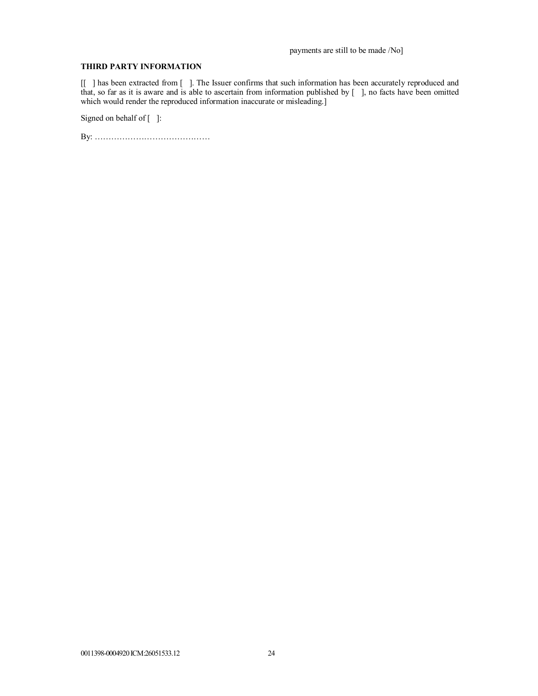payments are still to be made /No]

# **THIRD PARTY INFORMATION**

[[ ] has been extracted from [ ]. The Issuer confirms that such information has been accurately reproduced and that, so far as it is aware and is able to ascertain from information published by  $\lceil \cdot \rceil$ , no facts have been omitted which would render the reproduced information inaccurate or misleading.]

Signed on behalf of [ ]:

By: ……………………………………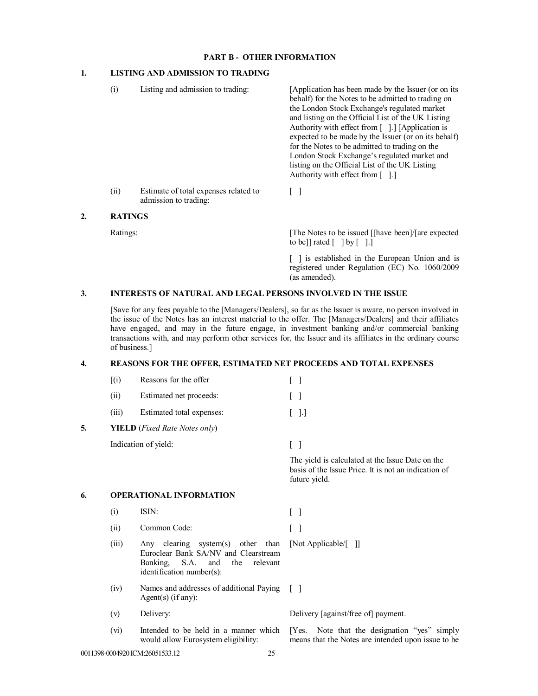# **PART B - OTHER INFORMATION**

# **1. LISTING AND ADMISSION TO TRADING**

(i) Listing and admission to trading: [Application has been made by the Issuer (or on its behalf) for the Notes to be admitted to trading on the London Stock Exchange's regulated market and listing on the Official List of the UK Listing Authority with effect from  $\lceil$  1.] [Application is expected to be made by the Issuer (or on its behalf) for the Notes to be admitted to trading on the London Stock Exchange's regulated market and listing on the Official List of the UK Listing Authority with effect from [ ].] (ii) Estimate of total expenses related to admission to trading:  $\lceil$   $\rceil$ **2. RATINGS**

Ratings: The Notes to be issued [[have been]/[are expected to be]] rated  $[$  ] by  $[$  ].]

> [ ] is established in the European Union and is registered under Regulation (EC) No. 1060/2009 (as amended).

# **3. INTERESTS OF NATURAL AND LEGAL PERSONS INVOLVED IN THE ISSUE**

[Save for any fees payable to the [Managers/Dealers], so far as the Issuer is aware, no person involved in the issue of the Notes has an interest material to the offer. The [Managers/Dealers] and their affiliates have engaged, and may in the future engage, in investment banking and/or commercial banking transactions with, and may perform other services for, the Issuer and its affiliates in the ordinary course of business.]

# **4. REASONS FOR THE OFFER, ESTIMATED NET PROCEEDS AND TOTAL EXPENSES**

|    | (i)   | Reasons for the offer                                                                                                                                |                                                                                                                           |
|----|-------|------------------------------------------------------------------------------------------------------------------------------------------------------|---------------------------------------------------------------------------------------------------------------------------|
|    | (ii)  | Estimated net proceeds:                                                                                                                              |                                                                                                                           |
|    | (iii) | Estimated total expenses:                                                                                                                            | $[ \ ]$                                                                                                                   |
| 5. |       | <b>YIELD</b> ( <i>Fixed Rate Notes only</i> )                                                                                                        |                                                                                                                           |
|    |       | Indication of yield:                                                                                                                                 | $\begin{bmatrix} \end{bmatrix}$                                                                                           |
|    |       |                                                                                                                                                      | The yield is calculated at the Issue Date on the<br>basis of the Issue Price. It is not an indication of<br>future yield. |
| 6. |       | <b>OPERATIONAL INFORMATION</b>                                                                                                                       |                                                                                                                           |
|    | (i)   | ISIN:                                                                                                                                                | $\begin{bmatrix} \end{bmatrix}$                                                                                           |
|    | (ii)  | Common Code:                                                                                                                                         | Γl                                                                                                                        |
|    | (iii) | Any clearing system(s) other than<br>Euroclear Bank SA/NV and Clearstream<br>Banking,<br>S.A.<br>and<br>the<br>relevant<br>identification number(s): | [Not Applicable/[]]                                                                                                       |
|    | (iv)  | Names and addresses of additional Paying []<br>Agent(s) $(if any):$                                                                                  |                                                                                                                           |
|    | (v)   | Delivery:                                                                                                                                            | Delivery [against/free of] payment.                                                                                       |
|    | (vi)  | Intended to be held in a manner which<br>would allow Eurosystem eligibility:                                                                         | Note that the designation "yes" simply<br>[Yes.<br>means that the Notes are intended upon issue to be                     |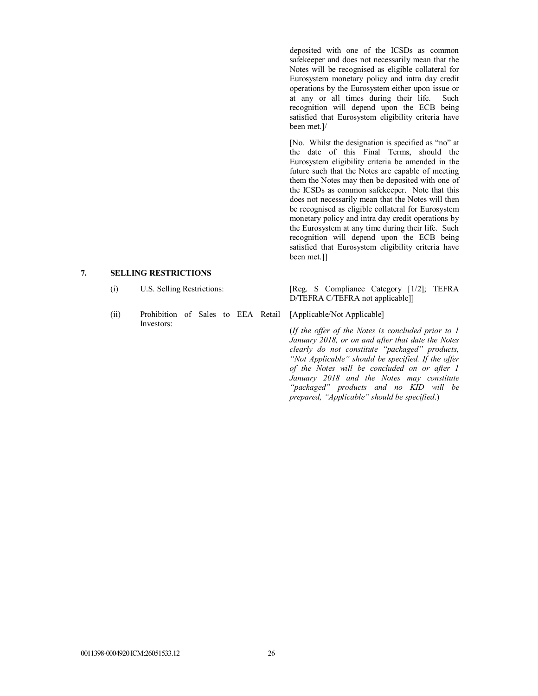deposited with one of the ICSDs as common safekeeper and does not necessarily mean that the Notes will be recognised as eligible collateral for Eurosystem monetary policy and intra day credit operations by the Eurosystem either upon issue or at any or all times during their life. Such recognition will depend upon the ECB being satisfied that Eurosystem eligibility criteria have been met.]/

[No. Whilst the designation is specified as "no" at the date of this Final Terms, should the Eurosystem eligibility criteria be amended in the future such that the Notes are capable of meeting them the Notes may then be deposited with one of the ICSDs as common safekeeper. Note that this does not necessarily mean that the Notes will then be recognised as eligible collateral for Eurosystem monetary policy and intra day credit operations by the Eurosystem at any time during their life. Such recognition will depend upon the ECB being satisfied that Eurosystem eligibility criteria have been met.]]

# **7. SELLING RESTRICTIONS**

- 
- (ii) Prohibition of Sales to EEA Retail Investors:

(i) U.S. Selling Restrictions: [Reg. S Compliance Category [1/2]; TEFRA D/TEFRA C/TEFRA not applicable]]

[Applicable/Not Applicable]

(*If the offer of the Notes is concluded prior to 1 January 2018, or on and after that date the Notes clearly do not constitute "packaged" products, "Not Applicable" should be specified. If the offer of the Notes will be concluded on or after 1 January 2018 and the Notes may constitute "packaged" products and no KID will be prepared, "Applicable" should be specified*.)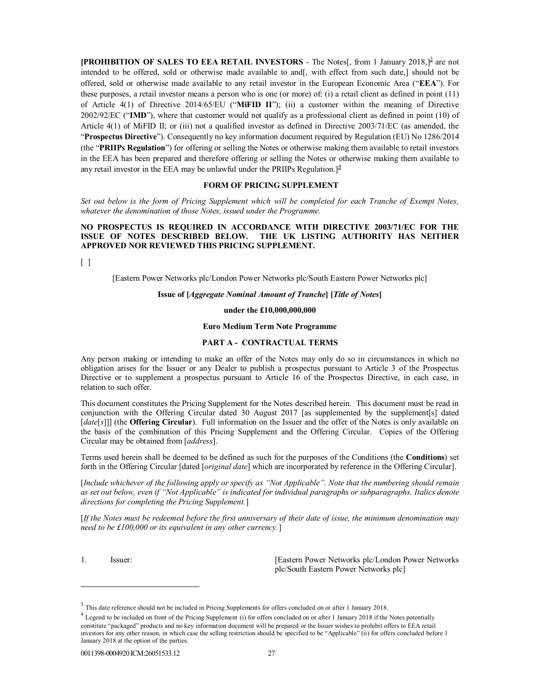**[PROHIBITION OF SALES TO EEA RETAIL INVESTORS** - The Notes<sup>[</sup>, from 1 January 2018, $]$ <sup>3</sup> are not intended to be offered, sold or otherwise made available to and[, with effect from such date,] should not be offered, sold or otherwise made available to any retail investor in the European Economic Area ("**EEA**"). For these purposes, a retail investor means a person who is one (or more) of: (i) a retail client as defined in point (11) of Article 4(1) of Directive 2014/65/EU ("**MiFID II**"); (ii) a customer within the meaning of Directive 2002/92/EC ("**IMD**"), where that customer would not qualify as a professional client as defined in point (10) of Article 4(1) of MiFID II; or (iii) not a qualified investor as defined in Directive 2003/71/EC (as amended, the "**Prospectus Directive**"). Consequently no key information document required by Regulation (EU) No 1286/2014 (the "**PRIIPs Regulation**") for offering or selling the Notes or otherwise making them available to retail investors in the EEA has been prepared and therefore offering or selling the Notes or otherwise making them available to any retail investor in the EEA may be unlawful under the PRIIPs Regulation.] 4

# **FORM OF PRICING SUPPLEMENT**

*Set out below is the form of Pricing Supplement which will be completed for each Tranche of Exempt Notes, whatever the denomination of those Notes, issued under the Programme.*

# **NO PROSPECTUS IS REQUIRED IN ACCORDANCE WITH DIRECTIVE 2003/71/EC FOR THE ISSUE OF NOTES DESCRIBED BELOW. THE UK LISTING AUTHORITY HAS NEITHER APPROVED NOR REVIEWED THIS PRICING SUPPLEMENT.**

 $\lceil \ \rceil$ 

[Eastern Power Networks plc/London Power Networks plc/South Eastern Power Networks plc]

# **Issue of [***Aggregate Nominal Amount of Tranche***] [***Title of Notes***]**

#### **under the £10,000,000,000**

#### **Euro Medium Term Note Programme**

# **PART A - CONTRACTUAL TERMS**

Any person making or intending to make an offer of the Notes may only do so in circumstances in which no obligation arises for the Issuer or any Dealer to publish a prospectus pursuant to Article 3 of the Prospectus Directive or to supplement a prospectus pursuant to Article 16 of the Prospectus Directive, in each case, in relation to such offer.

This document constitutes the Pricing Supplement for the Notes described herein. This document must be read in conjunction with the Offering Circular dated 30 August 2017 [as supplemented by the supplement[s] dated [*date*[*s*]]] (the **Offering Circular**). Full information on the Issuer and the offer of the Notes is only available on the basis of the combination of this Pricing Supplement and the Offering Circular. Copies of the Offering Circular may be obtained from [*address*].

Terms used herein shall be deemed to be defined as such for the purposes of the Conditions (the **Conditions**) set forth in the Offering Circular [dated [*original date*] which are incorporated by reference in the Offering Circular].

[*Include whichever of the following apply or specify as "Not Applicable". Note that the numbering should remain as set out below, even if "Not Applicable" is indicated for individual paragraphs or subparagraphs. Italics denote directions for completing the Pricing Supplement.*]

[*If the Notes must be redeemed before the first anniversary of their date of issue, the minimum denomination may need to be £100,000 or its equivalent in any other currency.*]

 $\overline{a}$ 

1. Issuer: [Eastern Power Networks plc/London Power Networks plc/South Eastern Power Networks plc]

 $3$  This date reference should not be included in Pricing Supplements for offers concluded on or after 1 January 2018.

 $<sup>4</sup>$  Legend to be included on front of the Pricing Supplement (i) for offers concluded on or after 1 January 2018 if the Notes potentially</sup> constitute "packaged" products and no key information document will be prepared or the Issuer wishes to prohibit offers to EEA retail investors for any other reason, in which case the selling restriction should be specified to be "Applicable" (ii) for offers concluded before 1 January 2018 at the option of the parties.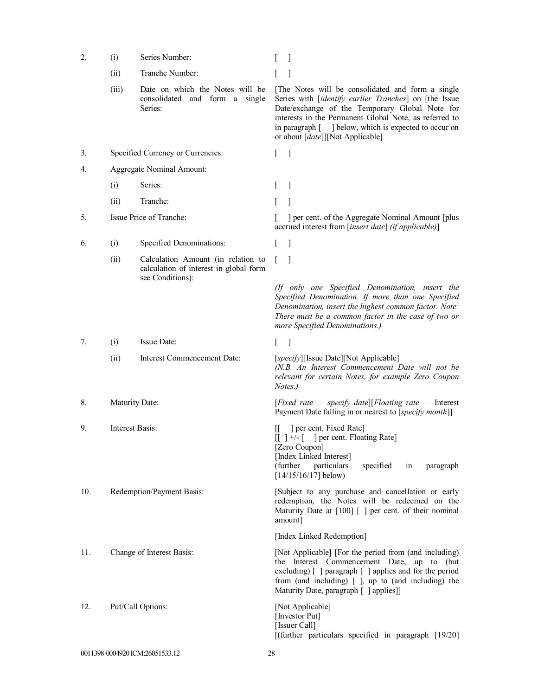| 2.  | (i)             | Series Number:                                                               |                                                                                                                                                                                                                                                                                                                     |
|-----|-----------------|------------------------------------------------------------------------------|---------------------------------------------------------------------------------------------------------------------------------------------------------------------------------------------------------------------------------------------------------------------------------------------------------------------|
|     | (ii)            | Tranche Number:                                                              |                                                                                                                                                                                                                                                                                                                     |
|     | (iii)           | Date on which the Notes will be<br>consolidated and form a single<br>Series: | [The Notes will be consolidated and form a single<br>Series with [identify earlier Tranches] on [the Issue<br>Date/exchange of the Temporary Global Note for<br>interests in the Permanent Global Note, as referred to<br>in paragraph [ ] below, which is expected to occur on<br>or about [date]][Not Applicable] |
| 3.  |                 | Specified Currency or Currencies:                                            | - 1<br>$\mathbf{L}$                                                                                                                                                                                                                                                                                                 |
| 4.  |                 | Aggregate Nominal Amount:                                                    |                                                                                                                                                                                                                                                                                                                     |
|     | (i)             | Series:                                                                      | -1                                                                                                                                                                                                                                                                                                                  |
|     | (ii)            | Tranche:                                                                     | 1                                                                                                                                                                                                                                                                                                                   |
| 5.  |                 | Issue Price of Tranche:                                                      | ] per cent. of the Aggregate Nominal Amount [plus]<br>accrued interest from [insert date] (if applicable)]                                                                                                                                                                                                          |
| 6.  | (i)             | Specified Denominations:                                                     | -1<br>L                                                                                                                                                                                                                                                                                                             |
|     | (ii)            | Calculation Amount (in relation to<br>calculation of interest in global form | 1                                                                                                                                                                                                                                                                                                                   |
|     |                 | see Conditions):                                                             | (If only one Specified Denomination, insert the<br>Specified Denomination. If more than one Specified<br>Denomination, insert the highest common factor. Note:<br>There must be a common factor in the case of two or<br>more Specified Denominations.)                                                             |
| 7.  | (i)             | Issue Date:                                                                  | $\overline{\phantom{a}}$<br>L                                                                                                                                                                                                                                                                                       |
|     | (i)             | Interest Commencement Date:                                                  | [specify][Issue Date][Not Applicable]<br>(N.B. An Interest Commencement Date will not be<br>relevant for certain Notes, for example Zero Coupon<br>Notes.)                                                                                                                                                          |
| 8.  | Maturity Date:  |                                                                              | [Fixed rate $-$ specify date][Floating rate $-$ Interest<br>Payment Date falling in or nearest to [specify month]]                                                                                                                                                                                                  |
| 9.  | Interest Basis: |                                                                              | per cent. Fixed Rate<br>Ш<br>$\begin{bmatrix} 1 \end{bmatrix}$ +/- $\begin{bmatrix} \end{bmatrix}$ per cent. Floating Rate<br>[Zero Coupon]<br>[Index Linked Interest]<br>(further)<br>particulars<br>specified<br>in<br>paragraph<br>$[14/15/16/17]$ below)                                                        |
| 10. |                 | Redemption/Payment Basis:                                                    | [Subject to any purchase and cancellation or early<br>redemption, the Notes will be redeemed on the<br>Maturity Date at $[100]$ $[$ $]$ per cent. of their nominal<br>amount]                                                                                                                                       |
|     |                 |                                                                              | [Index Linked Redemption]                                                                                                                                                                                                                                                                                           |
| 11. |                 | Change of Interest Basis:                                                    | [Not Applicable] [For the period from (and including)<br>the Interest Commencement Date, up to (but<br>excluding) [ ] paragraph [ ] applies and for the period<br>from (and including) [ ], up to (and including) the<br>Maturity Date, paragraph [ ] applies]]                                                     |
| 12. |                 | Put/Call Options:                                                            | [Not Applicable]<br>[Investor Put]<br>[Issuer Call]<br>[(further particulars specified in paragraph [19/20]                                                                                                                                                                                                         |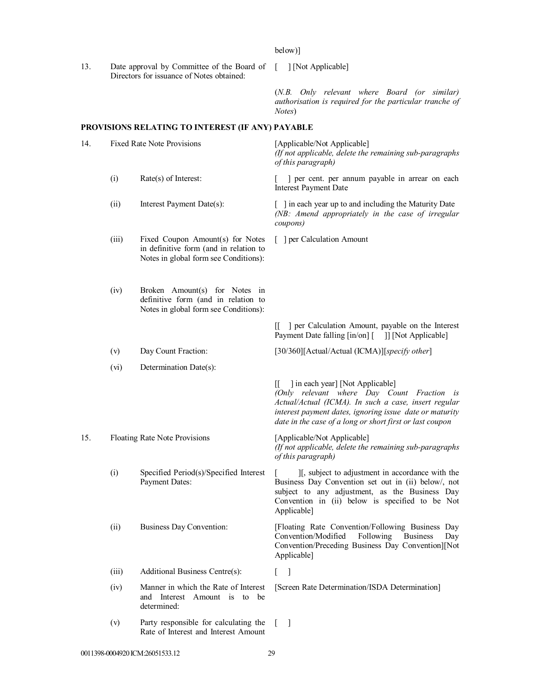below)]

13. Date approval by Committee of the Board of [ ] [Not Applicable] Directors for issuance of Notes obtained:

(*N.B. Only relevant where Board (or similar) authorisation is required for the particular tranche of Notes*)

# **PROVISIONS RELATING TO INTEREST (IF ANY) PAYABLE**

| 14. |       | <b>Fixed Rate Note Provisions</b>                                                                                   | [Applicable/Not Applicable]<br>(If not applicable, delete the remaining sub-paragraphs<br>of this paragraph)                                                                                                                                                        |
|-----|-------|---------------------------------------------------------------------------------------------------------------------|---------------------------------------------------------------------------------------------------------------------------------------------------------------------------------------------------------------------------------------------------------------------|
|     | (i)   | $Rate(s)$ of Interest:                                                                                              | ] per cent. per annum payable in arrear on each<br><b>Interest Payment Date</b>                                                                                                                                                                                     |
|     | (ii)  | Interest Payment Date(s):                                                                                           | [ ] in each year up to and including the Maturity Date<br>(NB: Amend appropriately in the case of irregular<br>coupons)                                                                                                                                             |
|     | (iii) | Fixed Coupon Amount(s) for Notes<br>in definitive form (and in relation to<br>Notes in global form see Conditions): | [ ] per Calculation Amount                                                                                                                                                                                                                                          |
|     | (iv)  | Broken Amount(s) for Notes in<br>definitive form (and in relation to<br>Notes in global form see Conditions):       |                                                                                                                                                                                                                                                                     |
|     |       |                                                                                                                     | ] per Calculation Amount, payable on the Interest<br>$\mathbf{H}$<br>Payment Date falling [in/on] [<br>]] [Not Applicable]                                                                                                                                          |
|     | (v)   | Day Count Fraction:                                                                                                 | [30/360][Actual/Actual (ICMA)][specify other]                                                                                                                                                                                                                       |
|     | (vi)  | Determination Date(s):                                                                                              |                                                                                                                                                                                                                                                                     |
|     |       |                                                                                                                     | 1 in each year] [Not Applicable]<br>Ш.<br>(Only relevant where Day Count Fraction is<br>Actual/Actual (ICMA). In such a case, insert regular<br>interest payment dates, ignoring issue date or maturity<br>date in the case of a long or short first or last coupon |
| 15. |       | Floating Rate Note Provisions                                                                                       | [Applicable/Not Applicable]<br>(If not applicable, delete the remaining sub-paragraphs<br>of this paragraph)                                                                                                                                                        |
|     | (i)   | Specified Period(s)/Specified Interest<br>Payment Dates:                                                            | [J, subject to adjustment in accordance with the<br>Business Day Convention set out in (ii) below/, not<br>subject to any adjustment, as the Business Day<br>Convention in (ii) below is specified to be Not<br>Applicable]                                         |
|     | (ii)  | Business Day Convention:                                                                                            | [Floating Rate Convention/Following Business Day<br>Convention/Modified<br>Following<br><b>Business</b><br>Day<br>Convention/Preceding Business Day Convention][Not<br>Applicable]                                                                                  |
|     | (iii) | Additional Business Centre(s):                                                                                      | $\lceil$<br>$\mathbb{L}$                                                                                                                                                                                                                                            |
|     | (iv)  | Manner in which the Rate of Interest<br>and Interest Amount is to be<br>determined:                                 | [Screen Rate Determination/ISDA Determination]                                                                                                                                                                                                                      |
|     | (v)   | Party responsible for calculating the<br>Rate of Interest and Interest Amount                                       | - 1<br>$\mathbf{L}$                                                                                                                                                                                                                                                 |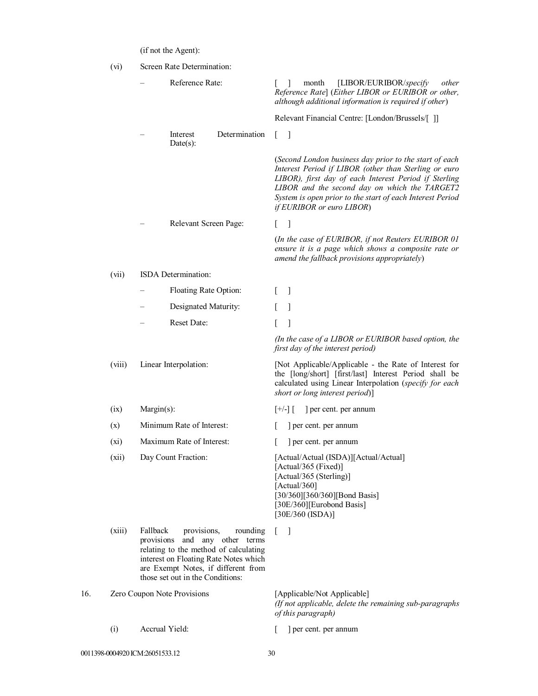(if not the Agent):

|     | (vi)   |                        | Screen Rate Determination:                                                                                                                                               |                                 |              |                                                                                                                                                                                                                                                                                                                     |
|-----|--------|------------------------|--------------------------------------------------------------------------------------------------------------------------------------------------------------------------|---------------------------------|--------------|---------------------------------------------------------------------------------------------------------------------------------------------------------------------------------------------------------------------------------------------------------------------------------------------------------------------|
|     |        |                        | Reference Rate:                                                                                                                                                          |                                 |              | month<br>[LIBOR/EURIBOR/specify<br>$\perp$<br>other<br>Reference Rate] (Either LIBOR or EURIBOR or other,<br>although additional information is required if other)                                                                                                                                                  |
|     |        |                        |                                                                                                                                                                          |                                 |              | Relevant Financial Centre: [London/Brussels/[]]                                                                                                                                                                                                                                                                     |
|     |        |                        | Interest<br>$Date(s)$ :                                                                                                                                                  | Determination                   | $\mathbf{L}$ | - 1                                                                                                                                                                                                                                                                                                                 |
|     |        |                        |                                                                                                                                                                          |                                 |              | (Second London business day prior to the start of each<br>Interest Period if LIBOR (other than Sterling or euro<br>LIBOR), first day of each Interest Period if Sterling<br>LIBOR and the second day on which the TARGET2<br>System is open prior to the start of each Interest Period<br>if EURIBOR or euro LIBOR) |
|     |        |                        | Relevant Screen Page:                                                                                                                                                    |                                 | L            | 1                                                                                                                                                                                                                                                                                                                   |
|     |        |                        |                                                                                                                                                                          |                                 |              | (In the case of EURIBOR, if not Reuters EURIBOR 01<br>ensure it is a page which shows a composite rate or<br>amend the fallback provisions appropriately)                                                                                                                                                           |
|     | (vii)  |                        | ISDA Determination:                                                                                                                                                      |                                 |              |                                                                                                                                                                                                                                                                                                                     |
|     |        |                        | Floating Rate Option:                                                                                                                                                    |                                 |              | $\perp$                                                                                                                                                                                                                                                                                                             |
|     |        |                        | Designated Maturity:                                                                                                                                                     |                                 |              | <sup>1</sup>                                                                                                                                                                                                                                                                                                        |
|     |        |                        | Reset Date:                                                                                                                                                              |                                 |              |                                                                                                                                                                                                                                                                                                                     |
|     |        |                        |                                                                                                                                                                          |                                 |              | (In the case of a LIBOR or EURIBOR based option, the<br>first day of the interest period)                                                                                                                                                                                                                           |
|     | (viii) |                        | Linear Interpolation:                                                                                                                                                    |                                 |              | [Not Applicable/Applicable - the Rate of Interest for<br>the [long/short] [first/last] Interest Period shall be<br>calculated using Linear Interpolation (specify for each<br>short or long interest period)]                                                                                                       |
|     | (ix)   | Margin(s):             |                                                                                                                                                                          |                                 |              | ] per cent. per annum<br>$[+/$ - $]$ $[$                                                                                                                                                                                                                                                                            |
|     | (x)    |                        | Minimum Rate of Interest:                                                                                                                                                |                                 |              | ] per cent. per annum                                                                                                                                                                                                                                                                                               |
|     | (xi)   |                        | Maximum Rate of Interest:                                                                                                                                                |                                 |              | ] per cent. per annum                                                                                                                                                                                                                                                                                               |
|     | (xii)  |                        | Day Count Fraction:                                                                                                                                                      |                                 |              | [Actual/Actual (ISDA)][Actual/Actual]<br>[Actual/365 (Fixed)]<br>[Actual/365 (Sterling)]<br>[Actual/360]<br>[30/360][360/360][Bond Basis]<br>[30E/360][Eurobond Basis]<br>[30E/360 (ISDA)]                                                                                                                          |
|     | (xiii) | Fallback<br>provisions | provisions,<br>relating to the method of calculating<br>interest on Floating Rate Notes which<br>are Exempt Notes, if different from<br>those set out in the Conditions: | rounding<br>and any other terms |              | -1                                                                                                                                                                                                                                                                                                                  |
| 16. |        |                        | Zero Coupon Note Provisions                                                                                                                                              |                                 |              | [Applicable/Not Applicable]<br>(If not applicable, delete the remaining sub-paragraphs<br>of this paragraph)                                                                                                                                                                                                        |

(i) Accrual Yield: [ ] per cent. per annum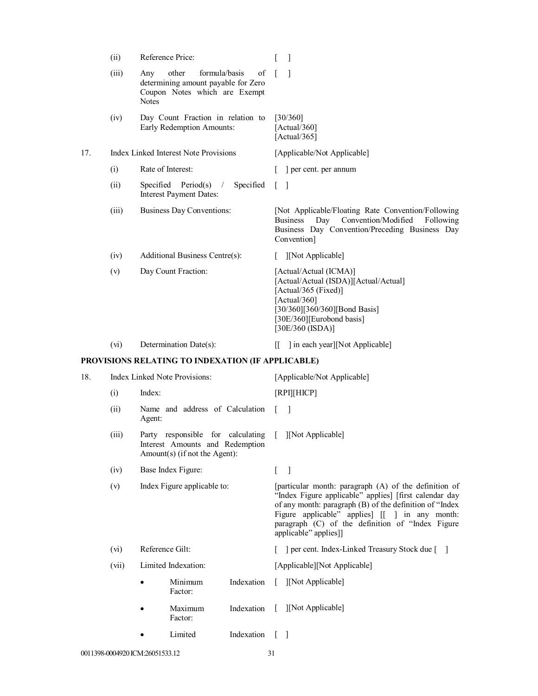|     | (ii)  | Reference Price:                                                                                                            |                                                                                                                                                                                           |
|-----|-------|-----------------------------------------------------------------------------------------------------------------------------|-------------------------------------------------------------------------------------------------------------------------------------------------------------------------------------------|
|     | (iii) | formula/basis<br>of<br>other<br>Any<br>determining amount payable for Zero<br>Coupon Notes which are Exempt<br><b>Notes</b> | $\Gamma$<br>- 1                                                                                                                                                                           |
|     | (iv)  | Day Count Fraction in relation to<br>Early Redemption Amounts:                                                              | [30/360]<br>[Actual/360]<br>[Actual/365]                                                                                                                                                  |
| 17. |       | Index Linked Interest Note Provisions                                                                                       | [Applicable/Not Applicable]                                                                                                                                                               |
|     | (i)   | Rate of Interest:                                                                                                           | per cent. per annum                                                                                                                                                                       |
|     | (ii)  | Specificed Period(s)<br>Specified<br>$\sqrt{2}$<br><b>Interest Payment Dates:</b>                                           | $\Box$                                                                                                                                                                                    |
|     | (iii) | Business Day Conventions:                                                                                                   | [Not Applicable/Floating Rate Convention/Following<br>Day Convention/Modified<br><b>Business</b><br>Following<br>Business Day Convention/Preceding Business Day<br>Convention]            |
|     | (iv)  | Additional Business Centre(s):                                                                                              | [Not Applicable]                                                                                                                                                                          |
|     | (v)   | Day Count Fraction:                                                                                                         | [Actual/Actual (ICMA)]<br>[Actual/Actual (ISDA)][Actual/Actual]<br>[Actual/365 (Fixed)]<br>[Actual/360]<br>[30/360][360/360][Bond Basis]<br>[30E/360][Eurobond basis]<br>[30E/360 (ISDA)] |
|     |       |                                                                                                                             |                                                                                                                                                                                           |

(vi) Determination Date(s): [[ ] in each year][Not Applicable]

# **PROVISIONS RELATING TO INDEXATION (IF APPLICABLE)**

| 18. | Index Linked Note Provisions: |                                                                                                         |                                 |                                                                                                                                                                                                                                                                                                           |                                              | [Applicable/Not Applicable]  |  |  |
|-----|-------------------------------|---------------------------------------------------------------------------------------------------------|---------------------------------|-----------------------------------------------------------------------------------------------------------------------------------------------------------------------------------------------------------------------------------------------------------------------------------------------------------|----------------------------------------------|------------------------------|--|--|
|     | (i)                           | Index:                                                                                                  |                                 |                                                                                                                                                                                                                                                                                                           |                                              | [RPI][HICP]                  |  |  |
|     | (ii)                          | Agent:                                                                                                  | Name and address of Calculation |                                                                                                                                                                                                                                                                                                           |                                              |                              |  |  |
|     | (iii)                         | Party responsible for calculating<br>Interest Amounts and Redemption<br>$Amount(s)$ (if not the Agent): |                                 |                                                                                                                                                                                                                                                                                                           | [ ][Not Applicable]                          |                              |  |  |
|     | (iv)                          | Base Index Figure:                                                                                      |                                 |                                                                                                                                                                                                                                                                                                           | $\begin{bmatrix} 1 \end{bmatrix}$            |                              |  |  |
|     | (v)                           | Index Figure applicable to:                                                                             |                                 | [particular month: paragraph (A) of the definition of<br>"Index Figure applicable" applies] [first calendar day<br>of any month: paragraph (B) of the definition of "Index<br>Figure applicable" applies] [[ ] in any month:<br>paragraph (C) of the definition of "Index Figure<br>applicable" applies]] |                                              |                              |  |  |
|     | (vi)                          | Reference Gilt:                                                                                         |                                 |                                                                                                                                                                                                                                                                                                           | per cent. Index-Linked Treasury Stock due [] |                              |  |  |
|     | (vii)                         |                                                                                                         | Limited Indexation:             |                                                                                                                                                                                                                                                                                                           |                                              | [Applicable][Not Applicable] |  |  |
|     |                               |                                                                                                         | Minimum<br>Factor:              | Indexation                                                                                                                                                                                                                                                                                                |                                              | [ ][Not Applicable]          |  |  |
|     |                               |                                                                                                         | Maximum<br>Factor:              | Indexation                                                                                                                                                                                                                                                                                                | $\lceil$                                     | [Not Applicable]             |  |  |
|     |                               |                                                                                                         | Limited                         | Indexation                                                                                                                                                                                                                                                                                                |                                              |                              |  |  |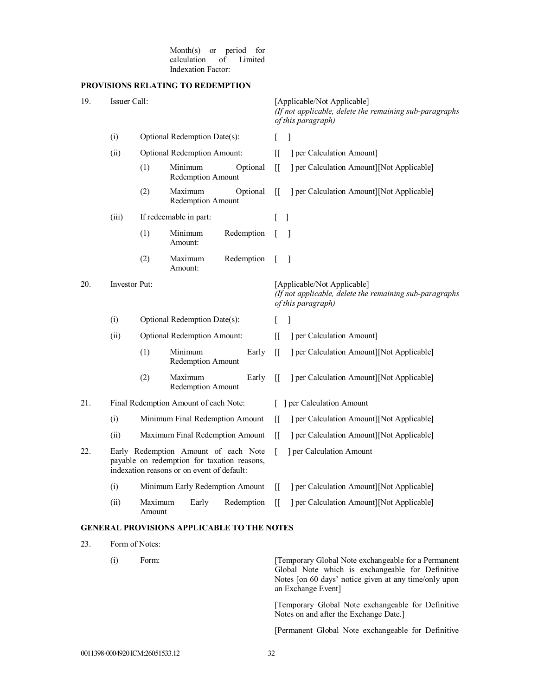Month(s) or period for calculation of Limited Indexation Factor:

# **PROVISIONS RELATING TO REDEMPTION**

| 19. | Issuer Call:                                                                                                                      |                                 |                                                   |            |       | [Applicable/Not Applicable]<br>(If not applicable, delete the remaining sub-paragraphs<br>of this paragraph) |                                                                                                              |
|-----|-----------------------------------------------------------------------------------------------------------------------------------|---------------------------------|---------------------------------------------------|------------|-------|--------------------------------------------------------------------------------------------------------------|--------------------------------------------------------------------------------------------------------------|
|     | (i)                                                                                                                               |                                 | Optional Redemption Date(s):                      |            |       | L                                                                                                            | 1                                                                                                            |
|     | (ii)                                                                                                                              |                                 | <b>Optional Redemption Amount:</b>                |            |       | Œ                                                                                                            | ] per Calculation Amount]                                                                                    |
|     |                                                                                                                                   | (1)                             | Minimum<br>Redemption Amount                      | Optional   |       | $\mathbb{I}$                                                                                                 | ] per Calculation Amount][Not Applicable]                                                                    |
|     |                                                                                                                                   | (2)                             | Maximum<br>Redemption Amount                      | Optional   |       | $\mathbb{I}$                                                                                                 | ] per Calculation Amount][Not Applicable]                                                                    |
|     | (iii)                                                                                                                             |                                 | If redeemable in part:                            |            |       | L                                                                                                            | -1                                                                                                           |
|     |                                                                                                                                   | (1)                             | Minimum<br>Amount:                                | Redemption |       | L                                                                                                            | -1                                                                                                           |
|     |                                                                                                                                   | (2)                             | Maximum<br>Amount:                                | Redemption |       | L                                                                                                            | $\overline{\phantom{a}}$                                                                                     |
| 20. | Investor Put:                                                                                                                     |                                 |                                                   |            |       |                                                                                                              | [Applicable/Not Applicable]<br>(If not applicable, delete the remaining sub-paragraphs<br>of this paragraph) |
|     | (i)                                                                                                                               | Optional Redemption Date(s):    |                                                   |            |       | L                                                                                                            |                                                                                                              |
|     | (ii)                                                                                                                              |                                 | <b>Optional Redemption Amount:</b>                |            |       | ſſ                                                                                                           | ] per Calculation Amount]                                                                                    |
|     |                                                                                                                                   | (1)                             | Minimum<br>Redemption Amount                      |            | Early | Π                                                                                                            | ] per Calculation Amount][Not Applicable]                                                                    |
|     |                                                                                                                                   | (2)                             | Maximum<br>Redemption Amount                      |            | Early | Π                                                                                                            | ] per Calculation Amount][Not Applicable]                                                                    |
| 21. | Final Redemption Amount of each Note:                                                                                             |                                 |                                                   |            |       |                                                                                                              | ] per Calculation Amount                                                                                     |
|     | (i)                                                                                                                               | Minimum Final Redemption Amount |                                                   |            |       | ſΓ                                                                                                           | ] per Calculation Amount][Not Applicable]                                                                    |
|     | (ii)                                                                                                                              | Maximum Final Redemption Amount |                                                   |            |       | Π                                                                                                            | ] per Calculation Amount][Not Applicable]                                                                    |
| 22. | Early Redemption Amount of each Note<br>payable on redemption for taxation reasons,<br>indexation reasons or on event of default: |                                 |                                                   |            |       | L                                                                                                            | ] per Calculation Amount                                                                                     |
|     | (i)                                                                                                                               |                                 |                                                   |            |       |                                                                                                              | Minimum Early Redemption Amount [[ ] per Calculation Amount][Not Applicable]                                 |
|     | (ii)                                                                                                                              | Maximum<br>Amount               | Early                                             |            |       |                                                                                                              | Redemption [[ ] per Calculation Amount][Not Applicable]                                                      |
|     |                                                                                                                                   |                                 | <b>GENERAL PROVISIONS APPLICABLE TO THE NOTES</b> |            |       |                                                                                                              |                                                                                                              |
| 23. | Form of Notes:                                                                                                                    |                                 |                                                   |            |       |                                                                                                              |                                                                                                              |
|     | (i)                                                                                                                               | Form:                           |                                                   |            |       |                                                                                                              | [Temporary Global Note exchangeable for a Permanent                                                          |

Global Note which is exchangeable for Definitive Notes [on 60 days' notice given at any time/only upon an Exchange Event]

[Temporary Global Note exchangeable for Definitive Notes on and after the Exchange Date.]

[Permanent Global Note exchangeable for Definitive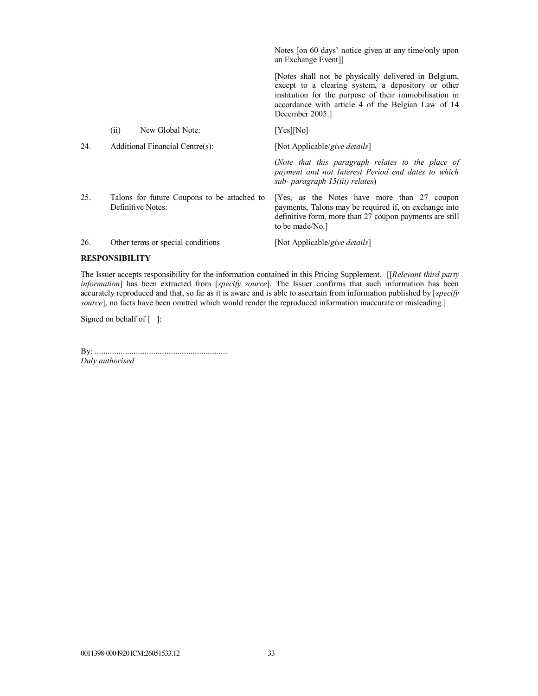|     |                   |                                             | Notes [on 60 days' notice given at any time/only upon<br>an Exchange Event]                                                                                                                                                                  |
|-----|-------------------|---------------------------------------------|----------------------------------------------------------------------------------------------------------------------------------------------------------------------------------------------------------------------------------------------|
|     |                   |                                             | [Notes shall not be physically delivered in Belgium,<br>except to a clearing system, a depository or other<br>institution for the purpose of their immobilisation in<br>accordance with article 4 of the Belgian Law of 14<br>December 2005. |
|     | (i)               | New Global Note:                            | [Yes][No]                                                                                                                                                                                                                                    |
| 24. |                   | Additional Financial Centre(s):             | [Not Applicable/give details]                                                                                                                                                                                                                |
|     |                   |                                             | (Note that this paragraph relates to the place of<br>payment and not Interest Period end dates to which<br>sub- paragraph 15(iii) relates)                                                                                                   |
| 25. | Definitive Notes: | Talons for future Coupons to be attached to | [Yes, as the Notes have more than 27 coupon<br>payments, Talons may be required if, on exchange into<br>definitive form, more than 27 coupon payments are still<br>to be made/No.                                                            |
| 26. |                   | Other terms or special conditions           | [Not Applicable/give details]                                                                                                                                                                                                                |

# **RESPONSIBILITY**

The Issuer accepts responsibility for the information contained in this Pricing Supplement.[[*Relevant third party information*] has been extracted from [*specify source*]. The Issuer confirms that such information has been accurately reproduced and that, so far as it is aware and is able to ascertain from information published by [*specify source*], no facts have been omitted which would render the reproduced information inaccurate or misleading.]

Signed on behalf of [ ]:

By: ............................................................. *Duly authorised*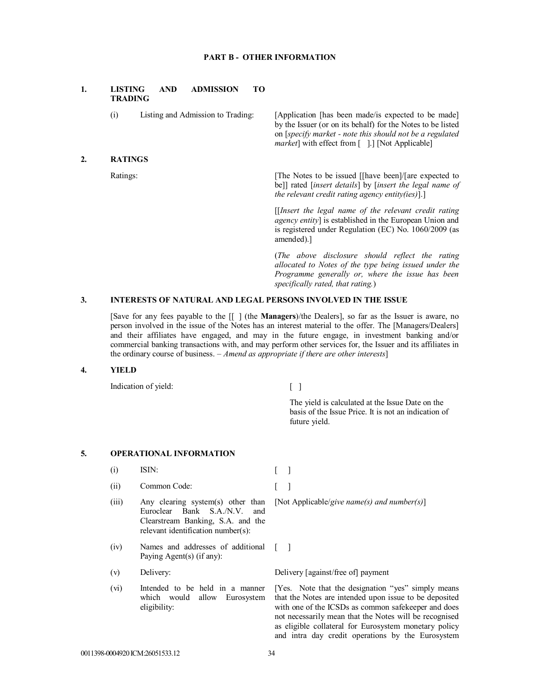# **PART B - OTHER INFORMATION**

| 1. | <b>LISTING</b> | AND | <b>ADMISSION</b> | TO. |
|----|----------------|-----|------------------|-----|
|    | <b>TRADING</b> |     |                  |     |

| (i) | Listing and Admission to Trading: | [Applic           |
|-----|-----------------------------------|-------------------|
|     |                                   | $h_{\rm V}$ the I |

# **2. RATINGS**

ation [has been made/is expected to be made] by the Issuer (or on its behalf) for the Notes to be listed on [*specify market - note this should not be a regulated market*] with effect from [ ].] [Not Applicable]

Ratings: [The Notes to be issued [[have been]/[are expected to be]] rated [*insert details*] by [*insert the legal name of the relevant credit rating agency entity(ies)*].]

> [[*Insert the legal name of the relevant credit rating agency entity*] is established in the European Union and is registered under Regulation (EC) No. 1060/2009 (as amended).]

> (*The above disclosure should reflect the rating allocated to Notes of the type being issued under the Programme generally or, where the issue has been specifically rated, that rating.*)

# **3. INTERESTS OF NATURAL AND LEGAL PERSONS INVOLVED IN THE ISSUE**

[Save for any fees payable to the [[ ] (the **Managers**)/the Dealers], so far as the Issuer is aware, no person involved in the issue of the Notes has an interest material to the offer. The [Managers/Dealers] and their affiliates have engaged, and may in the future engage, in investment banking and/or commercial banking transactions with, and may perform other services for, the Issuer and its affiliates in the ordinary course of business. – *Amend as appropriate if there are other interests*]

#### **4. YIELD**

Indication of yield: [ ]

The yield is calculated at the Issue Date on the basis of the Issue Price. It is not an indication of future yield.

#### **5. OPERATIONAL INFORMATION**

(i) ISIN:  $\begin{bmatrix} \phantom{-} \end{bmatrix}$ 

(ii) Common Code: [ ]

- (iii) Any clearing system(s) other than Euroclear Bank S.A./N.V. and Clearstream Banking, S.A. and the relevant identification number(s):
- (iv) Names and addresses of additional Paying Agent(s) (if any):
- 
- (vi) Intended to be held in a manner which would allow Eurosystem eligibility:

[Not Applicable/*give name(s) and number(s)*]

[ ]

(v) Delivery: Delivery [against/free of] payment

[Yes. Note that the designation "yes" simply means that the Notes are intended upon issue to be deposited with one of the ICSDs as common safekeeper and does not necessarily mean that the Notes will be recognised as eligible collateral for Eurosystem monetary policy and intra day credit operations by the Eurosystem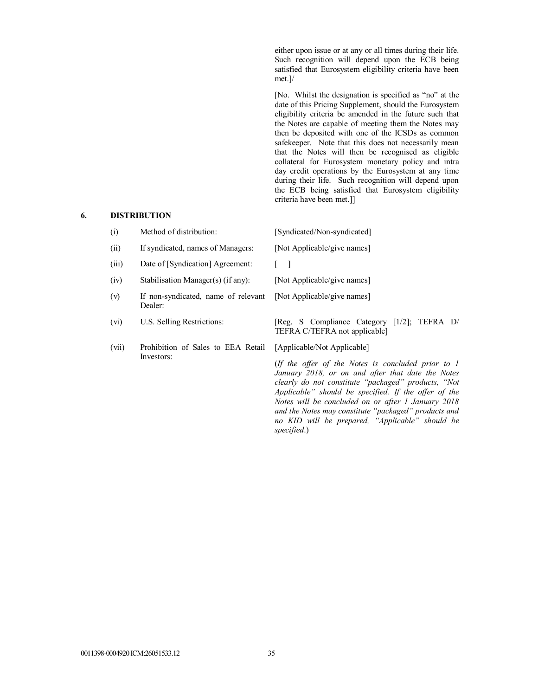either upon issue or at any or all times during their life. Such recognition will depend upon the ECB being satisfied that Eurosystem eligibility criteria have been met.]/

[No. Whilst the designation is specified as "no" at the date of this Pricing Supplement, should the Eurosystem eligibility criteria be amended in the future such that the Notes are capable of meeting them the Notes may then be deposited with one of the ICSDs as common safekeeper. Note that this does not necessarily mean that the Notes will then be recognised as eligible collateral for Eurosystem monetary policy and intra day credit operations by the Eurosystem at any time during their life. Such recognition will depend upon the ECB being satisfied that Eurosystem eligibility criteria have been met.]]

# **6. DISTRIBUTION**

| (i)   | Method of distribution:                        | [Syndicated/Non-syndicated]                                                                                                                                                                                                                                                                                                                                                               |
|-------|------------------------------------------------|-------------------------------------------------------------------------------------------------------------------------------------------------------------------------------------------------------------------------------------------------------------------------------------------------------------------------------------------------------------------------------------------|
| (ii)  | If syndicated, names of Managers:              | [Not Applicable/give names]                                                                                                                                                                                                                                                                                                                                                               |
| (iii) | Date of [Syndication] Agreement:               |                                                                                                                                                                                                                                                                                                                                                                                           |
| (iv)  | Stabilisation Manager(s) (if any):             | [Not Applicable/give names]                                                                                                                                                                                                                                                                                                                                                               |
| (v)   | If non-syndicated, name of relevant<br>Dealer: | [Not Applicable/give names]                                                                                                                                                                                                                                                                                                                                                               |
| (vi)  | U.S. Selling Restrictions:                     | [Reg. S Compliance Category [1/2]; TEFRA D/<br>TEFRA C/TEFRA not applicable                                                                                                                                                                                                                                                                                                               |
| (vii) | Prohibition of Sales to EEA Retail             | [Applicable/Not Applicable]                                                                                                                                                                                                                                                                                                                                                               |
|       | Investors:                                     | (If the offer of the Notes is concluded prior to $I$<br>January 2018, or on and after that date the Notes<br>clearly do not constitute "packaged" products, "Not<br>Applicable" should be specified. If the offer of the<br>Notes will be concluded on or after 1 January 2018<br>and the Notes may constitute "packaged" products and<br>no KID will be prepared, "Applicable" should be |

*specified*.)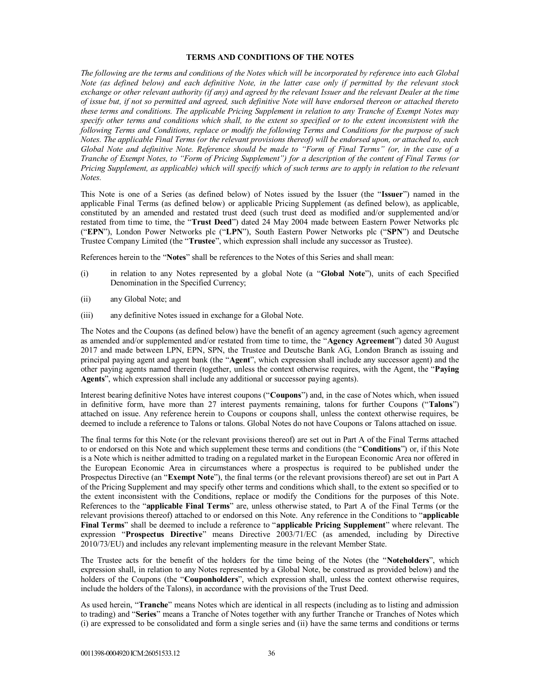# **TERMS AND CONDITIONS OF THE NOTES**

*The following are the terms and conditions of the Notes which will be incorporated by reference into each Global Note (as defined below) and each definitive Note, in the latter case only if permitted by the relevant stock exchange or other relevant authority (if any) and agreed by the relevant Issuer and the relevant Dealer at the time of issue but, if not so permitted and agreed, such definitive Note will have endorsed thereon or attached thereto these terms and conditions. The applicable Pricing Supplement in relation to any Tranche of Exempt Notes may specify other terms and conditions which shall, to the extent so specified or to the extent inconsistent with the following Terms and Conditions, replace or modify the following Terms and Conditions for the purpose of such Notes. The applicable Final Terms (or the relevant provisions thereof) will be endorsed upon, or attached to, each Global Note and definitive Note. Reference should be made to "Form of Final Terms" (or, in the case of a Tranche of Exempt Notes, to "Form of Pricing Supplement") for a description of the content of Final Terms (or Pricing Supplement, as applicable) which will specify which of such terms are to apply in relation to the relevant Notes.*

This Note is one of a Series (as defined below) of Notes issued by the Issuer (the "**Issuer**") named in the applicable Final Terms (as defined below) or applicable Pricing Supplement (as defined below), as applicable, constituted by an amended and restated trust deed (such trust deed as modified and/or supplemented and/or restated from time to time, the "**Trust Deed**") dated 24 May 2004 made between Eastern Power Networks plc ("**EPN**"), London Power Networks plc ("**LPN**"), South Eastern Power Networks plc ("**SPN**") and Deutsche Trustee Company Limited (the "**Trustee**", which expression shall include any successor as Trustee).

References herein to the "**Notes**" shall be references to the Notes of this Series and shall mean:

- (i) in relation to any Notes represented by a global Note (a "**Global Note**"), units of each Specified Denomination in the Specified Currency;
- (ii) any Global Note; and
- (iii) any definitive Notes issued in exchange for a Global Note.

The Notes and the Coupons (as defined below) have the benefit of an agency agreement (such agency agreement as amended and/or supplemented and/or restated from time to time, the "**Agency Agreement**") dated 30 August 2017 and made between LPN, EPN, SPN, the Trustee and Deutsche Bank AG, London Branch as issuing and principal paying agent and agent bank (the "**Agent**", which expression shall include any successor agent) and the other paying agents named therein (together, unless the context otherwise requires, with the Agent, the "**Paying Agents**", which expression shall include any additional or successor paying agents).

Interest bearing definitive Notes have interest coupons ("**Coupons**") and, in the case of Notes which, when issued in definitive form, have more than 27 interest payments remaining, talons for further Coupons ("**Talons**") attached on issue. Any reference herein to Coupons or coupons shall, unless the context otherwise requires, be deemed to include a reference to Talons or talons. Global Notes do not have Coupons or Talons attached on issue.

The final terms for this Note (or the relevant provisions thereof) are set out in Part A of the Final Terms attached to or endorsed on this Note and which supplement these terms and conditions (the "**Conditions**") or, if this Note is a Note which is neither admitted to trading on a regulated market in the European Economic Area nor offered in the European Economic Area in circumstances where a prospectus is required to be published under the Prospectus Directive (an "**Exempt Note**"), the final terms (or the relevant provisions thereof) are set out in Part A of the Pricing Supplement and may specify other terms and conditions which shall, to the extent so specified or to the extent inconsistent with the Conditions, replace or modify the Conditions for the purposes of this Note. References to the "**applicable Final Terms**" are, unless otherwise stated, to Part A of the Final Terms (or the relevant provisions thereof) attached to or endorsed on this Note. Any reference in the Conditions to "**applicable Final Terms**" shall be deemed to include a reference to "**applicable Pricing Supplement**" where relevant. The expression "**Prospectus Directive**" means Directive 2003/71/EC (as amended, including by Directive 2010/73/EU) and includes any relevant implementing measure in the relevant Member State.

The Trustee acts for the benefit of the holders for the time being of the Notes (the "**Noteholders**", which expression shall, in relation to any Notes represented by a Global Note, be construed as provided below) and the holders of the Coupons (the "**Couponholders**", which expression shall, unless the context otherwise requires, include the holders of the Talons), in accordance with the provisions of the Trust Deed.

As used herein, "**Tranche**" means Notes which are identical in all respects (including as to listing and admission to trading) and "**Series**" means a Tranche of Notes together with any further Tranche or Tranches of Notes which (i) are expressed to be consolidated and form a single series and (ii) have the same terms and conditions or terms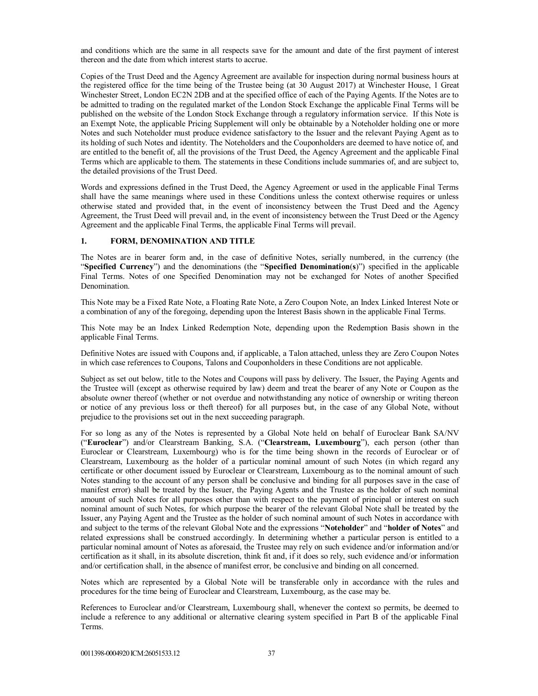and conditions which are the same in all respects save for the amount and date of the first payment of interest thereon and the date from which interest starts to accrue.

Copies of the Trust Deed and the Agency Agreement are available for inspection during normal business hours at the registered office for the time being of the Trustee being (at 30 August 2017) at Winchester House, 1 Great Winchester Street, London EC2N 2DB and at the specified office of each of the Paying Agents. If the Notes are to be admitted to trading on the regulated market of the London Stock Exchange the applicable Final Terms will be published on the website of the London Stock Exchange through a regulatory information service. If this Note is an Exempt Note, the applicable Pricing Supplement will only be obtainable by a Noteholder holding one or more Notes and such Noteholder must produce evidence satisfactory to the Issuer and the relevant Paying Agent as to its holding of such Notes and identity. The Noteholders and the Couponholders are deemed to have notice of, and are entitled to the benefit of, all the provisions of the Trust Deed, the Agency Agreement and the applicable Final Terms which are applicable to them. The statements in these Conditions include summaries of, and are subject to, the detailed provisions of the Trust Deed.

Words and expressions defined in the Trust Deed, the Agency Agreement or used in the applicable Final Terms shall have the same meanings where used in these Conditions unless the context otherwise requires or unless otherwise stated and provided that, in the event of inconsistency between the Trust Deed and the Agency Agreement, the Trust Deed will prevail and, in the event of inconsistency between the Trust Deed or the Agency Agreement and the applicable Final Terms, the applicable Final Terms will prevail.

## **1. FORM, DENOMINATION AND TITLE**

The Notes are in bearer form and, in the case of definitive Notes, serially numbered, in the currency (the "**Specified Currency**") and the denominations (the "**Specified Denomination**(**s**)") specified in the applicable Final Terms. Notes of one Specified Denomination may not be exchanged for Notes of another Specified Denomination.

This Note may be a Fixed Rate Note, a Floating Rate Note, a Zero Coupon Note, an Index Linked Interest Note or a combination of any of the foregoing, depending upon the Interest Basis shown in the applicable Final Terms.

This Note may be an Index Linked Redemption Note, depending upon the Redemption Basis shown in the applicable Final Terms.

Definitive Notes are issued with Coupons and, if applicable, a Talon attached, unless they are Zero Coupon Notes in which case references to Coupons, Talons and Couponholders in these Conditions are not applicable.

Subject as set out below, title to the Notes and Coupons will pass by delivery. The Issuer, the Paying Agents and the Trustee will (except as otherwise required by law) deem and treat the bearer of any Note or Coupon as the absolute owner thereof (whether or not overdue and notwithstanding any notice of ownership or writing thereon or notice of any previous loss or theft thereof) for all purposes but, in the case of any Global Note, without prejudice to the provisions set out in the next succeeding paragraph.

For so long as any of the Notes is represented by a Global Note held on behalf of Euroclear Bank SA/NV ("**Euroclear**") and/or Clearstream Banking, S.A. ("**Clearstream, Luxembourg**"), each person (other than Euroclear or Clearstream, Luxembourg) who is for the time being shown in the records of Euroclear or of Clearstream, Luxembourg as the holder of a particular nominal amount of such Notes (in which regard any certificate or other document issued by Euroclear or Clearstream, Luxembourg as to the nominal amount of such Notes standing to the account of any person shall be conclusive and binding for all purposes save in the case of manifest error) shall be treated by the Issuer, the Paying Agents and the Trustee as the holder of such nominal amount of such Notes for all purposes other than with respect to the payment of principal or interest on such nominal amount of such Notes, for which purpose the bearer of the relevant Global Note shall be treated by the Issuer, any Paying Agent and the Trustee as the holder of such nominal amount of such Notes in accordance with and subject to the terms of the relevant Global Note and the expressions "**Noteholder**" and "**holder of Notes**" and related expressions shall be construed accordingly. In determining whether a particular person is entitled to a particular nominal amount of Notes as aforesaid, the Trustee may rely on such evidence and/or information and/or certification as it shall, in its absolute discretion, think fit and, if it does so rely, such evidence and/or information and/or certification shall, in the absence of manifest error, be conclusive and binding on all concerned.

Notes which are represented by a Global Note will be transferable only in accordance with the rules and procedures for the time being of Euroclear and Clearstream, Luxembourg, as the case may be.

References to Euroclear and/or Clearstream, Luxembourg shall, whenever the context so permits, be deemed to include a reference to any additional or alternative clearing system specified in Part B of the applicable Final Terms.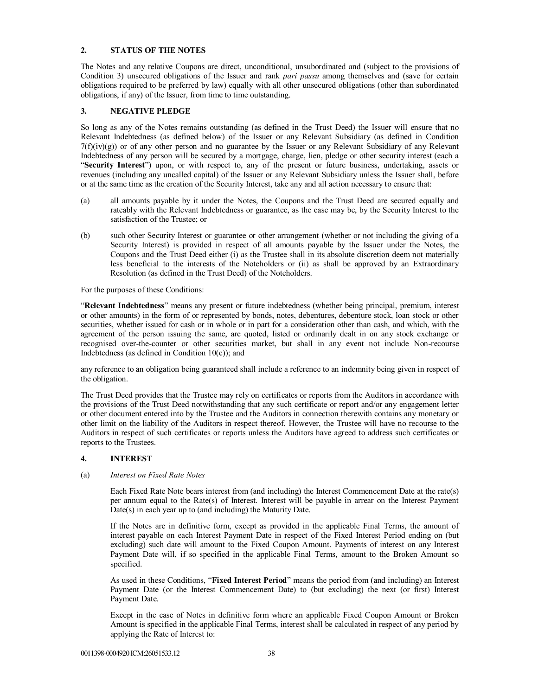## **2. STATUS OF THE NOTES**

The Notes and any relative Coupons are direct, unconditional, unsubordinated and (subject to the provisions of Condition 3) unsecured obligations of the Issuer and rank *pari passu* among themselves and (save for certain obligations required to be preferred by law) equally with all other unsecured obligations (other than subordinated obligations, if any) of the Issuer, from time to time outstanding.

## **3. NEGATIVE PLEDGE**

So long as any of the Notes remains outstanding (as defined in the Trust Deed) the Issuer will ensure that no Relevant Indebtedness (as defined below) of the Issuer or any Relevant Subsidiary (as defined in Condition  $7(f)(iv)(g)$ ) or of any other person and no guarantee by the Issuer or any Relevant Subsidiary of any Relevant Indebtedness of any person will be secured by a mortgage, charge, lien, pledge or other security interest (each a "**Security Interest**") upon, or with respect to, any of the present or future business, undertaking, assets or revenues (including any uncalled capital) of the Issuer or any Relevant Subsidiary unless the Issuer shall, before or at the same time as the creation of the Security Interest, take any and all action necessary to ensure that:

- (a) all amounts payable by it under the Notes, the Coupons and the Trust Deed are secured equally and rateably with the Relevant Indebtedness or guarantee, as the case may be, by the Security Interest to the satisfaction of the Trustee; or
- (b) such other Security Interest or guarantee or other arrangement (whether or not including the giving of a Security Interest) is provided in respect of all amounts payable by the Issuer under the Notes, the Coupons and the Trust Deed either (i) as the Trustee shall in its absolute discretion deem not materially less beneficial to the interests of the Noteholders or (ii) as shall be approved by an Extraordinary Resolution (as defined in the Trust Deed) of the Noteholders.

For the purposes of these Conditions:

"**Relevant Indebtedness**" means any present or future indebtedness (whether being principal, premium, interest or other amounts) in the form of or represented by bonds, notes, debentures, debenture stock, loan stock or other securities, whether issued for cash or in whole or in part for a consideration other than cash, and which, with the agreement of the person issuing the same, are quoted, listed or ordinarily dealt in on any stock exchange or recognised over-the-counter or other securities market, but shall in any event not include Non-recourse Indebtedness (as defined in Condition  $10(c)$ ); and

any reference to an obligation being guaranteed shall include a reference to an indemnity being given in respect of the obligation.

The Trust Deed provides that the Trustee may rely on certificates or reports from the Auditors in accordance with the provisions of the Trust Deed notwithstanding that any such certificate or report and/or any engagement letter or other document entered into by the Trustee and the Auditors in connection therewith contains any monetary or other limit on the liability of the Auditors in respect thereof. However, the Trustee will have no recourse to the Auditors in respect of such certificates or reports unless the Auditors have agreed to address such certificates or reports to the Trustees.

### **4. INTEREST**

## (a) *Interest on Fixed Rate Notes*

Each Fixed Rate Note bears interest from (and including) the Interest Commencement Date at the rate(s) per annum equal to the Rate(s) of Interest. Interest will be payable in arrear on the Interest Payment Date(s) in each year up to (and including) the Maturity Date.

If the Notes are in definitive form, except as provided in the applicable Final Terms, the amount of interest payable on each Interest Payment Date in respect of the Fixed Interest Period ending on (but excluding) such date will amount to the Fixed Coupon Amount. Payments of interest on any Interest Payment Date will, if so specified in the applicable Final Terms, amount to the Broken Amount so specified.

As used in these Conditions, "**Fixed Interest Period**" means the period from (and including) an Interest Payment Date (or the Interest Commencement Date) to (but excluding) the next (or first) Interest Payment Date.

Except in the case of Notes in definitive form where an applicable Fixed Coupon Amount or Broken Amount is specified in the applicable Final Terms, interest shall be calculated in respect of any period by applying the Rate of Interest to: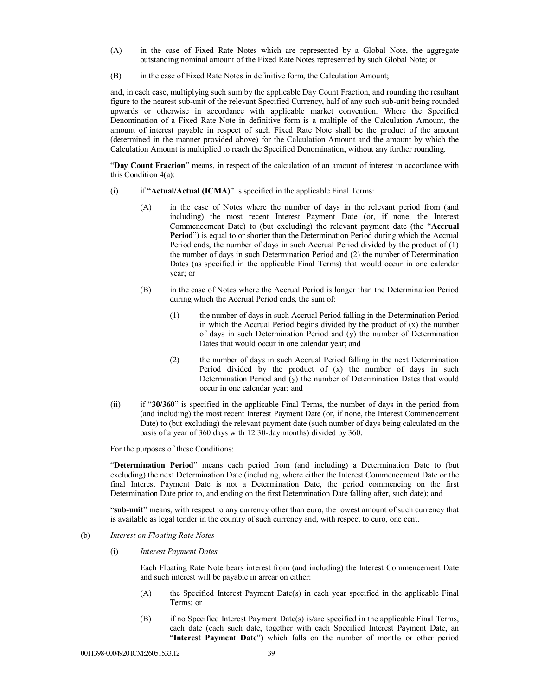- (A) in the case of Fixed Rate Notes which are represented by a Global Note, the aggregate outstanding nominal amount of the Fixed Rate Notes represented by such Global Note; or
- (B) in the case of Fixed Rate Notes in definitive form, the Calculation Amount;

and, in each case, multiplying such sum by the applicable Day Count Fraction, and rounding the resultant figure to the nearest sub-unit of the relevant Specified Currency, half of any such sub-unit being rounded upwards or otherwise in accordance with applicable market convention. Where the Specified Denomination of a Fixed Rate Note in definitive form is a multiple of the Calculation Amount, the amount of interest payable in respect of such Fixed Rate Note shall be the product of the amount (determined in the manner provided above) for the Calculation Amount and the amount by which the Calculation Amount is multiplied to reach the Specified Denomination, without any further rounding.

"**Day Count Fraction**" means, in respect of the calculation of an amount of interest in accordance with this Condition 4(a):

- (i) if "**Actual/Actual (ICMA)**" is specified in the applicable Final Terms:
	- (A) in the case of Notes where the number of days in the relevant period from (and including) the most recent Interest Payment Date (or, if none, the Interest Commencement Date) to (but excluding) the relevant payment date (the "**Accrual Period**") is equal to or shorter than the Determination Period during which the Accrual Period ends, the number of days in such Accrual Period divided by the product of (1) the number of days in such Determination Period and (2) the number of Determination Dates (as specified in the applicable Final Terms) that would occur in one calendar year; or
	- (B) in the case of Notes where the Accrual Period is longer than the Determination Period during which the Accrual Period ends, the sum of:
		- (1) the number of days in such Accrual Period falling in the Determination Period in which the Accrual Period begins divided by the product of (x) the number of days in such Determination Period and (y) the number of Determination Dates that would occur in one calendar year; and
		- (2) the number of days in such Accrual Period falling in the next Determination Period divided by the product of (x) the number of days in such Determination Period and (y) the number of Determination Dates that would occur in one calendar year; and
- (ii) if "**30/360**" is specified in the applicable Final Terms, the number of days in the period from (and including) the most recent Interest Payment Date (or, if none, the Interest Commencement Date) to (but excluding) the relevant payment date (such number of days being calculated on the basis of a year of 360 days with 12 30-day months) divided by 360.

For the purposes of these Conditions:

"**Determination Period**" means each period from (and including) a Determination Date to (but excluding) the next Determination Date (including, where either the Interest Commencement Date or the final Interest Payment Date is not a Determination Date, the period commencing on the first Determination Date prior to, and ending on the first Determination Date falling after, such date); and

"**sub-unit**" means, with respect to any currency other than euro, the lowest amount of such currency that is available as legal tender in the country of such currency and, with respect to euro, one cent.

- (b) *Interest on Floating Rate Notes*
	- (i) *Interest Payment Dates*

Each Floating Rate Note bears interest from (and including) the Interest Commencement Date and such interest will be payable in arrear on either:

- (A) the Specified Interest Payment Date(s) in each year specified in the applicable Final Terms; or
- (B) if no Specified Interest Payment Date(s) is/are specified in the applicable Final Terms, each date (each such date, together with each Specified Interest Payment Date, an "**Interest Payment Date**") which falls on the number of months or other period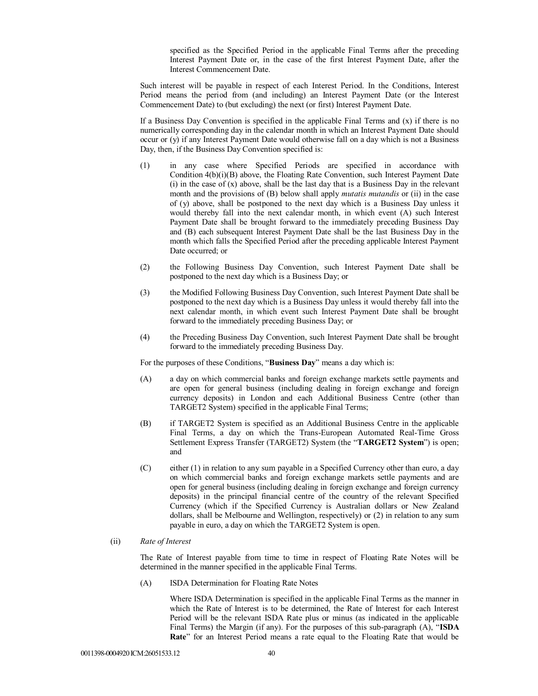specified as the Specified Period in the applicable Final Terms after the preceding Interest Payment Date or, in the case of the first Interest Payment Date, after the Interest Commencement Date.

Such interest will be payable in respect of each Interest Period. In the Conditions, Interest Period means the period from (and including) an Interest Payment Date (or the Interest Commencement Date) to (but excluding) the next (or first) Interest Payment Date.

If a Business Day Convention is specified in the applicable Final Terms and  $(x)$  if there is no numerically corresponding day in the calendar month in which an Interest Payment Date should occur or (y) if any Interest Payment Date would otherwise fall on a day which is not a Business Day, then, if the Business Day Convention specified is:

- (1) in any case where Specified Periods are specified in accordance with Condition 4(b)(i)(B) above, the Floating Rate Convention, such Interest Payment Date (i) in the case of  $(x)$  above, shall be the last day that is a Business Day in the relevant month and the provisions of (B) below shall apply *mutatis mutandis* or (ii) in the case of (y) above, shall be postponed to the next day which is a Business Day unless it would thereby fall into the next calendar month, in which event (A) such Interest Payment Date shall be brought forward to the immediately preceding Business Day and (B) each subsequent Interest Payment Date shall be the last Business Day in the month which falls the Specified Period after the preceding applicable Interest Payment Date occurred; or
- (2) the Following Business Day Convention, such Interest Payment Date shall be postponed to the next day which is a Business Day; or
- (3) the Modified Following Business Day Convention, such Interest Payment Date shall be postponed to the next day which is a Business Day unless it would thereby fall into the next calendar month, in which event such Interest Payment Date shall be brought forward to the immediately preceding Business Day; or
- (4) the Preceding Business Day Convention, such Interest Payment Date shall be brought forward to the immediately preceding Business Day.

For the purposes of these Conditions, "**Business Day**" means a day which is:

- (A) a day on which commercial banks and foreign exchange markets settle payments and are open for general business (including dealing in foreign exchange and foreign currency deposits) in London and each Additional Business Centre (other than TARGET2 System) specified in the applicable Final Terms;
- (B) if TARGET2 System is specified as an Additional Business Centre in the applicable Final Terms, a day on which the Trans-European Automated Real-Time Gross Settlement Express Transfer (TARGET2) System (the "**TARGET2 System**") is open; and
- (C) either (1) in relation to any sum payable in a Specified Currency other than euro, a day on which commercial banks and foreign exchange markets settle payments and are open for general business (including dealing in foreign exchange and foreign currency deposits) in the principal financial centre of the country of the relevant Specified Currency (which if the Specified Currency is Australian dollars or New Zealand dollars, shall be Melbourne and Wellington, respectively) or (2) in relation to any sum payable in euro, a day on which the TARGET2 System is open.

#### (ii) *Rate of Interest*

The Rate of Interest payable from time to time in respect of Floating Rate Notes will be determined in the manner specified in the applicable Final Terms.

(A) ISDA Determination for Floating Rate Notes

Where ISDA Determination is specified in the applicable Final Terms as the manner in which the Rate of Interest is to be determined, the Rate of Interest for each Interest Period will be the relevant ISDA Rate plus or minus (as indicated in the applicable Final Terms) the Margin (if any). For the purposes of this sub-paragraph (A), "**ISDA Rate**" for an Interest Period means a rate equal to the Floating Rate that would be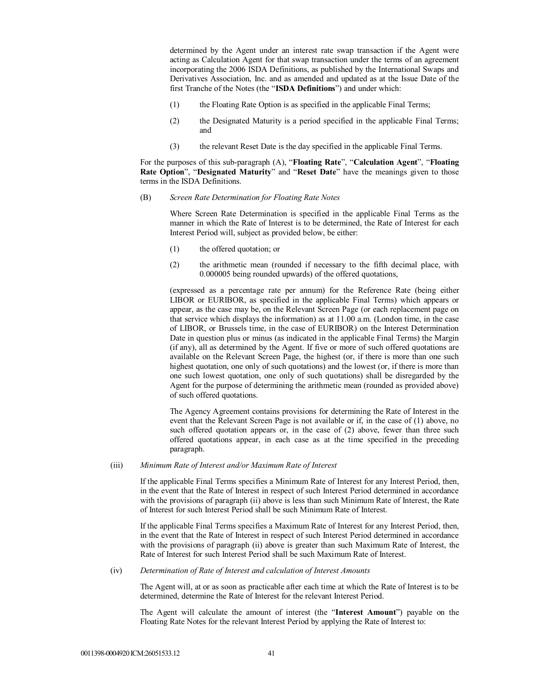determined by the Agent under an interest rate swap transaction if the Agent were acting as Calculation Agent for that swap transaction under the terms of an agreement incorporating the 2006 ISDA Definitions, as published by the International Swaps and Derivatives Association, Inc. and as amended and updated as at the Issue Date of the first Tranche of the Notes (the "**ISDA Definitions**") and under which:

- (1) the Floating Rate Option is as specified in the applicable Final Terms;
- (2) the Designated Maturity is a period specified in the applicable Final Terms; and
- (3) the relevant Reset Date is the day specified in the applicable Final Terms.

For the purposes of this sub-paragraph (A), "**Floating Rate**", "**Calculation Agent**", "**Floating Rate Option**", "**Designated Maturity**" and "**Reset Date**" have the meanings given to those terms in the ISDA Definitions.

### (B) *Screen Rate Determination for Floating Rate Notes*

Where Screen Rate Determination is specified in the applicable Final Terms as the manner in which the Rate of Interest is to be determined, the Rate of Interest for each Interest Period will, subject as provided below, be either:

- (1) the offered quotation; or
- (2) the arithmetic mean (rounded if necessary to the fifth decimal place, with 0.000005 being rounded upwards) of the offered quotations,

(expressed as a percentage rate per annum) for the Reference Rate (being either LIBOR or EURIBOR, as specified in the applicable Final Terms) which appears or appear, as the case may be, on the Relevant Screen Page (or each replacement page on that service which displays the information) as at 11.00 a.m. (London time, in the case of LIBOR, or Brussels time, in the case of EURIBOR) on the Interest Determination Date in question plus or minus (as indicated in the applicable Final Terms) the Margin (if any), all as determined by the Agent. If five or more of such offered quotations are available on the Relevant Screen Page, the highest (or, if there is more than one such highest quotation, one only of such quotations) and the lowest (or, if there is more than one such lowest quotation, one only of such quotations) shall be disregarded by the Agent for the purpose of determining the arithmetic mean (rounded as provided above) of such offered quotations.

The Agency Agreement contains provisions for determining the Rate of Interest in the event that the Relevant Screen Page is not available or if, in the case of (1) above, no such offered quotation appears or, in the case of (2) above, fewer than three such offered quotations appear, in each case as at the time specified in the preceding paragraph.

#### (iii) *Minimum Rate of Interest and/or Maximum Rate of Interest*

If the applicable Final Terms specifies a Minimum Rate of Interest for any Interest Period, then, in the event that the Rate of Interest in respect of such Interest Period determined in accordance with the provisions of paragraph (ii) above is less than such Minimum Rate of Interest, the Rate of Interest for such Interest Period shall be such Minimum Rate of Interest.

If the applicable Final Terms specifies a Maximum Rate of Interest for any Interest Period, then, in the event that the Rate of Interest in respect of such Interest Period determined in accordance with the provisions of paragraph (ii) above is greater than such Maximum Rate of Interest, the Rate of Interest for such Interest Period shall be such Maximum Rate of Interest.

### (iv) *Determination of Rate of Interest and calculation of Interest Amounts*

The Agent will, at or as soon as practicable after each time at which the Rate of Interest is to be determined, determine the Rate of Interest for the relevant Interest Period.

The Agent will calculate the amount of interest (the "**Interest Amount**") payable on the Floating Rate Notes for the relevant Interest Period by applying the Rate of Interest to: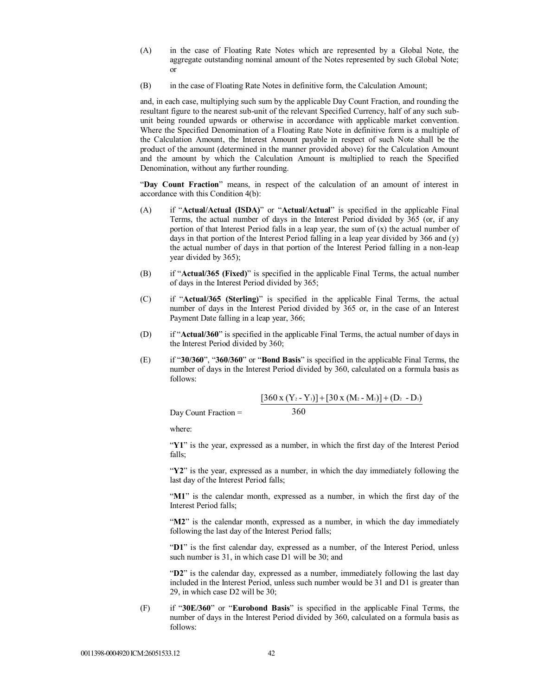- (A) in the case of Floating Rate Notes which are represented by a Global Note, the aggregate outstanding nominal amount of the Notes represented by such Global Note; or
- (B) in the case of Floating Rate Notes in definitive form, the Calculation Amount;

and, in each case, multiplying such sum by the applicable Day Count Fraction, and rounding the resultant figure to the nearest sub-unit of the relevant Specified Currency, half of any such subunit being rounded upwards or otherwise in accordance with applicable market convention. Where the Specified Denomination of a Floating Rate Note in definitive form is a multiple of the Calculation Amount, the Interest Amount payable in respect of such Note shall be the product of the amount (determined in the manner provided above) for the Calculation Amount and the amount by which the Calculation Amount is multiplied to reach the Specified Denomination, without any further rounding.

"**Day Count Fraction**" means, in respect of the calculation of an amount of interest in accordance with this Condition 4(b):

- (A) if "**Actual/Actual (ISDA)**" or "**Actual/Actual**" is specified in the applicable Final Terms, the actual number of days in the Interest Period divided by 365 (or, if any portion of that Interest Period falls in a leap year, the sum of  $(x)$  the actual number of days in that portion of the Interest Period falling in a leap year divided by 366 and (y) the actual number of days in that portion of the Interest Period falling in a non-leap year divided by 365);
- (B) if "**Actual/365 (Fixed)**" is specified in the applicable Final Terms, the actual number of days in the Interest Period divided by 365;
- (C) if "**Actual/365 (Sterling)**" is specified in the applicable Final Terms, the actual number of days in the Interest Period divided by 365 or, in the case of an Interest Payment Date falling in a leap year, 366;
- (D) if "**Actual/360**" is specified in the applicable Final Terms, the actual number of days in the Interest Period divided by 360;
- (E) if "**30/360**", "**360/360**" or "**Bond Basis**" is specified in the applicable Final Terms, the number of days in the Interest Period divided by 360, calculated on a formula basis as follows:

$$
[360 x (Y_2 - Y_1)] + [30 x (M_2 - M_1)] + (D_2 - D_1)
$$
  
Day Count Fraction = 360

where:

"**Y1**" is the year, expressed as a number, in which the first day of the Interest Period falls;

"Y2" is the year, expressed as a number, in which the day immediately following the last day of the Interest Period falls;

"**M1**" is the calendar month, expressed as a number, in which the first day of the Interest Period falls;

"**M2**" is the calendar month, expressed as a number, in which the day immediately following the last day of the Interest Period falls;

"**D1**" is the first calendar day, expressed as a number, of the Interest Period, unless such number is 31, in which case D1 will be 30; and

"**D2**" is the calendar day, expressed as a number, immediately following the last day included in the Interest Period, unless such number would be 31 and D1 is greater than 29, in which case D2 will be 30;

(F) if "**30E/360**" or "**Eurobond Basis**" is specified in the applicable Final Terms, the number of days in the Interest Period divided by 360, calculated on a formula basis as follows: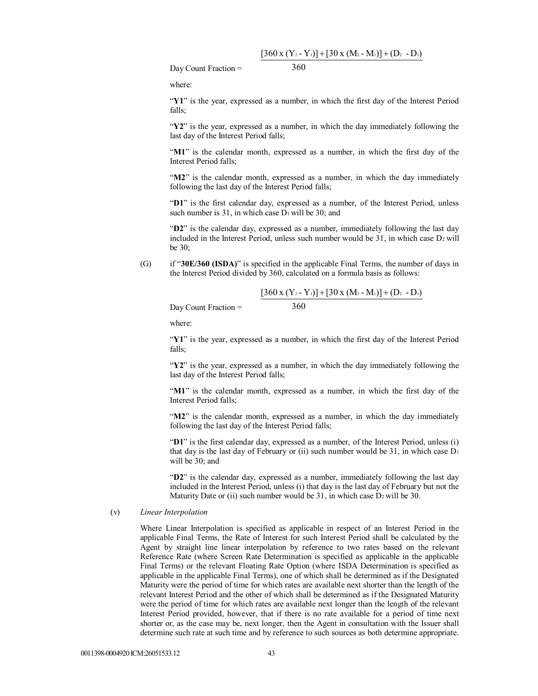$$
[360 \times (Y_2 - Y_1)] + [30 \times (M_2 - M_1)] + (D_2 - D_1)
$$

Day Count Fraction =

$$
360\,
$$

where:

"**Y1**" is the year, expressed as a number, in which the first day of the Interest Period falls;

"**Y2**" is the year, expressed as a number, in which the day immediately following the last day of the Interest Period falls;

"**M1**" is the calendar month, expressed as a number, in which the first day of the Interest Period falls;

"M2" is the calendar month, expressed as a number, in which the day immediately following the last day of the Interest Period falls;

"D1" is the first calendar day, expressed as a number, of the Interest Period, unless such number is 31, in which case  $\overline{D}_1$  will be 30; and

"**D2**" is the calendar day, expressed as a number, immediately following the last day included in the Interest Period, unless such number would be  $31$ , in which case  $D_2$  will be 30;

(G) if "**30E/360 (ISDA)**" is specified in the applicable Final Terms, the number of days in the Interest Period divided by 360, calculated on a formula basis as follows:

$$
\frac{[360 \times (Y_2 - Y_1)] + [30 \times (M_2 - M_1)] + (D_2 - D_1)}{260}
$$

Day Count Fraction  $=$ 

$$
\frac{360}{}
$$

where:

"**Y1**" is the year, expressed as a number, in which the first day of the Interest Period falls;

"Y2" is the year, expressed as a number, in which the day immediately following the last day of the Interest Period falls;

"M1" is the calendar month, expressed as a number, in which the first day of the Interest Period falls;

"M2" is the calendar month, expressed as a number, in which the day immediately following the last day of the Interest Period falls;

"**D1**" is the first calendar day, expressed as a number, of the Interest Period, unless (i) that day is the last day of February or (ii) such number would be 31, in which case  $D_1$ will be 30; and

"**D2**" is the calendar day, expressed as a number, immediately following the last day included in the Interest Period, unless (i) that day is the last day of February but not the Maturity Date or (ii) such number would be 31, in which case  $D_2$  will be 30.

#### (v) *Linear Interpolation*

Where Linear Interpolation is specified as applicable in respect of an Interest Period in the applicable Final Terms, the Rate of Interest for such Interest Period shall be calculated by the Agent by straight line linear interpolation by reference to two rates based on the relevant Reference Rate (where Screen Rate Determination is specified as applicable in the applicable Final Terms) or the relevant Floating Rate Option (where ISDA Determination is specified as applicable in the applicable Final Terms), one of which shall be determined as if the Designated Maturity were the period of time for which rates are available next shorter than the length of the relevant Interest Period and the other of which shall be determined as if the Designated Maturity were the period of time for which rates are available next longer than the length of the relevant Interest Period provided, however, that if there is no rate available for a period of time next shorter or, as the case may be, next longer, then the Agent in consultation with the Issuer shall determine such rate at such time and by reference to such sources as both determine appropriate.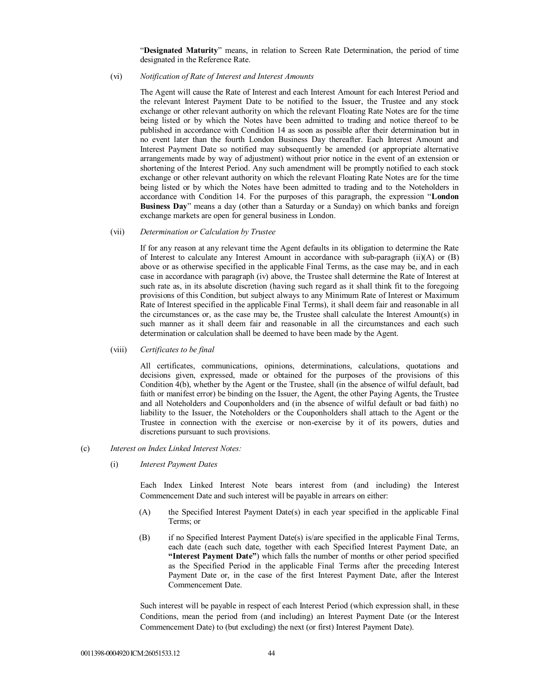"**Designated Maturity**" means, in relation to Screen Rate Determination, the period of time designated in the Reference Rate.

(vi) *Notification of Rate of Interest and Interest Amounts*

The Agent will cause the Rate of Interest and each Interest Amount for each Interest Period and the relevant Interest Payment Date to be notified to the Issuer, the Trustee and any stock exchange or other relevant authority on which the relevant Floating Rate Notes are for the time being listed or by which the Notes have been admitted to trading and notice thereof to be published in accordance with Condition 14 as soon as possible after their determination but in no event later than the fourth London Business Day thereafter. Each Interest Amount and Interest Payment Date so notified may subsequently be amended (or appropriate alternative arrangements made by way of adjustment) without prior notice in the event of an extension or shortening of the Interest Period. Any such amendment will be promptly notified to each stock exchange or other relevant authority on which the relevant Floating Rate Notes are for the time being listed or by which the Notes have been admitted to trading and to the Noteholders in accordance with Condition 14. For the purposes of this paragraph, the expression "**London Business Day**" means a day (other than a Saturday or a Sunday) on which banks and foreign exchange markets are open for general business in London.

(vii) *Determination or Calculation by Trustee*

If for any reason at any relevant time the Agent defaults in its obligation to determine the Rate of Interest to calculate any Interest Amount in accordance with sub-paragraph (ii)(A) or (B) above or as otherwise specified in the applicable Final Terms, as the case may be, and in each case in accordance with paragraph (iv) above, the Trustee shall determine the Rate of Interest at such rate as, in its absolute discretion (having such regard as it shall think fit to the foregoing provisions of this Condition, but subject always to any Minimum Rate of Interest or Maximum Rate of Interest specified in the applicable Final Terms), it shall deem fair and reasonable in all the circumstances or, as the case may be, the Trustee shall calculate the Interest Amount(s) in such manner as it shall deem fair and reasonable in all the circumstances and each such determination or calculation shall be deemed to have been made by the Agent.

(viii) *Certificates to be final*

All certificates, communications, opinions, determinations, calculations, quotations and decisions given, expressed, made or obtained for the purposes of the provisions of this Condition 4(b), whether by the Agent or the Trustee, shall (in the absence of wilful default, bad faith or manifest error) be binding on the Issuer, the Agent, the other Paying Agents, the Trustee and all Noteholders and Couponholders and (in the absence of wilful default or bad faith) no liability to the Issuer, the Noteholders or the Couponholders shall attach to the Agent or the Trustee in connection with the exercise or non-exercise by it of its powers, duties and discretions pursuant to such provisions.

#### (c) *Interest on Index Linked Interest Notes:*

(i) *Interest Payment Dates* 

Each Index Linked Interest Note bears interest from (and including) the Interest Commencement Date and such interest will be payable in arrears on either:

- (A) the Specified Interest Payment Date(s) in each year specified in the applicable Final Terms; or
- (B) if no Specified Interest Payment Date(s) is/are specified in the applicable Final Terms, each date (each such date, together with each Specified Interest Payment Date, an **"Interest Payment Date"**) which falls the number of months or other period specified as the Specified Period in the applicable Final Terms after the preceding Interest Payment Date or, in the case of the first Interest Payment Date, after the Interest Commencement Date.

Such interest will be payable in respect of each Interest Period (which expression shall, in these Conditions, mean the period from (and including) an Interest Payment Date (or the Interest Commencement Date) to (but excluding) the next (or first) Interest Payment Date).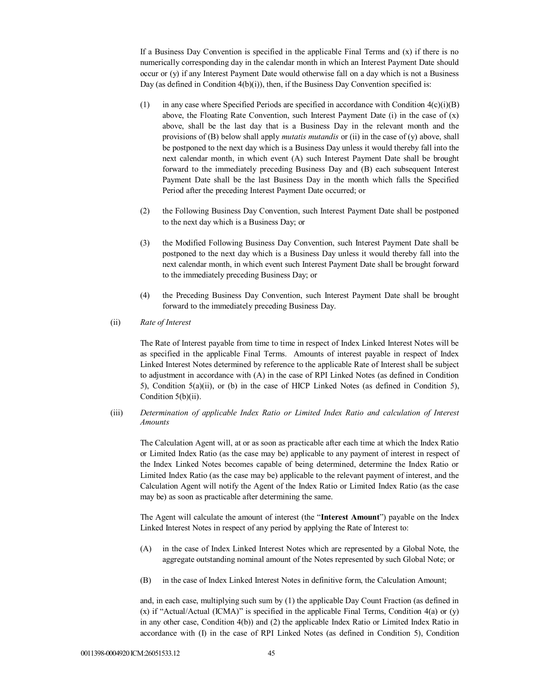If a Business Day Convention is specified in the applicable Final Terms and  $(x)$  if there is no numerically corresponding day in the calendar month in which an Interest Payment Date should occur or (y) if any Interest Payment Date would otherwise fall on a day which is not a Business Day (as defined in Condition  $4(b)(i)$ ), then, if the Business Day Convention specified is:

- (1) in any case where Specified Periods are specified in accordance with Condition  $4(c)(i)(B)$ above, the Floating Rate Convention, such Interest Payment Date (i) in the case of (x) above, shall be the last day that is a Business Day in the relevant month and the provisions of (B) below shall apply *mutatis mutandis* or (ii) in the case of (y) above, shall be postponed to the next day which is a Business Day unless it would thereby fall into the next calendar month, in which event (A) such Interest Payment Date shall be brought forward to the immediately preceding Business Day and (B) each subsequent Interest Payment Date shall be the last Business Day in the month which falls the Specified Period after the preceding Interest Payment Date occurred; or
- (2) the Following Business Day Convention, such Interest Payment Date shall be postponed to the next day which is a Business Day; or
- (3) the Modified Following Business Day Convention, such Interest Payment Date shall be postponed to the next day which is a Business Day unless it would thereby fall into the next calendar month, in which event such Interest Payment Date shall be brought forward to the immediately preceding Business Day; or
- (4) the Preceding Business Day Convention, such Interest Payment Date shall be brought forward to the immediately preceding Business Day.
- (ii) *Rate of Interest*

The Rate of Interest payable from time to time in respect of Index Linked Interest Notes will be as specified in the applicable Final Terms. Amounts of interest payable in respect of Index Linked Interest Notes determined by reference to the applicable Rate of Interest shall be subject to adjustment in accordance with (A) in the case of RPI Linked Notes (as defined in Condition 5), Condition 5(a)(ii), or (b) in the case of HICP Linked Notes (as defined in Condition 5), Condition 5(b)(ii).

(iii) *Determination of applicable Index Ratio or Limited Index Ratio and calculation of Interest Amounts*

The Calculation Agent will, at or as soon as practicable after each time at which the Index Ratio or Limited Index Ratio (as the case may be) applicable to any payment of interest in respect of the Index Linked Notes becomes capable of being determined, determine the Index Ratio or Limited Index Ratio (as the case may be) applicable to the relevant payment of interest, and the Calculation Agent will notify the Agent of the Index Ratio or Limited Index Ratio (as the case may be) as soon as practicable after determining the same.

The Agent will calculate the amount of interest (the "**Interest Amount**") payable on the Index Linked Interest Notes in respect of any period by applying the Rate of Interest to:

- (A) in the case of Index Linked Interest Notes which are represented by a Global Note, the aggregate outstanding nominal amount of the Notes represented by such Global Note; or
- (B) in the case of Index Linked Interest Notes in definitive form, the Calculation Amount;

and, in each case, multiplying such sum by (1) the applicable Day Count Fraction (as defined in (x) if "Actual/Actual (ICMA)" is specified in the applicable Final Terms, Condition  $4(a)$  or (y) in any other case, Condition 4(b)) and (2) the applicable Index Ratio or Limited Index Ratio in accordance with (I) in the case of RPI Linked Notes (as defined in Condition 5), Condition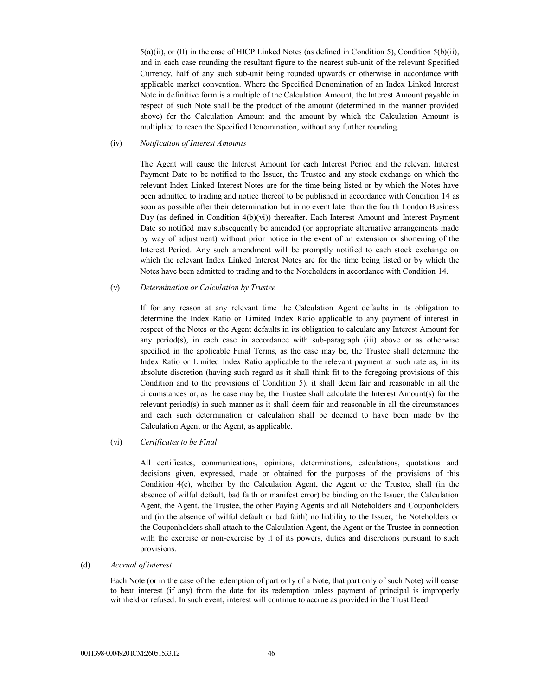$5(a)(ii)$ , or (II) in the case of HICP Linked Notes (as defined in Condition 5), Condition  $5(b)(ii)$ , and in each case rounding the resultant figure to the nearest sub-unit of the relevant Specified Currency, half of any such sub-unit being rounded upwards or otherwise in accordance with applicable market convention. Where the Specified Denomination of an Index Linked Interest Note in definitive form is a multiple of the Calculation Amount, the Interest Amount payable in respect of such Note shall be the product of the amount (determined in the manner provided above) for the Calculation Amount and the amount by which the Calculation Amount is multiplied to reach the Specified Denomination, without any further rounding.

#### (iv) *Notification of Interest Amounts*

The Agent will cause the Interest Amount for each Interest Period and the relevant Interest Payment Date to be notified to the Issuer, the Trustee and any stock exchange on which the relevant Index Linked Interest Notes are for the time being listed or by which the Notes have been admitted to trading and notice thereof to be published in accordance with Condition 14 as soon as possible after their determination but in no event later than the fourth London Business Day (as defined in Condition 4(b)(vi)) thereafter. Each Interest Amount and Interest Payment Date so notified may subsequently be amended (or appropriate alternative arrangements made by way of adjustment) without prior notice in the event of an extension or shortening of the Interest Period. Any such amendment will be promptly notified to each stock exchange on which the relevant Index Linked Interest Notes are for the time being listed or by which the Notes have been admitted to trading and to the Noteholders in accordance with Condition 14.

### (v) *Determination or Calculation by Trustee*

If for any reason at any relevant time the Calculation Agent defaults in its obligation to determine the Index Ratio or Limited Index Ratio applicable to any payment of interest in respect of the Notes or the Agent defaults in its obligation to calculate any Interest Amount for any period(s), in each case in accordance with sub-paragraph (iii) above or as otherwise specified in the applicable Final Terms, as the case may be, the Trustee shall determine the Index Ratio or Limited Index Ratio applicable to the relevant payment at such rate as, in its absolute discretion (having such regard as it shall think fit to the foregoing provisions of this Condition and to the provisions of Condition 5), it shall deem fair and reasonable in all the circumstances or, as the case may be, the Trustee shall calculate the Interest Amount(s) for the relevant period(s) in such manner as it shall deem fair and reasonable in all the circumstances and each such determination or calculation shall be deemed to have been made by the Calculation Agent or the Agent, as applicable.

#### (vi) *Certificates to be Final*

All certificates, communications, opinions, determinations, calculations, quotations and decisions given, expressed, made or obtained for the purposes of the provisions of this Condition 4(c), whether by the Calculation Agent, the Agent or the Trustee, shall (in the absence of wilful default, bad faith or manifest error) be binding on the Issuer, the Calculation Agent, the Agent, the Trustee, the other Paying Agents and all Noteholders and Couponholders and (in the absence of wilful default or bad faith) no liability to the Issuer, the Noteholders or the Couponholders shall attach to the Calculation Agent, the Agent or the Trustee in connection with the exercise or non-exercise by it of its powers, duties and discretions pursuant to such provisions.

#### (d) *Accrual of interest*

Each Note (or in the case of the redemption of part only of a Note, that part only of such Note) will cease to bear interest (if any) from the date for its redemption unless payment of principal is improperly withheld or refused. In such event, interest will continue to accrue as provided in the Trust Deed.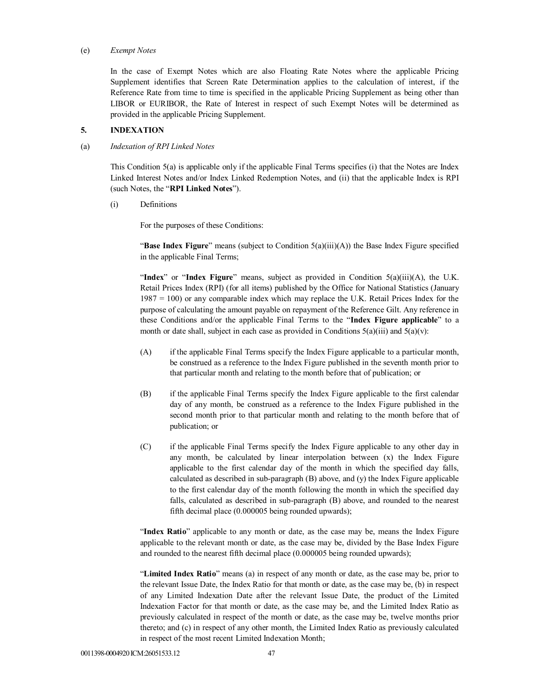#### (e) *Exempt Notes*

In the case of Exempt Notes which are also Floating Rate Notes where the applicable Pricing Supplement identifies that Screen Rate Determination applies to the calculation of interest, if the Reference Rate from time to time is specified in the applicable Pricing Supplement as being other than LIBOR or EURIBOR, the Rate of Interest in respect of such Exempt Notes will be determined as provided in the applicable Pricing Supplement.

## **5. INDEXATION**

### (a) *Indexation of RPI Linked Notes*

This Condition 5(a) is applicable only if the applicable Final Terms specifies (i) that the Notes are Index Linked Interest Notes and/or Index Linked Redemption Notes, and (ii) that the applicable Index is RPI (such Notes, the "**RPI Linked Notes**").

(i) Definitions

For the purposes of these Conditions:

"**Base Index Figure**" means (subject to Condition 5(a)(iii)(A)) the Base Index Figure specified in the applicable Final Terms;

"**Index**" or "**Index Figure**" means, subject as provided in Condition 5(a)(iii)(A), the U.K. Retail Prices Index (RPI) (for all items) published by the Office for National Statistics (January 1987 = 100) or any comparable index which may replace the U.K. Retail Prices Index for the purpose of calculating the amount payable on repayment of the Reference Gilt. Any reference in these Conditions and/or the applicable Final Terms to the "**Index Figure applicable**" to a month or date shall, subject in each case as provided in Conditions  $5(a)(iii)$  and  $5(a)(v)$ :

- (A) if the applicable Final Terms specify the Index Figure applicable to a particular month, be construed as a reference to the Index Figure published in the seventh month prior to that particular month and relating to the month before that of publication; or
- (B) if the applicable Final Terms specify the Index Figure applicable to the first calendar day of any month, be construed as a reference to the Index Figure published in the second month prior to that particular month and relating to the month before that of publication; or
- (C) if the applicable Final Terms specify the Index Figure applicable to any other day in any month, be calculated by linear interpolation between (x) the Index Figure applicable to the first calendar day of the month in which the specified day falls, calculated as described in sub-paragraph (B) above, and (y) the Index Figure applicable to the first calendar day of the month following the month in which the specified day falls, calculated as described in sub-paragraph (B) above, and rounded to the nearest fifth decimal place (0.000005 being rounded upwards);

"**Index Ratio**" applicable to any month or date, as the case may be, means the Index Figure applicable to the relevant month or date, as the case may be, divided by the Base Index Figure and rounded to the nearest fifth decimal place (0.000005 being rounded upwards);

"**Limited Index Ratio**" means (a) in respect of any month or date, as the case may be, prior to the relevant Issue Date, the Index Ratio for that month or date, as the case may be, (b) in respect of any Limited Indexation Date after the relevant Issue Date, the product of the Limited Indexation Factor for that month or date, as the case may be, and the Limited Index Ratio as previously calculated in respect of the month or date, as the case may be, twelve months prior thereto; and (c) in respect of any other month, the Limited Index Ratio as previously calculated in respect of the most recent Limited Indexation Month;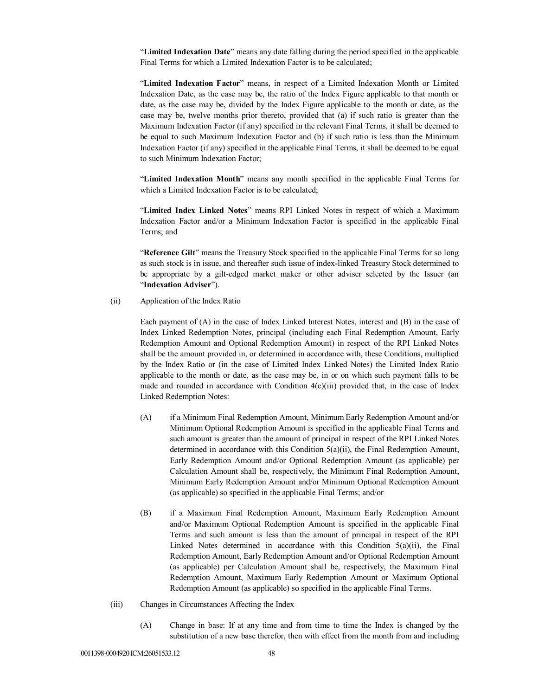"**Limited Indexation Date**" means any date falling during the period specified in the applicable Final Terms for which a Limited Indexation Factor is to be calculated;

"**Limited Indexation Factor**" means, in respect of a Limited Indexation Month or Limited Indexation Date, as the case may be, the ratio of the Index Figure applicable to that month or date, as the case may be, divided by the Index Figure applicable to the month or date, as the case may be, twelve months prior thereto, provided that (a) if such ratio is greater than the Maximum Indexation Factor (if any) specified in the relevant Final Terms, it shall be deemed to be equal to such Maximum Indexation Factor and (b) if such ratio is less than the Minimum Indexation Factor (if any) specified in the applicable Final Terms, it shall be deemed to be equal to such Minimum Indexation Factor;

"**Limited Indexation Month**" means any month specified in the applicable Final Terms for which a Limited Indexation Factor is to be calculated;

"**Limited Index Linked Notes**" means RPI Linked Notes in respect of which a Maximum Indexation Factor and/or a Minimum Indexation Factor is specified in the applicable Final Terms; and

"**Reference Gilt**" means the Treasury Stock specified in the applicable Final Terms for so long as such stock is in issue, and thereafter such issue of index-linked Treasury Stock determined to be appropriate by a gilt-edged market maker or other adviser selected by the Issuer (an "**Indexation Adviser**").

(ii) Application of the Index Ratio

Each payment of (A) in the case of Index Linked Interest Notes, interest and (B) in the case of Index Linked Redemption Notes, principal (including each Final Redemption Amount, Early Redemption Amount and Optional Redemption Amount) in respect of the RPI Linked Notes shall be the amount provided in, or determined in accordance with, these Conditions, multiplied by the Index Ratio or (in the case of Limited Index Linked Notes) the Limited Index Ratio applicable to the month or date, as the case may be, in or on which such payment falls to be made and rounded in accordance with Condition  $4(c)(iii)$  provided that, in the case of Index Linked Redemption Notes:

- (A) if a Minimum Final Redemption Amount, Minimum Early Redemption Amount and/or Minimum Optional Redemption Amount is specified in the applicable Final Terms and such amount is greater than the amount of principal in respect of the RPI Linked Notes determined in accordance with this Condition 5(a)(ii), the Final Redemption Amount, Early Redemption Amount and/or Optional Redemption Amount (as applicable) per Calculation Amount shall be, respectively, the Minimum Final Redemption Amount, Minimum Early Redemption Amount and/or Minimum Optional Redemption Amount (as applicable) so specified in the applicable Final Terms; and/or
- (B) if a Maximum Final Redemption Amount, Maximum Early Redemption Amount and/or Maximum Optional Redemption Amount is specified in the applicable Final Terms and such amount is less than the amount of principal in respect of the RPI Linked Notes determined in accordance with this Condition  $5(a)(ii)$ , the Final Redemption Amount, Early Redemption Amount and/or Optional Redemption Amount (as applicable) per Calculation Amount shall be, respectively, the Maximum Final Redemption Amount, Maximum Early Redemption Amount or Maximum Optional Redemption Amount (as applicable) so specified in the applicable Final Terms.
- (iii) Changes in Circumstances Affecting the Index
	- (A) Change in base: If at any time and from time to time the Index is changed by the substitution of a new base therefor, then with effect from the month from and including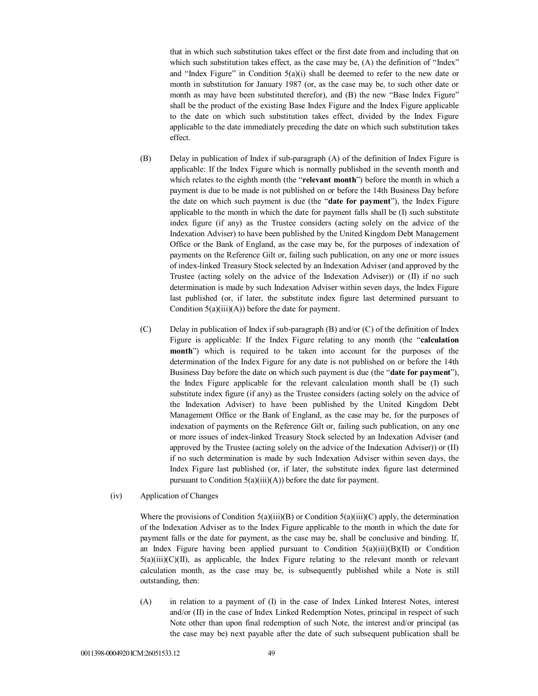that in which such substitution takes effect or the first date from and including that on which such substitution takes effect, as the case may be, (A) the definition of "Index" and "Index Figure" in Condition  $5(a)(i)$  shall be deemed to refer to the new date or month in substitution for January 1987 (or, as the case may be, to such other date or month as may have been substituted therefor), and (B) the new "Base Index Figure" shall be the product of the existing Base Index Figure and the Index Figure applicable to the date on which such substitution takes effect, divided by the Index Figure applicable to the date immediately preceding the date on which such substitution takes effect.

- (B) Delay in publication of Index if sub-paragraph (A) of the definition of Index Figure is applicable: If the Index Figure which is normally published in the seventh month and which relates to the eighth month (the "**relevant month**") before the month in which a payment is due to be made is not published on or before the 14th Business Day before the date on which such payment is due (the "**date for payment**"), the Index Figure applicable to the month in which the date for payment falls shall be (I) such substitute index figure (if any) as the Trustee considers (acting solely on the advice of the Indexation Adviser) to have been published by the United Kingdom Debt Management Office or the Bank of England, as the case may be, for the purposes of indexation of payments on the Reference Gilt or, failing such publication, on any one or more issues of index-linked Treasury Stock selected by an Indexation Adviser (and approved by the Trustee (acting solely on the advice of the Indexation Adviser)) or (II) if no such determination is made by such Indexation Adviser within seven days, the Index Figure last published (or, if later, the substitute index figure last determined pursuant to Condition  $5(a)(iii)(A)$  before the date for payment.
- (C) Delay in publication of Index if sub-paragraph (B) and/or (C) of the definition of Index Figure is applicable: If the Index Figure relating to any month (the "**calculation month**") which is required to be taken into account for the purposes of the determination of the Index Figure for any date is not published on or before the 14th Business Day before the date on which such payment is due (the "**date for payment**"), the Index Figure applicable for the relevant calculation month shall be (I) such substitute index figure (if any) as the Trustee considers (acting solely on the advice of the Indexation Adviser) to have been published by the United Kingdom Debt Management Office or the Bank of England, as the case may be, for the purposes of indexation of payments on the Reference Gilt or, failing such publication, on any one or more issues of index-linked Treasury Stock selected by an Indexation Adviser (and approved by the Trustee (acting solely on the advice of the Indexation Adviser)) or (II) if no such determination is made by such Indexation Adviser within seven days, the Index Figure last published (or, if later, the substitute index figure last determined pursuant to Condition  $5(a)(iii)(A)$  before the date for payment.
- (iv) Application of Changes

Where the provisions of Condition  $5(a)(iii)(B)$  or Condition  $5(a)(iii)(C)$  apply, the determination of the Indexation Adviser as to the Index Figure applicable to the month in which the date for payment falls or the date for payment, as the case may be, shall be conclusive and binding. If, an Index Figure having been applied pursuant to Condition  $5(a)(iii)(B)(II)$  or Condition  $5(a)(iii)(C)(II)$ , as applicable, the Index Figure relating to the relevant month or relevant calculation month, as the case may be, is subsequently published while a Note is still outstanding, then:

(A) in relation to a payment of (I) in the case of Index Linked Interest Notes, interest and/or (II) in the case of Index Linked Redemption Notes, principal in respect of such Note other than upon final redemption of such Note, the interest and/or principal (as the case may be) next payable after the date of such subsequent publication shall be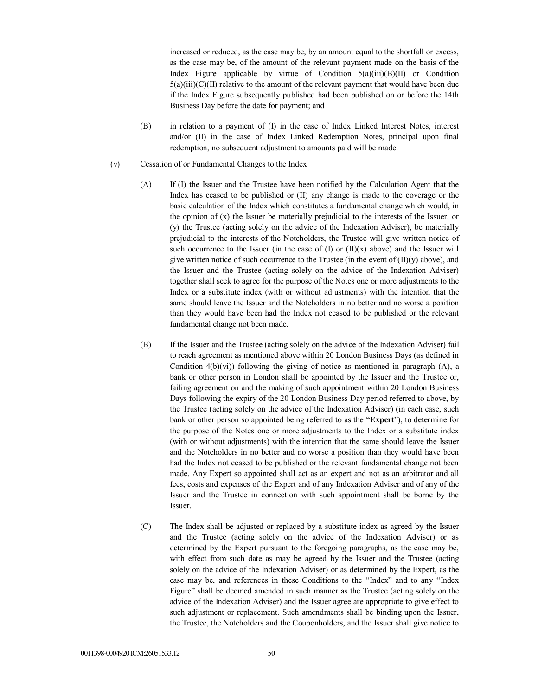increased or reduced, as the case may be, by an amount equal to the shortfall or excess, as the case may be, of the amount of the relevant payment made on the basis of the Index Figure applicable by virtue of Condition  $5(a)(iii)(B)(II)$  or Condition  $5(a)(iii)(C)(II)$  relative to the amount of the relevant payment that would have been due if the Index Figure subsequently published had been published on or before the 14th Business Day before the date for payment; and

- (B) in relation to a payment of (I) in the case of Index Linked Interest Notes, interest and/or (II) in the case of Index Linked Redemption Notes, principal upon final redemption, no subsequent adjustment to amounts paid will be made.
- (v) Cessation of or Fundamental Changes to the Index
	- (A) If (I) the Issuer and the Trustee have been notified by the Calculation Agent that the Index has ceased to be published or (II) any change is made to the coverage or the basic calculation of the Index which constitutes a fundamental change which would, in the opinion of (x) the Issuer be materially prejudicial to the interests of the Issuer, or (y) the Trustee (acting solely on the advice of the Indexation Adviser), be materially prejudicial to the interests of the Noteholders, the Trustee will give written notice of such occurrence to the Issuer (in the case of  $(I)$  or  $(II)(x)$  above) and the Issuer will give written notice of such occurrence to the Trustee (in the event of  $(II)(y)$  above), and the Issuer and the Trustee (acting solely on the advice of the Indexation Adviser) together shall seek to agree for the purpose of the Notes one or more adjustments to the Index or a substitute index (with or without adjustments) with the intention that the same should leave the Issuer and the Noteholders in no better and no worse a position than they would have been had the Index not ceased to be published or the relevant fundamental change not been made.
	- (B) If the Issuer and the Trustee (acting solely on the advice of the Indexation Adviser) fail to reach agreement as mentioned above within 20 London Business Days (as defined in Condition  $4(b)(vi)$ ) following the giving of notice as mentioned in paragraph  $(A)$ , a bank or other person in London shall be appointed by the Issuer and the Trustee or, failing agreement on and the making of such appointment within 20 London Business Days following the expiry of the 20 London Business Day period referred to above, by the Trustee (acting solely on the advice of the Indexation Adviser) (in each case, such bank or other person so appointed being referred to as the "**Expert**"), to determine for the purpose of the Notes one or more adjustments to the Index or a substitute index (with or without adjustments) with the intention that the same should leave the Issuer and the Noteholders in no better and no worse a position than they would have been had the Index not ceased to be published or the relevant fundamental change not been made. Any Expert so appointed shall act as an expert and not as an arbitrator and all fees, costs and expenses of the Expert and of any Indexation Adviser and of any of the Issuer and the Trustee in connection with such appointment shall be borne by the Issuer.
	- (C) The Index shall be adjusted or replaced by a substitute index as agreed by the Issuer and the Trustee (acting solely on the advice of the Indexation Adviser) or as determined by the Expert pursuant to the foregoing paragraphs, as the case may be, with effect from such date as may be agreed by the Issuer and the Trustee (acting solely on the advice of the Indexation Adviser) or as determined by the Expert, as the case may be, and references in these Conditions to the "Index" and to any "Index Figure" shall be deemed amended in such manner as the Trustee (acting solely on the advice of the Indexation Adviser) and the Issuer agree are appropriate to give effect to such adjustment or replacement. Such amendments shall be binding upon the Issuer, the Trustee, the Noteholders and the Couponholders, and the Issuer shall give notice to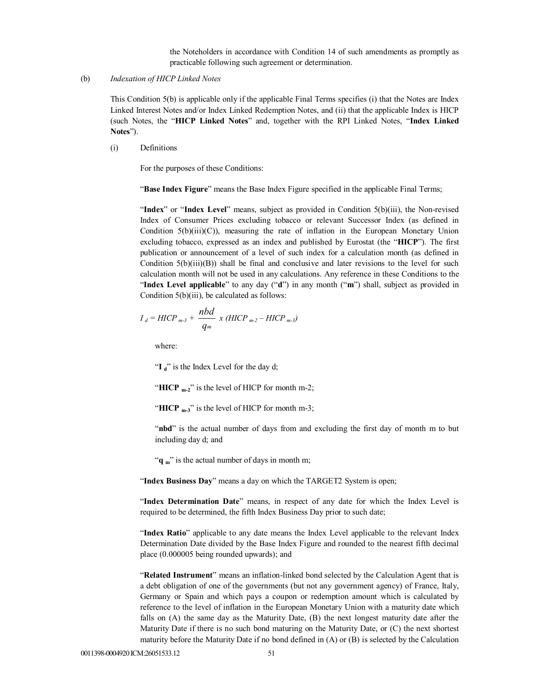the Noteholders in accordance with Condition 14 of such amendments as promptly as practicable following such agreement or determination.

(b) *Indexation of HICP Linked Notes*

This Condition 5(b) is applicable only if the applicable Final Terms specifies (i) that the Notes are Index Linked Interest Notes and/or Index Linked Redemption Notes, and (ii) that the applicable Index is HICP (such Notes, the "**HICP Linked Notes**" and, together with the RPI Linked Notes, "**Index Linked Notes**").

(i) Definitions

For the purposes of these Conditions:

"**Base Index Figure**" means the Base Index Figure specified in the applicable Final Terms;

"**Index**" or "**Index Level**" means, subject as provided in Condition 5(b)(iii), the Non-revised Index of Consumer Prices excluding tobacco or relevant Successor Index (as defined in Condition  $5(b)(iii)(C)$ ), measuring the rate of inflation in the European Monetary Union excluding tobacco, expressed as an index and published by Eurostat (the "**HICP**"). The first publication or announcement of a level of such index for a calculation month (as defined in Condition  $5(b)(iii)(B)$ ) shall be final and conclusive and later revisions to the level for such calculation month will not be used in any calculations. Any reference in these Conditions to the "**Index Level applicable**" to any day ("**d**") in any month ("**m**") shall, subject as provided in Condition 5(b)(iii), be calculated as follows:

$$
I_{d} = HICP_{m-3} + \frac{nbd}{q_{m}} x (HICP_{m-2} - HICP_{m-3})
$$

where:

"**I d**" is the Index Level for the day d;

"**HICP**  $_{m-2}$ " is the level of HICP for month m-2;

"**HICP** <sub>m-3</sub>" is the level of HICP for month m-3;

"**nbd**" is the actual number of days from and excluding the first day of month m to but including day d; and

"**q** m" is the actual number of days in month m;

"**Index Business Day**" means a day on which the TARGET2 System is open;

"**Index Determination Date**" means, in respect of any date for which the Index Level is required to be determined, the fifth Index Business Day prior to such date;

"**Index Ratio**" applicable to any date means the Index Level applicable to the relevant Index Determination Date divided by the Base Index Figure and rounded to the nearest fifth decimal place (0.000005 being rounded upwards); and

"**Related Instrument**" means an inflation-linked bond selected by the Calculation Agent that is a debt obligation of one of the governments (but not any government agency) of France, Italy, Germany or Spain and which pays a coupon or redemption amount which is calculated by reference to the level of inflation in the European Monetary Union with a maturity date which falls on (A) the same day as the Maturity Date, (B) the next longest maturity date after the Maturity Date if there is no such bond maturing on the Maturity Date, or (C) the next shortest maturity before the Maturity Date if no bond defined in (A) or (B) is selected by the Calculation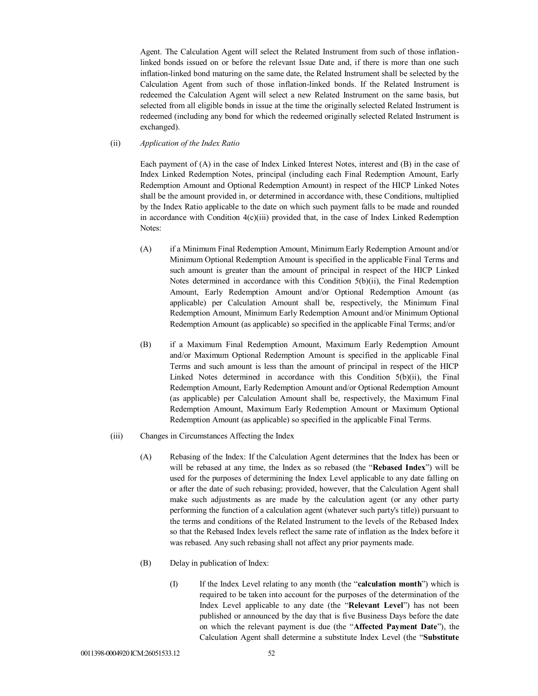Agent. The Calculation Agent will select the Related Instrument from such of those inflationlinked bonds issued on or before the relevant Issue Date and, if there is more than one such inflation-linked bond maturing on the same date, the Related Instrument shall be selected by the Calculation Agent from such of those inflation-linked bonds. If the Related Instrument is redeemed the Calculation Agent will select a new Related Instrument on the same basis, but selected from all eligible bonds in issue at the time the originally selected Related Instrument is redeemed (including any bond for which the redeemed originally selected Related Instrument is exchanged).

(ii) *Application of the Index Ratio*

Each payment of (A) in the case of Index Linked Interest Notes, interest and (B) in the case of Index Linked Redemption Notes, principal (including each Final Redemption Amount, Early Redemption Amount and Optional Redemption Amount) in respect of the HICP Linked Notes shall be the amount provided in, or determined in accordance with, these Conditions, multiplied by the Index Ratio applicable to the date on which such payment falls to be made and rounded in accordance with Condition  $4(c)(iii)$  provided that, in the case of Index Linked Redemption Notes:

- (A) if a Minimum Final Redemption Amount, Minimum Early Redemption Amount and/or Minimum Optional Redemption Amount is specified in the applicable Final Terms and such amount is greater than the amount of principal in respect of the HICP Linked Notes determined in accordance with this Condition 5(b)(ii), the Final Redemption Amount, Early Redemption Amount and/or Optional Redemption Amount (as applicable) per Calculation Amount shall be, respectively, the Minimum Final Redemption Amount, Minimum Early Redemption Amount and/or Minimum Optional Redemption Amount (as applicable) so specified in the applicable Final Terms; and/or
- (B) if a Maximum Final Redemption Amount, Maximum Early Redemption Amount and/or Maximum Optional Redemption Amount is specified in the applicable Final Terms and such amount is less than the amount of principal in respect of the HICP Linked Notes determined in accordance with this Condition 5(b)(ii), the Final Redemption Amount, Early Redemption Amount and/or Optional Redemption Amount (as applicable) per Calculation Amount shall be, respectively, the Maximum Final Redemption Amount, Maximum Early Redemption Amount or Maximum Optional Redemption Amount (as applicable) so specified in the applicable Final Terms.
- (iii) Changes in Circumstances Affecting the Index
	- (A) Rebasing of the Index: If the Calculation Agent determines that the Index has been or will be rebased at any time, the Index as so rebased (the "**Rebased Index**") will be used for the purposes of determining the Index Level applicable to any date falling on or after the date of such rebasing; provided, however, that the Calculation Agent shall make such adjustments as are made by the calculation agent (or any other party performing the function of a calculation agent (whatever such party's title)) pursuant to the terms and conditions of the Related Instrument to the levels of the Rebased Index so that the Rebased Index levels reflect the same rate of inflation as the Index before it was rebased. Any such rebasing shall not affect any prior payments made.
	- (B) Delay in publication of Index:
		- (I) If the Index Level relating to any month (the "**calculation month**") which is required to be taken into account for the purposes of the determination of the Index Level applicable to any date (the "**Relevant Level**") has not been published or announced by the day that is five Business Days before the date on which the relevant payment is due (the "**Affected Payment Date**"), the Calculation Agent shall determine a substitute Index Level (the "**Substitute**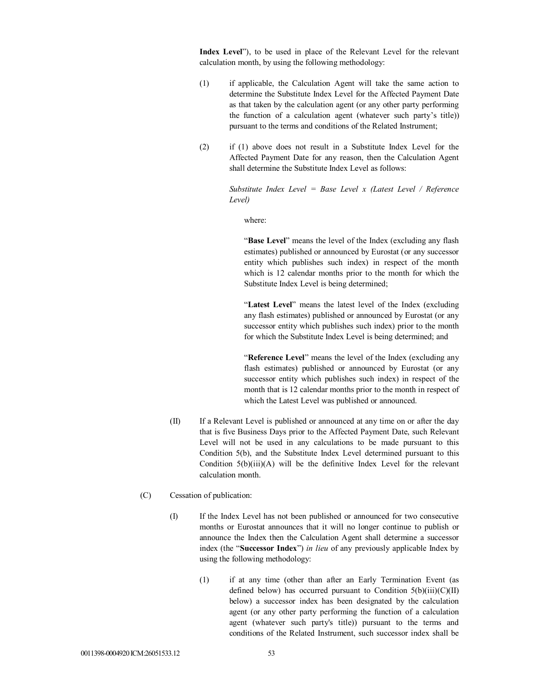**Index Level**"), to be used in place of the Relevant Level for the relevant calculation month, by using the following methodology:

- (1) if applicable, the Calculation Agent will take the same action to determine the Substitute Index Level for the Affected Payment Date as that taken by the calculation agent (or any other party performing the function of a calculation agent (whatever such party's title)) pursuant to the terms and conditions of the Related Instrument;
- (2) if (1) above does not result in a Substitute Index Level for the Affected Payment Date for any reason, then the Calculation Agent shall determine the Substitute Index Level as follows:

*Substitute Index Level = Base Level x (Latest Level / Reference Level)*

where:

"**Base Level**" means the level of the Index (excluding any flash estimates) published or announced by Eurostat (or any successor entity which publishes such index) in respect of the month which is 12 calendar months prior to the month for which the Substitute Index Level is being determined;

"**Latest Level**" means the latest level of the Index (excluding any flash estimates) published or announced by Eurostat (or any successor entity which publishes such index) prior to the month for which the Substitute Index Level is being determined; and

"**Reference Level**" means the level of the Index (excluding any flash estimates) published or announced by Eurostat (or any successor entity which publishes such index) in respect of the month that is 12 calendar months prior to the month in respect of which the Latest Level was published or announced.

- (II) If a Relevant Level is published or announced at any time on or after the day that is five Business Days prior to the Affected Payment Date, such Relevant Level will not be used in any calculations to be made pursuant to this Condition 5(b), and the Substitute Index Level determined pursuant to this Condition  $5(b)(iii)(A)$  will be the definitive Index Level for the relevant calculation month.
- (C) Cessation of publication:
	- (I) If the Index Level has not been published or announced for two consecutive months or Eurostat announces that it will no longer continue to publish or announce the Index then the Calculation Agent shall determine a successor index (the "**Successor Index**") *in lieu* of any previously applicable Index by using the following methodology:
		- (1) if at any time (other than after an Early Termination Event (as defined below) has occurred pursuant to Condition  $5(b)(iii)(C)(II)$ below) a successor index has been designated by the calculation agent (or any other party performing the function of a calculation agent (whatever such party's title)) pursuant to the terms and conditions of the Related Instrument, such successor index shall be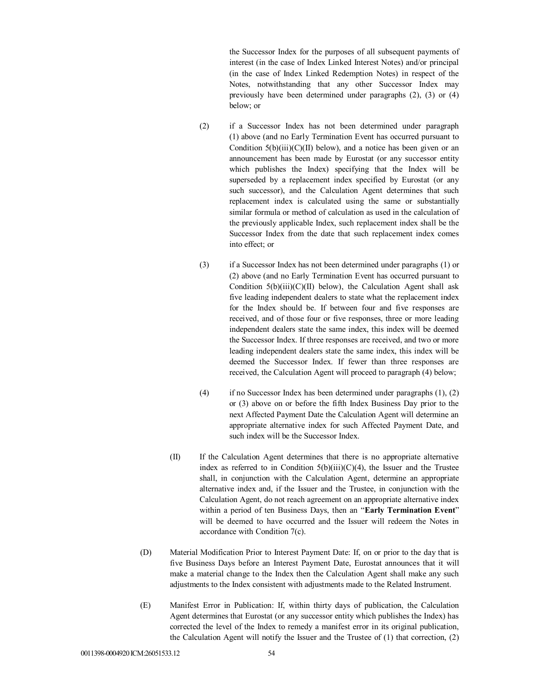the Successor Index for the purposes of all subsequent payments of interest (in the case of Index Linked Interest Notes) and/or principal (in the case of Index Linked Redemption Notes) in respect of the Notes, notwithstanding that any other Successor Index may previously have been determined under paragraphs (2), (3) or (4) below; or

- (2) if a Successor Index has not been determined under paragraph (1) above (and no Early Termination Event has occurred pursuant to Condition  $5(b)(iii)(C)(II)$  below), and a notice has been given or an announcement has been made by Eurostat (or any successor entity which publishes the Index) specifying that the Index will be superseded by a replacement index specified by Eurostat (or any such successor), and the Calculation Agent determines that such replacement index is calculated using the same or substantially similar formula or method of calculation as used in the calculation of the previously applicable Index, such replacement index shall be the Successor Index from the date that such replacement index comes into effect; or
- (3) if a Successor Index has not been determined under paragraphs (1) or (2) above (and no Early Termination Event has occurred pursuant to Condition  $5(b)(iii)(C)(II)$  below), the Calculation Agent shall ask five leading independent dealers to state what the replacement index for the Index should be. If between four and five responses are received, and of those four or five responses, three or more leading independent dealers state the same index, this index will be deemed the Successor Index. If three responses are received, and two or more leading independent dealers state the same index, this index will be deemed the Successor Index. If fewer than three responses are received, the Calculation Agent will proceed to paragraph (4) below;
- (4) if no Successor Index has been determined under paragraphs (1), (2) or (3) above on or before the fifth Index Business Day prior to the next Affected Payment Date the Calculation Agent will determine an appropriate alternative index for such Affected Payment Date, and such index will be the Successor Index.
- (II) If the Calculation Agent determines that there is no appropriate alternative index as referred to in Condition  $5(b)(iii)(C)(4)$ , the Issuer and the Trustee shall, in conjunction with the Calculation Agent, determine an appropriate alternative index and, if the Issuer and the Trustee, in conjunction with the Calculation Agent, do not reach agreement on an appropriate alternative index within a period of ten Business Days, then an "**Early Termination Event**" will be deemed to have occurred and the Issuer will redeem the Notes in accordance with Condition 7(c).
- (D) Material Modification Prior to Interest Payment Date: If, on or prior to the day that is five Business Days before an Interest Payment Date, Eurostat announces that it will make a material change to the Index then the Calculation Agent shall make any such adjustments to the Index consistent with adjustments made to the Related Instrument.
- (E) Manifest Error in Publication: If, within thirty days of publication, the Calculation Agent determines that Eurostat (or any successor entity which publishes the Index) has corrected the level of the Index to remedy a manifest error in its original publication, the Calculation Agent will notify the Issuer and the Trustee of (1) that correction, (2)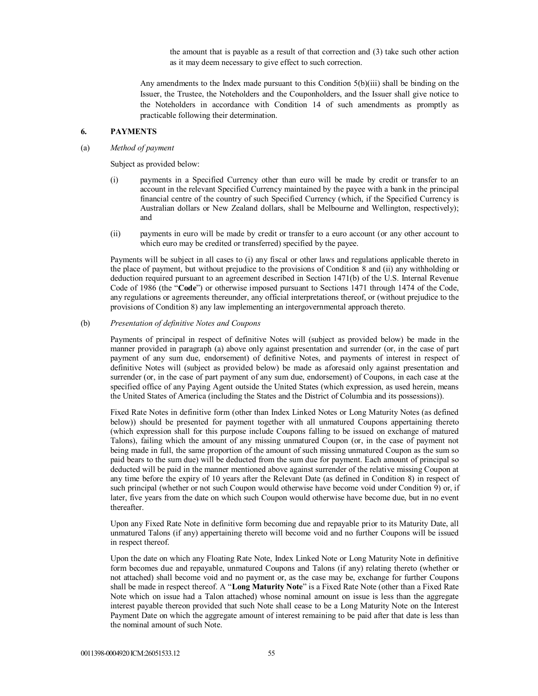the amount that is payable as a result of that correction and (3) take such other action as it may deem necessary to give effect to such correction.

Any amendments to the Index made pursuant to this Condition 5(b)(iii) shall be binding on the Issuer, the Trustee, the Noteholders and the Couponholders, and the Issuer shall give notice to the Noteholders in accordance with Condition 14 of such amendments as promptly as practicable following their determination.

## **6. PAYMENTS**

(a) *Method of payment*

Subject as provided below:

- (i) payments in a Specified Currency other than euro will be made by credit or transfer to an account in the relevant Specified Currency maintained by the payee with a bank in the principal financial centre of the country of such Specified Currency (which, if the Specified Currency is Australian dollars or New Zealand dollars, shall be Melbourne and Wellington, respectively); and
- (ii) payments in euro will be made by credit or transfer to a euro account (or any other account to which euro may be credited or transferred) specified by the payee.

Payments will be subject in all cases to (i) any fiscal or other laws and regulations applicable thereto in the place of payment, but without prejudice to the provisions of Condition 8 and (ii) any withholding or deduction required pursuant to an agreement described in Section 1471(b) of the U.S. Internal Revenue Code of 1986 (the "**Code**") or otherwise imposed pursuant to Sections 1471 through 1474 of the Code, any regulations or agreements thereunder, any official interpretations thereof, or (without prejudice to the provisions of Condition 8) any law implementing an intergovernmental approach thereto.

### (b) *Presentation of definitive Notes and Coupons*

Payments of principal in respect of definitive Notes will (subject as provided below) be made in the manner provided in paragraph (a) above only against presentation and surrender (or, in the case of part payment of any sum due, endorsement) of definitive Notes, and payments of interest in respect of definitive Notes will (subject as provided below) be made as aforesaid only against presentation and surrender (or, in the case of part payment of any sum due, endorsement) of Coupons, in each case at the specified office of any Paying Agent outside the United States (which expression, as used herein, means the United States of America (including the States and the District of Columbia and its possessions)).

Fixed Rate Notes in definitive form (other than Index Linked Notes or Long Maturity Notes (as defined below)) should be presented for payment together with all unmatured Coupons appertaining thereto (which expression shall for this purpose include Coupons falling to be issued on exchange of matured Talons), failing which the amount of any missing unmatured Coupon (or, in the case of payment not being made in full, the same proportion of the amount of such missing unmatured Coupon as the sum so paid bears to the sum due) will be deducted from the sum due for payment. Each amount of principal so deducted will be paid in the manner mentioned above against surrender of the relative missing Coupon at any time before the expiry of 10 years after the Relevant Date (as defined in Condition 8) in respect of such principal (whether or not such Coupon would otherwise have become void under Condition 9) or, if later, five years from the date on which such Coupon would otherwise have become due, but in no event thereafter.

Upon any Fixed Rate Note in definitive form becoming due and repayable prior to its Maturity Date, all unmatured Talons (if any) appertaining thereto will become void and no further Coupons will be issued in respect thereof.

Upon the date on which any Floating Rate Note, Index Linked Note or Long Maturity Note in definitive form becomes due and repayable, unmatured Coupons and Talons (if any) relating thereto (whether or not attached) shall become void and no payment or, as the case may be, exchange for further Coupons shall be made in respect thereof. A "**Long Maturity Note**" is a Fixed Rate Note (other than a Fixed Rate Note which on issue had a Talon attached) whose nominal amount on issue is less than the aggregate interest payable thereon provided that such Note shall cease to be a Long Maturity Note on the Interest Payment Date on which the aggregate amount of interest remaining to be paid after that date is less than the nominal amount of such Note.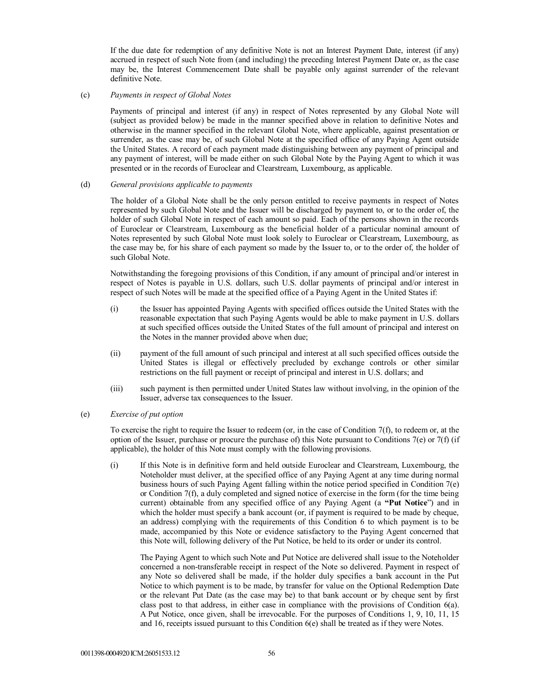If the due date for redemption of any definitive Note is not an Interest Payment Date, interest (if any) accrued in respect of such Note from (and including) the preceding Interest Payment Date or, as the case may be, the Interest Commencement Date shall be payable only against surrender of the relevant definitive Note.

### (c) *Payments in respect of Global Notes*

Payments of principal and interest (if any) in respect of Notes represented by any Global Note will (subject as provided below) be made in the manner specified above in relation to definitive Notes and otherwise in the manner specified in the relevant Global Note, where applicable, against presentation or surrender, as the case may be, of such Global Note at the specified office of any Paying Agent outside the United States. A record of each payment made distinguishing between any payment of principal and any payment of interest, will be made either on such Global Note by the Paying Agent to which it was presented or in the records of Euroclear and Clearstream, Luxembourg, as applicable.

#### (d) *General provisions applicable to payments*

The holder of a Global Note shall be the only person entitled to receive payments in respect of Notes represented by such Global Note and the Issuer will be discharged by payment to, or to the order of, the holder of such Global Note in respect of each amount so paid. Each of the persons shown in the records of Euroclear or Clearstream, Luxembourg as the beneficial holder of a particular nominal amount of Notes represented by such Global Note must look solely to Euroclear or Clearstream, Luxembourg, as the case may be, for his share of each payment so made by the Issuer to, or to the order of, the holder of such Global Note.

Notwithstanding the foregoing provisions of this Condition, if any amount of principal and/or interest in respect of Notes is payable in U.S. dollars, such U.S. dollar payments of principal and/or interest in respect of such Notes will be made at the specified office of a Paying Agent in the United States if:

- (i) the Issuer has appointed Paying Agents with specified offices outside the United States with the reasonable expectation that such Paying Agents would be able to make payment in U.S. dollars at such specified offices outside the United States of the full amount of principal and interest on the Notes in the manner provided above when due;
- (ii) payment of the full amount of such principal and interest at all such specified offices outside the United States is illegal or effectively precluded by exchange controls or other similar restrictions on the full payment or receipt of principal and interest in U.S. dollars; and
- (iii) such payment is then permitted under United States law without involving, in the opinion of the Issuer, adverse tax consequences to the Issuer.

### (e) *Exercise of put option*

To exercise the right to require the Issuer to redeem (or, in the case of Condition 7(f), to redeem or, at the option of the Issuer, purchase or procure the purchase of) this Note pursuant to Conditions 7(e) or 7(f) (if applicable), the holder of this Note must comply with the following provisions.

(i) If this Note is in definitive form and held outside Euroclear and Clearstream, Luxembourg, the Noteholder must deliver, at the specified office of any Paying Agent at any time during normal business hours of such Paying Agent falling within the notice period specified in Condition 7(e) or Condition 7(f), a duly completed and signed notice of exercise in the form (for the time being current) obtainable from any specified office of any Paying Agent (a **"Put Notice**") and in which the holder must specify a bank account (or, if payment is required to be made by cheque, an address) complying with the requirements of this Condition 6 to which payment is to be made, accompanied by this Note or evidence satisfactory to the Paying Agent concerned that this Note will, following delivery of the Put Notice, be held to its order or under its control.

The Paying Agent to which such Note and Put Notice are delivered shall issue to the Noteholder concerned a non-transferable receipt in respect of the Note so delivered. Payment in respect of any Note so delivered shall be made, if the holder duly specifies a bank account in the Put Notice to which payment is to be made, by transfer for value on the Optional Redemption Date or the relevant Put Date (as the case may be) to that bank account or by cheque sent by first class post to that address, in either case in compliance with the provisions of Condition 6(a). A Put Notice, once given, shall be irrevocable. For the purposes of Conditions 1, 9, 10, 11, 15 and 16, receipts issued pursuant to this Condition 6(e) shall be treated as if they were Notes.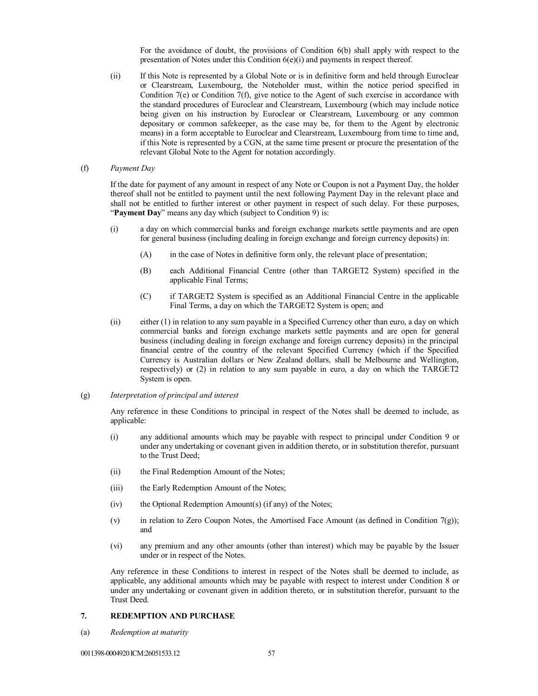For the avoidance of doubt, the provisions of Condition 6(b) shall apply with respect to the presentation of Notes under this Condition 6(e)(i) and payments in respect thereof.

- (ii) If this Note is represented by a Global Note or is in definitive form and held through Euroclear or Clearstream, Luxembourg, the Noteholder must, within the notice period specified in Condition  $7(e)$  or Condition  $7(f)$ , give notice to the Agent of such exercise in accordance with the standard procedures of Euroclear and Clearstream, Luxembourg (which may include notice being given on his instruction by Euroclear or Clearstream, Luxembourg or any common depositary or common safekeeper, as the case may be, for them to the Agent by electronic means) in a form acceptable to Euroclear and Clearstream, Luxembourg from time to time and, if this Note is represented by a CGN, at the same time present or procure the presentation of the relevant Global Note to the Agent for notation accordingly.
- (f) *Payment Day*

If the date for payment of any amount in respect of any Note or Coupon is not a Payment Day, the holder thereof shall not be entitled to payment until the next following Payment Day in the relevant place and shall not be entitled to further interest or other payment in respect of such delay. For these purposes, "Payment Day" means any day which (subject to Condition 9) is:

- (i) a day on which commercial banks and foreign exchange markets settle payments and are open for general business (including dealing in foreign exchange and foreign currency deposits) in:
	- (A) in the case of Notes in definitive form only, the relevant place of presentation;
	- (B) each Additional Financial Centre (other than TARGET2 System) specified in the applicable Final Terms;
	- (C) if TARGET2 System is specified as an Additional Financial Centre in the applicable Final Terms, a day on which the TARGET2 System is open; and
- (ii) either (1) in relation to any sum payable in a Specified Currency other than euro, a day on which commercial banks and foreign exchange markets settle payments and are open for general business (including dealing in foreign exchange and foreign currency deposits) in the principal financial centre of the country of the relevant Specified Currency (which if the Specified Currency is Australian dollars or New Zealand dollars, shall be Melbourne and Wellington, respectively) or (2) in relation to any sum payable in euro, a day on which the TARGET2 System is open.
- (g) *Interpretation of principal and interest*

Any reference in these Conditions to principal in respect of the Notes shall be deemed to include, as applicable:

- (i) any additional amounts which may be payable with respect to principal under Condition 9 or under any undertaking or covenant given in addition thereto, or in substitution therefor, pursuant to the Trust Deed;
- (ii) the Final Redemption Amount of the Notes;
- (iii) the Early Redemption Amount of the Notes;
- (iv) the Optional Redemption Amount(s) (if any) of the Notes;
- (v) in relation to Zero Coupon Notes, the Amortised Face Amount (as defined in Condition 7(g)); and
- (vi) any premium and any other amounts (other than interest) which may be payable by the Issuer under or in respect of the Notes.

Any reference in these Conditions to interest in respect of the Notes shall be deemed to include, as applicable, any additional amounts which may be payable with respect to interest under Condition 8 or under any undertaking or covenant given in addition thereto, or in substitution therefor, pursuant to the Trust Deed.

## **7. REDEMPTION AND PURCHASE**

(a) *Redemption at maturity*

0011398-0004920 ICM:26051533.12 57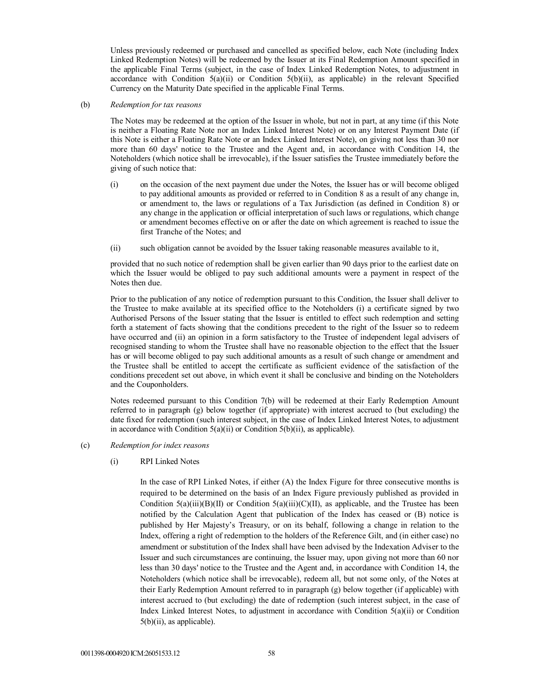Unless previously redeemed or purchased and cancelled as specified below, each Note (including Index Linked Redemption Notes) will be redeemed by the Issuer at its Final Redemption Amount specified in the applicable Final Terms (subject, in the case of Index Linked Redemption Notes, to adjustment in accordance with Condition 5(a)(ii) or Condition 5(b)(ii), as applicable) in the relevant Specified Currency on the Maturity Date specified in the applicable Final Terms.

#### (b) *Redemption for tax reasons*

The Notes may be redeemed at the option of the Issuer in whole, but not in part, at any time (if this Note is neither a Floating Rate Note nor an Index Linked Interest Note) or on any Interest Payment Date (if this Note is either a Floating Rate Note or an Index Linked Interest Note), on giving not less than 30 nor more than 60 days' notice to the Trustee and the Agent and, in accordance with Condition 14, the Noteholders (which notice shall be irrevocable), if the Issuer satisfies the Trustee immediately before the giving of such notice that:

- (i) on the occasion of the next payment due under the Notes, the Issuer has or will become obliged to pay additional amounts as provided or referred to in Condition 8 as a result of any change in, or amendment to, the laws or regulations of a Tax Jurisdiction (as defined in Condition 8) or any change in the application or official interpretation of such laws or regulations, which change or amendment becomes effective on or after the date on which agreement is reached to issue the first Tranche of the Notes; and
- (ii) such obligation cannot be avoided by the Issuer taking reasonable measures available to it,

provided that no such notice of redemption shall be given earlier than 90 days prior to the earliest date on which the Issuer would be obliged to pay such additional amounts were a payment in respect of the Notes then due.

Prior to the publication of any notice of redemption pursuant to this Condition, the Issuer shall deliver to the Trustee to make available at its specified office to the Noteholders (i) a certificate signed by two Authorised Persons of the Issuer stating that the Issuer is entitled to effect such redemption and setting forth a statement of facts showing that the conditions precedent to the right of the Issuer so to redeem have occurred and (ii) an opinion in a form satisfactory to the Trustee of independent legal advisers of recognised standing to whom the Trustee shall have no reasonable objection to the effect that the Issuer has or will become obliged to pay such additional amounts as a result of such change or amendment and the Trustee shall be entitled to accept the certificate as sufficient evidence of the satisfaction of the conditions precedent set out above, in which event it shall be conclusive and binding on the Noteholders and the Couponholders.

Notes redeemed pursuant to this Condition 7(b) will be redeemed at their Early Redemption Amount referred to in paragraph (g) below together (if appropriate) with interest accrued to (but excluding) the date fixed for redemption (such interest subject, in the case of Index Linked Interest Notes, to adjustment in accordance with Condition  $5(a)(ii)$  or Condition  $5(b)(ii)$ , as applicable).

## (c) *Redemption for index reasons*

### (i) RPI Linked Notes

In the case of RPI Linked Notes, if either (A) the Index Figure for three consecutive months is required to be determined on the basis of an Index Figure previously published as provided in Condition  $5(a)(iii)(B)(II)$  or Condition  $5(a)(iii)(C)(II)$ , as applicable, and the Trustee has been notified by the Calculation Agent that publication of the Index has ceased or (B) notice is published by Her Majesty's Treasury, or on its behalf, following a change in relation to the Index, offering a right of redemption to the holders of the Reference Gilt, and (in either case) no amendment or substitution of the Index shall have been advised by the Indexation Adviser to the Issuer and such circumstances are continuing, the Issuer may, upon giving not more than 60 nor less than 30 days' notice to the Trustee and the Agent and, in accordance with Condition 14, the Noteholders (which notice shall be irrevocable), redeem all, but not some only, of the Notes at their Early Redemption Amount referred to in paragraph (g) below together (if applicable) with interest accrued to (but excluding) the date of redemption (such interest subject, in the case of Index Linked Interest Notes, to adjustment in accordance with Condition 5(a)(ii) or Condition 5(b)(ii), as applicable).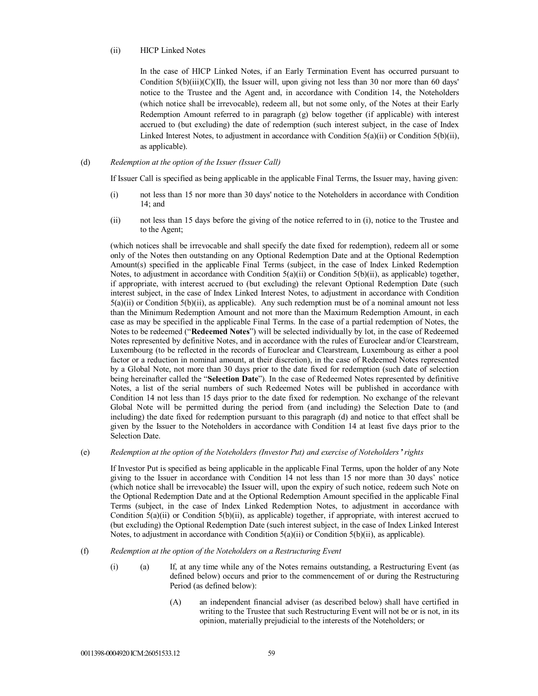### (ii) HICP Linked Notes

In the case of HICP Linked Notes, if an Early Termination Event has occurred pursuant to Condition  $5(b)(iii)(C)(II)$ , the Issuer will, upon giving not less than 30 nor more than 60 days' notice to the Trustee and the Agent and, in accordance with Condition 14, the Noteholders (which notice shall be irrevocable), redeem all, but not some only, of the Notes at their Early Redemption Amount referred to in paragraph (g) below together (if applicable) with interest accrued to (but excluding) the date of redemption (such interest subject, in the case of Index Linked Interest Notes, to adjustment in accordance with Condition 5(a)(ii) or Condition 5(b)(ii), as applicable).

# (d) *Redemption at the option of the Issuer (Issuer Call)*

If Issuer Call is specified as being applicable in the applicable Final Terms, the Issuer may, having given:

- (i) not less than 15 nor more than 30 days' notice to the Noteholders in accordance with Condition 14; and
- (ii) not less than 15 days before the giving of the notice referred to in (i), notice to the Trustee and to the Agent;

(which notices shall be irrevocable and shall specify the date fixed for redemption), redeem all or some only of the Notes then outstanding on any Optional Redemption Date and at the Optional Redemption Amount(s) specified in the applicable Final Terms (subject, in the case of Index Linked Redemption Notes, to adjustment in accordance with Condition  $5(a)(ii)$  or Condition  $5(b)(ii)$ , as applicable) together, if appropriate, with interest accrued to (but excluding) the relevant Optional Redemption Date (such interest subject, in the case of Index Linked Interest Notes, to adjustment in accordance with Condition  $5(a)(ii)$  or Condition  $5(b)(ii)$ , as applicable). Any such redemption must be of a nominal amount not less than the Minimum Redemption Amount and not more than the Maximum Redemption Amount, in each case as may be specified in the applicable Final Terms. In the case of a partial redemption of Notes, the Notes to be redeemed ("**Redeemed Notes**") will be selected individually by lot, in the case of Redeemed Notes represented by definitive Notes, and in accordance with the rules of Euroclear and/or Clearstream, Luxembourg (to be reflected in the records of Euroclear and Clearstream, Luxembourg as either a pool factor or a reduction in nominal amount, at their discretion), in the case of Redeemed Notes represented by a Global Note, not more than 30 days prior to the date fixed for redemption (such date of selection being hereinafter called the "**Selection Date**"). In the case of Redeemed Notes represented by definitive Notes, a list of the serial numbers of such Redeemed Notes will be published in accordance with Condition 14 not less than 15 days prior to the date fixed for redemption. No exchange of the relevant Global Note will be permitted during the period from (and including) the Selection Date to (and including) the date fixed for redemption pursuant to this paragraph (d) and notice to that effect shall be given by the Issuer to the Noteholders in accordance with Condition 14 at least five days prior to the Selection Date.

(e) *Redemption at the option of the Noteholders (Investor Put) and exercise of Noteholders***'** *rights*

If Investor Put is specified as being applicable in the applicable Final Terms, upon the holder of any Note giving to the Issuer in accordance with Condition 14 not less than 15 nor more than 30 days' notice (which notice shall be irrevocable) the Issuer will, upon the expiry of such notice, redeem such Note on the Optional Redemption Date and at the Optional Redemption Amount specified in the applicable Final Terms (subject, in the case of Index Linked Redemption Notes, to adjustment in accordance with Condition 5(a)(ii) or Condition 5(b)(ii), as applicable) together, if appropriate, with interest accrued to (but excluding) the Optional Redemption Date (such interest subject, in the case of Index Linked Interest Notes, to adjustment in accordance with Condition 5(a)(ii) or Condition 5(b)(ii), as applicable).

- (f) *Redemption at the option of the Noteholders on a Restructuring Event*
	- (i) (a) If, at any time while any of the Notes remains outstanding, a Restructuring Event (as defined below) occurs and prior to the commencement of or during the Restructuring Period (as defined below):
		- (A) an independent financial adviser (as described below) shall have certified in writing to the Trustee that such Restructuring Event will not be or is not, in its opinion, materially prejudicial to the interests of the Noteholders; or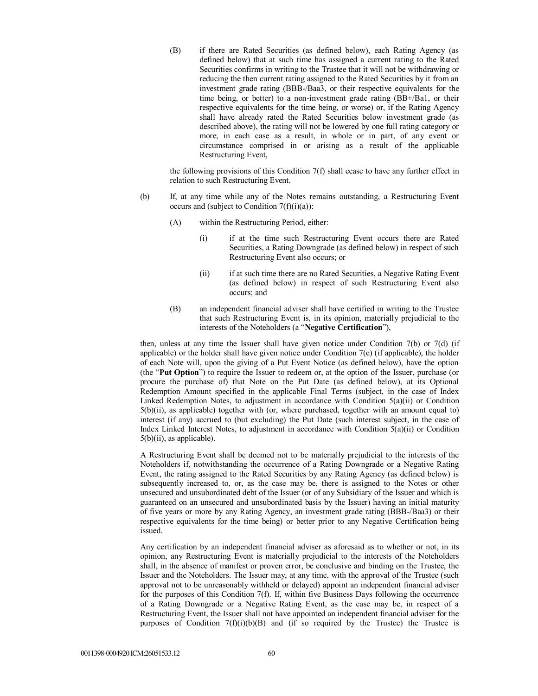(B) if there are Rated Securities (as defined below), each Rating Agency (as defined below) that at such time has assigned a current rating to the Rated Securities confirms in writing to the Trustee that it will not be withdrawing or reducing the then current rating assigned to the Rated Securities by it from an investment grade rating (BBB-/Baa3, or their respective equivalents for the time being, or better) to a non-investment grade rating (BB+/Ba1, or their respective equivalents for the time being, or worse) or, if the Rating Agency shall have already rated the Rated Securities below investment grade (as described above), the rating will not be lowered by one full rating category or more, in each case as a result, in whole or in part, of any event or circumstance comprised in or arising as a result of the applicable Restructuring Event,

the following provisions of this Condition 7(f) shall cease to have any further effect in relation to such Restructuring Event.

- (b) If, at any time while any of the Notes remains outstanding, a Restructuring Event occurs and (subject to Condition  $7(f)(i)(a)$ ):
	- (A) within the Restructuring Period, either:
		- (i) if at the time such Restructuring Event occurs there are Rated Securities, a Rating Downgrade (as defined below) in respect of such Restructuring Event also occurs; or
		- (ii) if at such time there are no Rated Securities, a Negative Rating Event (as defined below) in respect of such Restructuring Event also occurs; and
	- (B) an independent financial adviser shall have certified in writing to the Trustee that such Restructuring Event is, in its opinion, materially prejudicial to the interests of the Noteholders (a "**Negative Certification**"),

then, unless at any time the Issuer shall have given notice under Condition 7(b) or 7(d) (if applicable) or the holder shall have given notice under Condition 7(e) (if applicable), the holder of each Note will, upon the giving of a Put Event Notice (as defined below), have the option (the "**Put Option**") to require the Issuer to redeem or, at the option of the Issuer, purchase (or procure the purchase of) that Note on the Put Date (as defined below), at its Optional Redemption Amount specified in the applicable Final Terms (subject, in the case of Index Linked Redemption Notes, to adjustment in accordance with Condition  $5(a)(ii)$  or Condition 5(b)(ii), as applicable) together with (or, where purchased, together with an amount equal to) interest (if any) accrued to (but excluding) the Put Date (such interest subject, in the case of Index Linked Interest Notes, to adjustment in accordance with Condition 5(a)(ii) or Condition 5(b)(ii), as applicable).

A Restructuring Event shall be deemed not to be materially prejudicial to the interests of the Noteholders if, notwithstanding the occurrence of a Rating Downgrade or a Negative Rating Event, the rating assigned to the Rated Securities by any Rating Agency (as defined below) is subsequently increased to, or, as the case may be, there is assigned to the Notes or other unsecured and unsubordinated debt of the Issuer (or of any Subsidiary of the Issuer and which is guaranteed on an unsecured and unsubordinated basis by the Issuer) having an initial maturity of five years or more by any Rating Agency, an investment grade rating (BBB-/Baa3) or their respective equivalents for the time being) or better prior to any Negative Certification being issued.

Any certification by an independent financial adviser as aforesaid as to whether or not, in its opinion, any Restructuring Event is materially prejudicial to the interests of the Noteholders shall, in the absence of manifest or proven error, be conclusive and binding on the Trustee, the Issuer and the Noteholders. The Issuer may, at any time, with the approval of the Trustee (such approval not to be unreasonably withheld or delayed) appoint an independent financial adviser for the purposes of this Condition 7(f). If, within five Business Days following the occurrence of a Rating Downgrade or a Negative Rating Event, as the case may be, in respect of a Restructuring Event, the Issuer shall not have appointed an independent financial adviser for the purposes of Condition  $7(f)(i)(b)(B)$  and (if so required by the Trustee) the Trustee is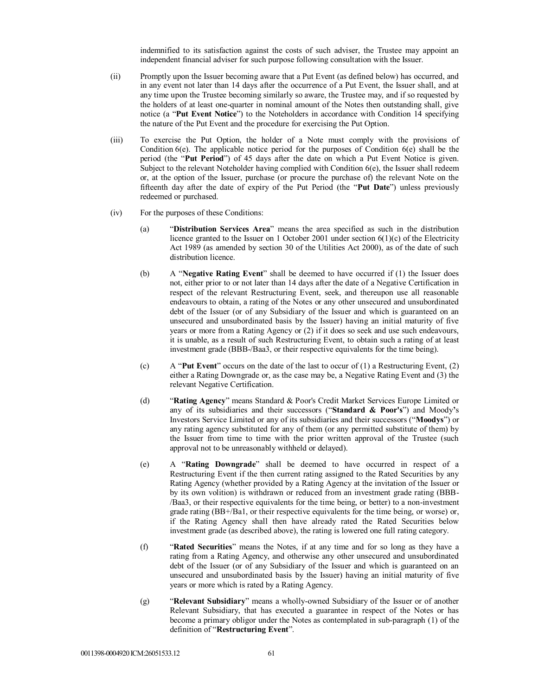indemnified to its satisfaction against the costs of such adviser, the Trustee may appoint an independent financial adviser for such purpose following consultation with the Issuer.

- (ii) Promptly upon the Issuer becoming aware that a Put Event (as defined below) has occurred, and in any event not later than 14 days after the occurrence of a Put Event, the Issuer shall, and at any time upon the Trustee becoming similarly so aware, the Trustee may, and if so requested by the holders of at least one-quarter in nominal amount of the Notes then outstanding shall, give notice (a "**Put Event Notice**") to the Noteholders in accordance with Condition 14 specifying the nature of the Put Event and the procedure for exercising the Put Option.
- (iii) To exercise the Put Option, the holder of a Note must comply with the provisions of Condition  $6(e)$ . The applicable notice period for the purposes of Condition  $6(e)$  shall be the period (the "**Put Period**") of 45 days after the date on which a Put Event Notice is given. Subject to the relevant Noteholder having complied with Condition  $6(e)$ , the Issuer shall redeem or, at the option of the Issuer, purchase (or procure the purchase of) the relevant Note on the fifteenth day after the date of expiry of the Put Period (the "**Put Date**") unless previously redeemed or purchased.
- (iv) For the purposes of these Conditions:
	- (a) "**Distribution Services Area**" means the area specified as such in the distribution licence granted to the Issuer on 1 October 2001 under section  $6(1)(c)$  of the Electricity Act 1989 (as amended by section 30 of the Utilities Act 2000), as of the date of such distribution licence.
	- (b) A "**Negative Rating Event**" shall be deemed to have occurred if (1) the Issuer does not, either prior to or not later than 14 days after the date of a Negative Certification in respect of the relevant Restructuring Event, seek, and thereupon use all reasonable endeavours to obtain, a rating of the Notes or any other unsecured and unsubordinated debt of the Issuer (or of any Subsidiary of the Issuer and which is guaranteed on an unsecured and unsubordinated basis by the Issuer) having an initial maturity of five years or more from a Rating Agency or (2) if it does so seek and use such endeavours, it is unable, as a result of such Restructuring Event, to obtain such a rating of at least investment grade (BBB-/Baa3, or their respective equivalents for the time being).
	- (c) A "**Put Event**" occurs on the date of the last to occur of (1) a Restructuring Event, (2) either a Rating Downgrade or, as the case may be, a Negative Rating Event and (3) the relevant Negative Certification.
	- (d) "**Rating Agency**" means Standard & Poor's Credit Market Services Europe Limited or any of its subsidiaries and their successors ("**Standard & Poor's**") and Moody**'**s Investors Service Limited or any of its subsidiaries and their successors ("**Moodys**") or any rating agency substituted for any of them (or any permitted substitute of them) by the Issuer from time to time with the prior written approval of the Trustee (such approval not to be unreasonably withheld or delayed).
	- (e) A "**Rating Downgrade**" shall be deemed to have occurred in respect of a Restructuring Event if the then current rating assigned to the Rated Securities by any Rating Agency (whether provided by a Rating Agency at the invitation of the Issuer or by its own volition) is withdrawn or reduced from an investment grade rating (BBB- /Baa3, or their respective equivalents for the time being, or better) to a non-investment grade rating (BB+/Ba1, or their respective equivalents for the time being, or worse) or, if the Rating Agency shall then have already rated the Rated Securities below investment grade (as described above), the rating is lowered one full rating category.
	- (f) "**Rated Securities**" means the Notes, if at any time and for so long as they have a rating from a Rating Agency, and otherwise any other unsecured and unsubordinated debt of the Issuer (or of any Subsidiary of the Issuer and which is guaranteed on an unsecured and unsubordinated basis by the Issuer) having an initial maturity of five years or more which is rated by a Rating Agency.
	- (g) "**Relevant Subsidiary**" means a wholly-owned Subsidiary of the Issuer or of another Relevant Subsidiary, that has executed a guarantee in respect of the Notes or has become a primary obligor under the Notes as contemplated in sub-paragraph (1) of the definition of "**Restructuring Event**".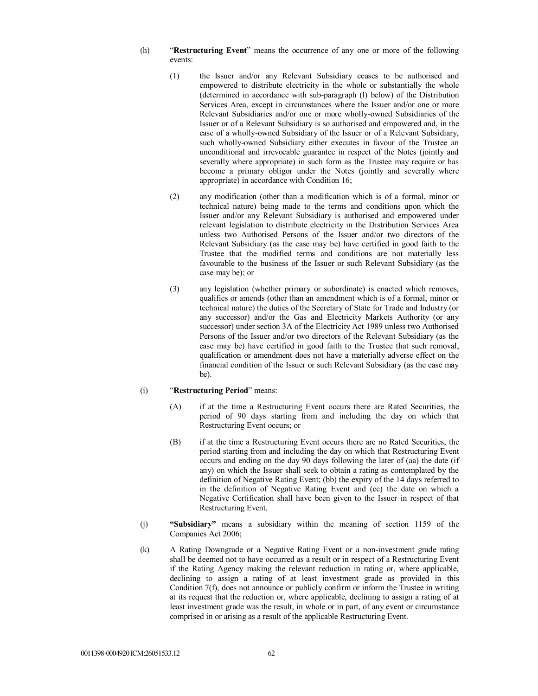- (h) "**Restructuring Event**" means the occurrence of any one or more of the following events:
	- (1) the Issuer and/or any Relevant Subsidiary ceases to be authorised and empowered to distribute electricity in the whole or substantially the whole (determined in accordance with sub-paragraph (l) below) of the Distribution Services Area, except in circumstances where the Issuer and/or one or more Relevant Subsidiaries and/or one or more wholly-owned Subsidiaries of the Issuer or of a Relevant Subsidiary is so authorised and empowered and, in the case of a wholly-owned Subsidiary of the Issuer or of a Relevant Subsidiary, such wholly-owned Subsidiary either executes in favour of the Trustee an unconditional and irrevocable guarantee in respect of the Notes (jointly and severally where appropriate) in such form as the Trustee may require or has become a primary obligor under the Notes (jointly and severally where appropriate) in accordance with Condition 16;
	- (2) any modification (other than a modification which is of a formal, minor or technical nature) being made to the terms and conditions upon which the Issuer and/or any Relevant Subsidiary is authorised and empowered under relevant legislation to distribute electricity in the Distribution Services Area unless two Authorised Persons of the Issuer and/or two directors of the Relevant Subsidiary (as the case may be) have certified in good faith to the Trustee that the modified terms and conditions are not materially less favourable to the business of the Issuer or such Relevant Subsidiary (as the case may be); or
	- (3) any legislation (whether primary or subordinate) is enacted which removes, qualifies or amends (other than an amendment which is of a formal, minor or technical nature) the duties of the Secretary of State for Trade and Industry (or any successor) and/or the Gas and Electricity Markets Authority (or any successor) under section 3A of the Electricity Act 1989 unless two Authorised Persons of the Issuer and/or two directors of the Relevant Subsidiary (as the case may be) have certified in good faith to the Trustee that such removal, qualification or amendment does not have a materially adverse effect on the financial condition of the Issuer or such Relevant Subsidiary (as the case may be).

### (i) "**Restructuring Period**" means:

- (A) if at the time a Restructuring Event occurs there are Rated Securities, the period of 90 days starting from and including the day on which that Restructuring Event occurs; or
- (B) if at the time a Restructuring Event occurs there are no Rated Securities, the period starting from and including the day on which that Restructuring Event occurs and ending on the day 90 days following the later of (aa) the date (if any) on which the Issuer shall seek to obtain a rating as contemplated by the definition of Negative Rating Event; (bb) the expiry of the 14 days referred to in the definition of Negative Rating Event and (cc) the date on which a Negative Certification shall have been given to the Issuer in respect of that Restructuring Event.
- (j) **"Subsidiary"** means a subsidiary within the meaning of section 1159 of the Companies Act 2006;
- (k) A Rating Downgrade or a Negative Rating Event or a non-investment grade rating shall be deemed not to have occurred as a result or in respect of a Restructuring Event if the Rating Agency making the relevant reduction in rating or, where applicable, declining to assign a rating of at least investment grade as provided in this Condition 7(f), does not announce or publicly confirm or inform the Trustee in writing at its request that the reduction or, where applicable, declining to assign a rating of at least investment grade was the result, in whole or in part, of any event or circumstance comprised in or arising as a result of the applicable Restructuring Event.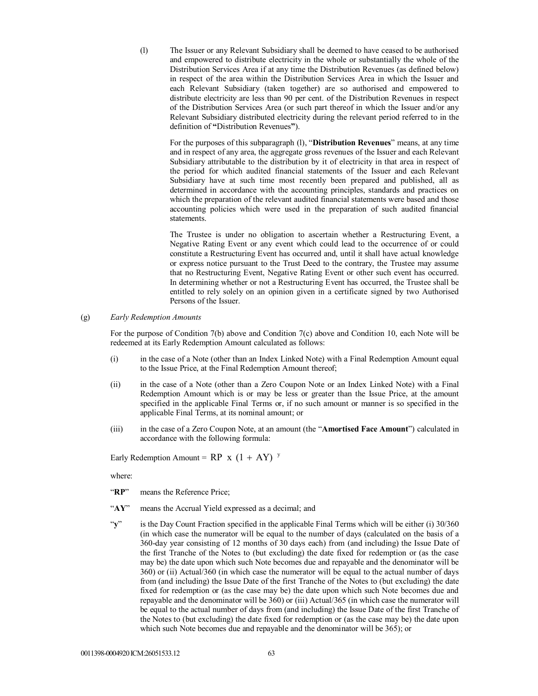(l) The Issuer or any Relevant Subsidiary shall be deemed to have ceased to be authorised and empowered to distribute electricity in the whole or substantially the whole of the Distribution Services Area if at any time the Distribution Revenues (as defined below) in respect of the area within the Distribution Services Area in which the Issuer and each Relevant Subsidiary (taken together) are so authorised and empowered to distribute electricity are less than 90 per cent. of the Distribution Revenues in respect of the Distribution Services Area (or such part thereof in which the Issuer and/or any Relevant Subsidiary distributed electricity during the relevant period referred to in the definition of **"**Distribution Revenues**"**).

For the purposes of this subparagraph (l), "**Distribution Revenues**" means, at any time and in respect of any area, the aggregate gross revenues of the Issuer and each Relevant Subsidiary attributable to the distribution by it of electricity in that area in respect of the period for which audited financial statements of the Issuer and each Relevant Subsidiary have at such time most recently been prepared and published, all as determined in accordance with the accounting principles, standards and practices on which the preparation of the relevant audited financial statements were based and those accounting policies which were used in the preparation of such audited financial statements.

The Trustee is under no obligation to ascertain whether a Restructuring Event, a Negative Rating Event or any event which could lead to the occurrence of or could constitute a Restructuring Event has occurred and, until it shall have actual knowledge or express notice pursuant to the Trust Deed to the contrary, the Trustee may assume that no Restructuring Event, Negative Rating Event or other such event has occurred. In determining whether or not a Restructuring Event has occurred, the Trustee shall be entitled to rely solely on an opinion given in a certificate signed by two Authorised Persons of the Issuer.

### (g) *Early Redemption Amounts*

For the purpose of Condition 7(b) above and Condition 7(c) above and Condition 10, each Note will be redeemed at its Early Redemption Amount calculated as follows:

- (i) in the case of a Note (other than an Index Linked Note) with a Final Redemption Amount equal to the Issue Price, at the Final Redemption Amount thereof;
- (ii) in the case of a Note (other than a Zero Coupon Note or an Index Linked Note) with a Final Redemption Amount which is or may be less or greater than the Issue Price, at the amount specified in the applicable Final Terms or, if no such amount or manner is so specified in the applicable Final Terms, at its nominal amount; or
- (iii) in the case of a Zero Coupon Note, at an amount (the "**Amortised Face Amount**") calculated in accordance with the following formula:

Early Redemption Amount =  $RP \times (1 + AY)^y$ 

where:

- "**RP**" means the Reference Price;
- "**AY**" means the Accrual Yield expressed as a decimal; and
- "**y**" is the Day Count Fraction specified in the applicable Final Terms which will be either (i) 30/360 (in which case the numerator will be equal to the number of days (calculated on the basis of a 360-day year consisting of 12 months of 30 days each) from (and including) the Issue Date of the first Tranche of the Notes to (but excluding) the date fixed for redemption or (as the case may be) the date upon which such Note becomes due and repayable and the denominator will be 360) or (ii) Actual/360 (in which case the numerator will be equal to the actual number of days from (and including) the Issue Date of the first Tranche of the Notes to (but excluding) the date fixed for redemption or (as the case may be) the date upon which such Note becomes due and repayable and the denominator will be 360) or (iii) Actual/365 (in which case the numerator will be equal to the actual number of days from (and including) the Issue Date of the first Tranche of the Notes to (but excluding) the date fixed for redemption or (as the case may be) the date upon which such Note becomes due and repayable and the denominator will be 365); or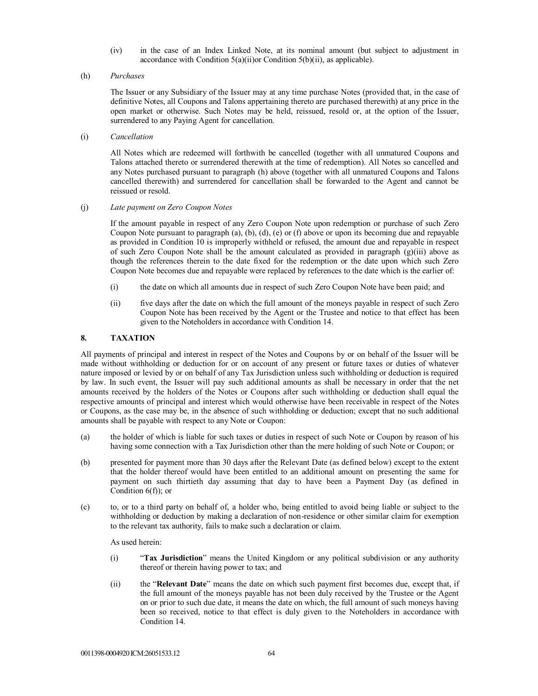(iv) in the case of an Index Linked Note, at its nominal amount (but subject to adjustment in accordance with Condition 5(a)(ii)or Condition 5(b)(ii), as applicable).

### (h) *Purchases*

The Issuer or any Subsidiary of the Issuer may at any time purchase Notes (provided that, in the case of definitive Notes, all Coupons and Talons appertaining thereto are purchased therewith) at any price in the open market or otherwise. Such Notes may be held, reissued, resold or, at the option of the Issuer, surrendered to any Paying Agent for cancellation.

(i) *Cancellation*

All Notes which are redeemed will forthwith be cancelled (together with all unmatured Coupons and Talons attached thereto or surrendered therewith at the time of redemption). All Notes so cancelled and any Notes purchased pursuant to paragraph (h) above (together with all unmatured Coupons and Talons cancelled therewith) and surrendered for cancellation shall be forwarded to the Agent and cannot be reissued or resold.

### (j) *Late payment on Zero Coupon Notes*

If the amount payable in respect of any Zero Coupon Note upon redemption or purchase of such Zero Coupon Note pursuant to paragraph (a), (b), (d), (e) or (f) above or upon its becoming due and repayable as provided in Condition 10 is improperly withheld or refused, the amount due and repayable in respect of such Zero Coupon Note shall be the amount calculated as provided in paragraph (g)(iii) above as though the references therein to the date fixed for the redemption or the date upon which such Zero Coupon Note becomes due and repayable were replaced by references to the date which is the earlier of:

- (i) the date on which all amounts due in respect of such Zero Coupon Note have been paid; and
- (ii) five days after the date on which the full amount of the moneys payable in respect of such Zero Coupon Note has been received by the Agent or the Trustee and notice to that effect has been given to the Noteholders in accordance with Condition 14.

## **8. TAXATION**

All payments of principal and interest in respect of the Notes and Coupons by or on behalf of the Issuer will be made without withholding or deduction for or on account of any present or future taxes or duties of whatever nature imposed or levied by or on behalf of any Tax Jurisdiction unless such withholding or deduction is required by law. In such event, the Issuer will pay such additional amounts as shall be necessary in order that the net amounts received by the holders of the Notes or Coupons after such withholding or deduction shall equal the respective amounts of principal and interest which would otherwise have been receivable in respect of the Notes or Coupons, as the case may be, in the absence of such withholding or deduction; except that no such additional amounts shall be payable with respect to any Note or Coupon:

- (a) the holder of which is liable for such taxes or duties in respect of such Note or Coupon by reason of his having some connection with a Tax Jurisdiction other than the mere holding of such Note or Coupon; or
- (b) presented for payment more than 30 days after the Relevant Date (as defined below) except to the extent that the holder thereof would have been entitled to an additional amount on presenting the same for payment on such thirtieth day assuming that day to have been a Payment Day (as defined in Condition  $6(f)$ ; or
- (c) to, or to a third party on behalf of, a holder who, being entitled to avoid being liable or subject to the withholding or deduction by making a declaration of non-residence or other similar claim for exemption to the relevant tax authority, fails to make such a declaration or claim.

As used herein:

- (i) "**Tax Jurisdiction**" means the United Kingdom or any political subdivision or any authority thereof or therein having power to tax; and
- (ii) the "**Relevant Date**" means the date on which such payment first becomes due, except that, if the full amount of the moneys payable has not been duly received by the Trustee or the Agent on or prior to such due date, it means the date on which, the full amount of such moneys having been so received, notice to that effect is duly given to the Noteholders in accordance with Condition 14.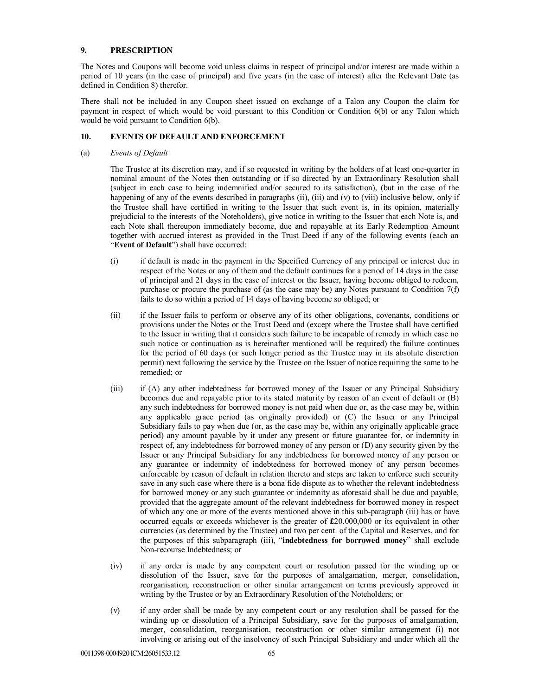## **9. PRESCRIPTION**

The Notes and Coupons will become void unless claims in respect of principal and/or interest are made within a period of 10 years (in the case of principal) and five years (in the case of interest) after the Relevant Date (as defined in Condition 8) therefor.

There shall not be included in any Coupon sheet issued on exchange of a Talon any Coupon the claim for payment in respect of which would be void pursuant to this Condition or Condition 6(b) or any Talon which would be void pursuant to Condition 6(b).

## **10. EVENTS OF DEFAULT AND ENFORCEMENT**

(a) *Events of Default*

The Trustee at its discretion may, and if so requested in writing by the holders of at least one-quarter in nominal amount of the Notes then outstanding or if so directed by an Extraordinary Resolution shall (subject in each case to being indemnified and/or secured to its satisfaction), (but in the case of the happening of any of the events described in paragraphs (ii), (iii) and (v) to (viii) inclusive below, only if the Trustee shall have certified in writing to the Issuer that such event is, in its opinion, materially prejudicial to the interests of the Noteholders), give notice in writing to the Issuer that each Note is, and each Note shall thereupon immediately become, due and repayable at its Early Redemption Amount together with accrued interest as provided in the Trust Deed if any of the following events (each an "**Event of Default**") shall have occurred:

- (i) if default is made in the payment in the Specified Currency of any principal or interest due in respect of the Notes or any of them and the default continues for a period of 14 days in the case of principal and 21 days in the case of interest or the Issuer, having become obliged to redeem, purchase or procure the purchase of (as the case may be) any Notes pursuant to Condition 7(f) fails to do so within a period of 14 days of having become so obliged; or
- (ii) if the Issuer fails to perform or observe any of its other obligations, covenants, conditions or provisions under the Notes or the Trust Deed and (except where the Trustee shall have certified to the Issuer in writing that it considers such failure to be incapable of remedy in which case no such notice or continuation as is hereinafter mentioned will be required) the failure continues for the period of 60 days (or such longer period as the Trustee may in its absolute discretion permit) next following the service by the Trustee on the Issuer of notice requiring the same to be remedied; or
- (iii) if (A) any other indebtedness for borrowed money of the Issuer or any Principal Subsidiary becomes due and repayable prior to its stated maturity by reason of an event of default or (B) any such indebtedness for borrowed money is not paid when due or, as the case may be, within any applicable grace period (as originally provided) or (C) the Issuer or any Principal Subsidiary fails to pay when due (or, as the case may be, within any originally applicable grace period) any amount payable by it under any present or future guarantee for, or indemnity in respect of, any indebtedness for borrowed money of any person or (D) any security given by the Issuer or any Principal Subsidiary for any indebtedness for borrowed money of any person or any guarantee or indemnity of indebtedness for borrowed money of any person becomes enforceable by reason of default in relation thereto and steps are taken to enforce such security save in any such case where there is a bona fide dispute as to whether the relevant indebtedness for borrowed money or any such guarantee or indemnity as aforesaid shall be due and payable, provided that the aggregate amount of the relevant indebtedness for borrowed money in respect of which any one or more of the events mentioned above in this sub-paragraph (iii) has or have occurred equals or exceeds whichever is the greater of **£**20,000,000 or its equivalent in other currencies (as determined by the Trustee) and two per cent. of the Capital and Reserves, and for the purposes of this subparagraph (iii), "**indebtedness for borrowed money**" shall exclude Non-recourse Indebtedness; or
- (iv) if any order is made by any competent court or resolution passed for the winding up or dissolution of the Issuer, save for the purposes of amalgamation, merger, consolidation, reorganisation, reconstruction or other similar arrangement on terms previously approved in writing by the Trustee or by an Extraordinary Resolution of the Noteholders; or
- (v) if any order shall be made by any competent court or any resolution shall be passed for the winding up or dissolution of a Principal Subsidiary, save for the purposes of amalgamation, merger, consolidation, reorganisation, reconstruction or other similar arrangement (i) not involving or arising out of the insolvency of such Principal Subsidiary and under which all the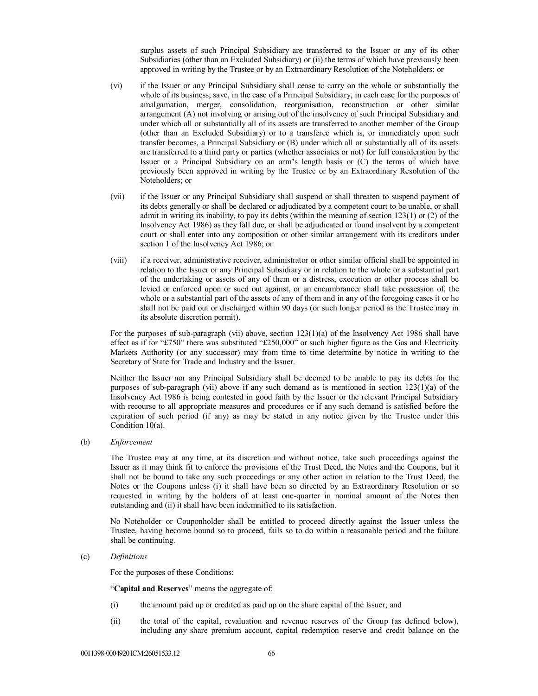surplus assets of such Principal Subsidiary are transferred to the Issuer or any of its other Subsidiaries (other than an Excluded Subsidiary) or (ii) the terms of which have previously been approved in writing by the Trustee or by an Extraordinary Resolution of the Noteholders; or

- (vi) if the Issuer or any Principal Subsidiary shall cease to carry on the whole or substantially the whole of its business, save, in the case of a Principal Subsidiary, in each case for the purposes of amalgamation, merger, consolidation, reorganisation, reconstruction or other similar arrangement (A) not involving or arising out of the insolvency of such Principal Subsidiary and under which all or substantially all of its assets are transferred to another member of the Group (other than an Excluded Subsidiary) or to a transferee which is, or immediately upon such transfer becomes, a Principal Subsidiary or (B) under which all or substantially all of its assets are transferred to a third party or parties (whether associates or not) for full consideration by the Issuer or a Principal Subsidiary on an arm**'**s length basis or (C) the terms of which have previously been approved in writing by the Trustee or by an Extraordinary Resolution of the Noteholders; or
- (vii) if the Issuer or any Principal Subsidiary shall suspend or shall threaten to suspend payment of its debts generally or shall be declared or adjudicated by a competent court to be unable, or shall admit in writing its inability, to pay its debts (within the meaning of section 123(1) or (2) of the Insolvency Act 1986) as they fall due, or shall be adjudicated or found insolvent by a competent court or shall enter into any composition or other similar arrangement with its creditors under section 1 of the Insolvency Act 1986; or
- (viii) if a receiver, administrative receiver, administrator or other similar official shall be appointed in relation to the Issuer or any Principal Subsidiary or in relation to the whole or a substantial part of the undertaking or assets of any of them or a distress, execution or other process shall be levied or enforced upon or sued out against, or an encumbrancer shall take possession of, the whole or a substantial part of the assets of any of them and in any of the foregoing cases it or he shall not be paid out or discharged within 90 days (or such longer period as the Trustee may in its absolute discretion permit).

For the purposes of sub-paragraph (vii) above, section 123(1)(a) of the Insolvency Act 1986 shall have effect as if for "£750" there was substituted "£250,000" or such higher figure as the Gas and Electricity Markets Authority (or any successor) may from time to time determine by notice in writing to the Secretary of State for Trade and Industry and the Issuer.

Neither the Issuer nor any Principal Subsidiary shall be deemed to be unable to pay its debts for the purposes of sub-paragraph (vii) above if any such demand as is mentioned in section  $123(1)(a)$  of the Insolvency Act 1986 is being contested in good faith by the Issuer or the relevant Principal Subsidiary with recourse to all appropriate measures and procedures or if any such demand is satisfied before the expiration of such period (if any) as may be stated in any notice given by the Trustee under this Condition 10(a).

(b) *Enforcement*

The Trustee may at any time, at its discretion and without notice, take such proceedings against the Issuer as it may think fit to enforce the provisions of the Trust Deed, the Notes and the Coupons, but it shall not be bound to take any such proceedings or any other action in relation to the Trust Deed, the Notes or the Coupons unless (i) it shall have been so directed by an Extraordinary Resolution or so requested in writing by the holders of at least one-quarter in nominal amount of the Notes then outstanding and (ii) it shall have been indemnified to its satisfaction.

No Noteholder or Couponholder shall be entitled to proceed directly against the Issuer unless the Trustee, having become bound so to proceed, fails so to do within a reasonable period and the failure shall be continuing.

(c) *Definitions*

For the purposes of these Conditions:

"**Capital and Reserves**" means the aggregate of:

- (i) the amount paid up or credited as paid up on the share capital of the Issuer; and
- (ii) the total of the capital, revaluation and revenue reserves of the Group (as defined below), including any share premium account, capital redemption reserve and credit balance on the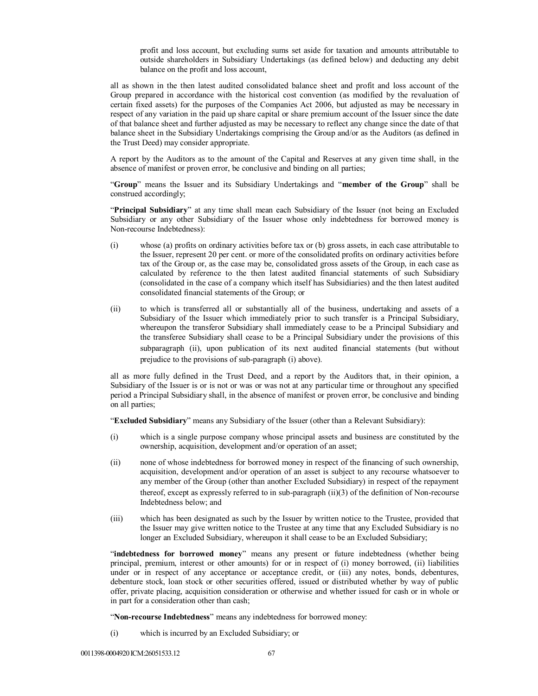profit and loss account, but excluding sums set aside for taxation and amounts attributable to outside shareholders in Subsidiary Undertakings (as defined below) and deducting any debit balance on the profit and loss account,

all as shown in the then latest audited consolidated balance sheet and profit and loss account of the Group prepared in accordance with the historical cost convention (as modified by the revaluation of certain fixed assets) for the purposes of the Companies Act 2006, but adjusted as may be necessary in respect of any variation in the paid up share capital or share premium account of the Issuer since the date of that balance sheet and further adjusted as may be necessary to reflect any change since the date of that balance sheet in the Subsidiary Undertakings comprising the Group and/or as the Auditors (as defined in the Trust Deed) may consider appropriate.

A report by the Auditors as to the amount of the Capital and Reserves at any given time shall, in the absence of manifest or proven error, be conclusive and binding on all parties;

"**Group**" means the Issuer and its Subsidiary Undertakings and "**member of the Group**" shall be construed accordingly;

"**Principal Subsidiary**" at any time shall mean each Subsidiary of the Issuer (not being an Excluded Subsidiary or any other Subsidiary of the Issuer whose only indebtedness for borrowed money is Non-recourse Indebtedness):

- (i) whose (a) profits on ordinary activities before tax or (b) gross assets, in each case attributable to the Issuer, represent 20 per cent. or more of the consolidated profits on ordinary activities before tax of the Group or, as the case may be, consolidated gross assets of the Group, in each case as calculated by reference to the then latest audited financial statements of such Subsidiary (consolidated in the case of a company which itself has Subsidiaries) and the then latest audited consolidated financial statements of the Group; or
- (ii) to which is transferred all or substantially all of the business, undertaking and assets of a Subsidiary of the Issuer which immediately prior to such transfer is a Principal Subsidiary, whereupon the transferor Subsidiary shall immediately cease to be a Principal Subsidiary and the transferee Subsidiary shall cease to be a Principal Subsidiary under the provisions of this subparagraph (ii), upon publication of its next audited financial statements (but without prejudice to the provisions of sub-paragraph (i) above).

all as more fully defined in the Trust Deed, and a report by the Auditors that, in their opinion, a Subsidiary of the Issuer is or is not or was or was not at any particular time or throughout any specified period a Principal Subsidiary shall, in the absence of manifest or proven error, be conclusive and binding on all parties;

"**Excluded Subsidiary**" means any Subsidiary of the Issuer (other than a Relevant Subsidiary):

- (i) which is a single purpose company whose principal assets and business are constituted by the ownership, acquisition, development and/or operation of an asset;
- (ii) none of whose indebtedness for borrowed money in respect of the financing of such ownership, acquisition, development and/or operation of an asset is subject to any recourse whatsoever to any member of the Group (other than another Excluded Subsidiary) in respect of the repayment thereof, except as expressly referred to in sub-paragraph (ii)(3) of the definition of Non-recourse Indebtedness below; and
- (iii) which has been designated as such by the Issuer by written notice to the Trustee, provided that the Issuer may give written notice to the Trustee at any time that any Excluded Subsidiary is no longer an Excluded Subsidiary, whereupon it shall cease to be an Excluded Subsidiary;

"**indebtedness for borrowed money**" means any present or future indebtedness (whether being principal, premium, interest or other amounts) for or in respect of (i) money borrowed, (ii) liabilities under or in respect of any acceptance or acceptance credit, or (iii) any notes, bonds, debentures, debenture stock, loan stock or other securities offered, issued or distributed whether by way of public offer, private placing, acquisition consideration or otherwise and whether issued for cash or in whole or in part for a consideration other than cash;

"**Non-recourse Indebtedness**" means any indebtedness for borrowed money:

(i) which is incurred by an Excluded Subsidiary; or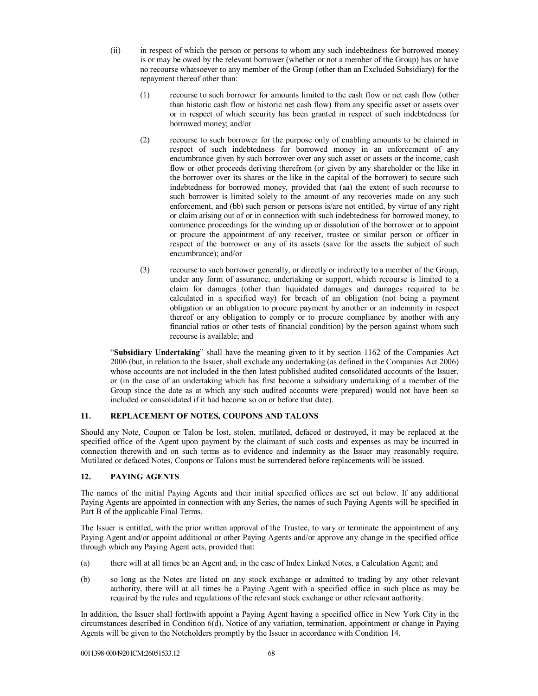- (ii) in respect of which the person or persons to whom any such indebtedness for borrowed money is or may be owed by the relevant borrower (whether or not a member of the Group) has or have no recourse whatsoever to any member of the Group (other than an Excluded Subsidiary) for the repayment thereof other than:
	- (1) recourse to such borrower for amounts limited to the cash flow or net cash flow (other than historic cash flow or historic net cash flow) from any specific asset or assets over or in respect of which security has been granted in respect of such indebtedness for borrowed money; and/or
	- (2) recourse to such borrower for the purpose only of enabling amounts to be claimed in respect of such indebtedness for borrowed money in an enforcement of any encumbrance given by such borrower over any such asset or assets or the income, cash flow or other proceeds deriving therefrom (or given by any shareholder or the like in the borrower over its shares or the like in the capital of the borrower) to secure such indebtedness for borrowed money, provided that (aa) the extent of such recourse to such borrower is limited solely to the amount of any recoveries made on any such enforcement, and (bb) such person or persons is/are not entitled, by virtue of any right or claim arising out of or in connection with such indebtedness for borrowed money, to commence proceedings for the winding up or dissolution of the borrower or to appoint or procure the appointment of any receiver, trustee or similar person or officer in respect of the borrower or any of its assets (save for the assets the subject of such encumbrance); and/or
	- (3) recourse to such borrower generally, or directly or indirectly to a member of the Group, under any form of assurance, undertaking or support, which recourse is limited to a claim for damages (other than liquidated damages and damages required to be calculated in a specified way) for breach of an obligation (not being a payment obligation or an obligation to procure payment by another or an indemnity in respect thereof or any obligation to comply or to procure compliance by another with any financial ratios or other tests of financial condition) by the person against whom such recourse is available; and

"**Subsidiary Undertaking**" shall have the meaning given to it by section 1162 of the Companies Act 2006 (but, in relation to the Issuer, shall exclude any undertaking (as defined in the Companies Act 2006) whose accounts are not included in the then latest published audited consolidated accounts of the Issuer, or (in the case of an undertaking which has first become a subsidiary undertaking of a member of the Group since the date as at which any such audited accounts were prepared) would not have been so included or consolidated if it had become so on or before that date).

## **11. REPLACEMENT OF NOTES, COUPONS AND TALONS**

Should any Note, Coupon or Talon be lost, stolen, mutilated, defaced or destroyed, it may be replaced at the specified office of the Agent upon payment by the claimant of such costs and expenses as may be incurred in connection therewith and on such terms as to evidence and indemnity as the Issuer may reasonably require. Mutilated or defaced Notes, Coupons or Talons must be surrendered before replacements will be issued.

## **12. PAYING AGENTS**

The names of the initial Paying Agents and their initial specified offices are set out below. If any additional Paying Agents are appointed in connection with any Series, the names of such Paying Agents will be specified in Part B of the applicable Final Terms.

The Issuer is entitled, with the prior written approval of the Trustee, to vary or terminate the appointment of any Paying Agent and/or appoint additional or other Paying Agents and/or approve any change in the specified office through which any Paying Agent acts, provided that:

- (a) there will at all times be an Agent and, in the case of Index Linked Notes, a Calculation Agent; and
- (b) so long as the Notes are listed on any stock exchange or admitted to trading by any other relevant authority, there will at all times be a Paying Agent with a specified office in such place as may be required by the rules and regulations of the relevant stock exchange or other relevant authority.

In addition, the Issuer shall forthwith appoint a Paying Agent having a specified office in New York City in the circumstances described in Condition 6(d). Notice of any variation, termination, appointment or change in Paying Agents will be given to the Noteholders promptly by the Issuer in accordance with Condition 14.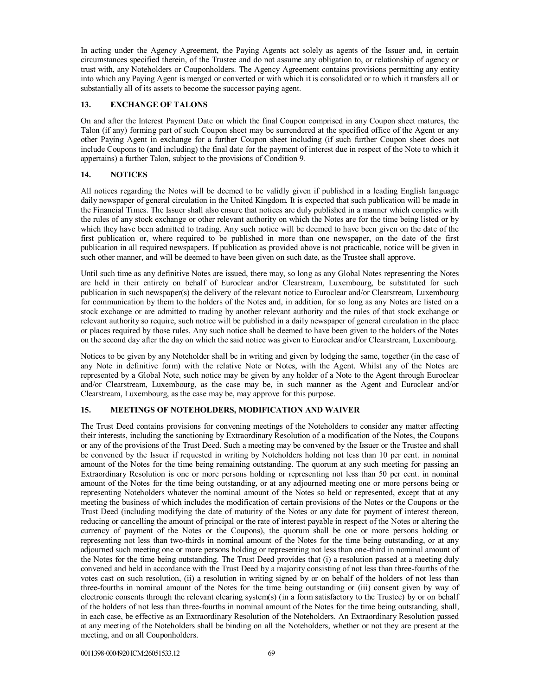In acting under the Agency Agreement, the Paying Agents act solely as agents of the Issuer and, in certain circumstances specified therein, of the Trustee and do not assume any obligation to, or relationship of agency or trust with, any Noteholders or Couponholders. The Agency Agreement contains provisions permitting any entity into which any Paying Agent is merged or converted or with which it is consolidated or to which it transfers all or substantially all of its assets to become the successor paying agent.

## **13. EXCHANGE OF TALONS**

On and after the Interest Payment Date on which the final Coupon comprised in any Coupon sheet matures, the Talon (if any) forming part of such Coupon sheet may be surrendered at the specified office of the Agent or any other Paying Agent in exchange for a further Coupon sheet including (if such further Coupon sheet does not include Coupons to (and including) the final date for the payment of interest due in respect of the Note to which it appertains) a further Talon, subject to the provisions of Condition 9.

## **14. NOTICES**

All notices regarding the Notes will be deemed to be validly given if published in a leading English language daily newspaper of general circulation in the United Kingdom. It is expected that such publication will be made in the Financial Times. The Issuer shall also ensure that notices are duly published in a manner which complies with the rules of any stock exchange or other relevant authority on which the Notes are for the time being listed or by which they have been admitted to trading. Any such notice will be deemed to have been given on the date of the first publication or, where required to be published in more than one newspaper, on the date of the first publication in all required newspapers. If publication as provided above is not practicable, notice will be given in such other manner, and will be deemed to have been given on such date, as the Trustee shall approve.

Until such time as any definitive Notes are issued, there may, so long as any Global Notes representing the Notes are held in their entirety on behalf of Euroclear and/or Clearstream, Luxembourg, be substituted for such publication in such newspaper(s) the delivery of the relevant notice to Euroclear and/or Clearstream, Luxembourg for communication by them to the holders of the Notes and, in addition, for so long as any Notes are listed on a stock exchange or are admitted to trading by another relevant authority and the rules of that stock exchange or relevant authority so require, such notice will be published in a daily newspaper of general circulation in the place or places required by those rules. Any such notice shall be deemed to have been given to the holders of the Notes on the second day after the day on which the said notice was given to Euroclear and/or Clearstream, Luxembourg.

Notices to be given by any Noteholder shall be in writing and given by lodging the same, together (in the case of any Note in definitive form) with the relative Note or Notes, with the Agent. Whilst any of the Notes are represented by a Global Note, such notice may be given by any holder of a Note to the Agent through Euroclear and/or Clearstream, Luxembourg, as the case may be, in such manner as the Agent and Euroclear and/or Clearstream, Luxembourg, as the case may be, may approve for this purpose.

## **15. MEETINGS OF NOTEHOLDERS, MODIFICATION AND WAIVER**

The Trust Deed contains provisions for convening meetings of the Noteholders to consider any matter affecting their interests, including the sanctioning by Extraordinary Resolution of a modification of the Notes, the Coupons or any of the provisions of the Trust Deed. Such a meeting may be convened by the Issuer or the Trustee and shall be convened by the Issuer if requested in writing by Noteholders holding not less than 10 per cent. in nominal amount of the Notes for the time being remaining outstanding. The quorum at any such meeting for passing an Extraordinary Resolution is one or more persons holding or representing not less than 50 per cent. in nominal amount of the Notes for the time being outstanding, or at any adjourned meeting one or more persons being or representing Noteholders whatever the nominal amount of the Notes so held or represented, except that at any meeting the business of which includes the modification of certain provisions of the Notes or the Coupons or the Trust Deed (including modifying the date of maturity of the Notes or any date for payment of interest thereon, reducing or cancelling the amount of principal or the rate of interest payable in respect of the Notes or altering the currency of payment of the Notes or the Coupons), the quorum shall be one or more persons holding or representing not less than two-thirds in nominal amount of the Notes for the time being outstanding, or at any adjourned such meeting one or more persons holding or representing not less than one-third in nominal amount of the Notes for the time being outstanding. The Trust Deed provides that (i) a resolution passed at a meeting duly convened and held in accordance with the Trust Deed by a majority consisting of not less than three-fourths of the votes cast on such resolution, (ii) a resolution in writing signed by or on behalf of the holders of not less than three-fourths in nominal amount of the Notes for the time being outstanding or (iii) consent given by way of electronic consents through the relevant clearing system(s) (in a form satisfactory to the Trustee) by or on behalf of the holders of not less than three-fourths in nominal amount of the Notes for the time being outstanding, shall, in each case, be effective as an Extraordinary Resolution of the Noteholders. An Extraordinary Resolution passed at any meeting of the Noteholders shall be binding on all the Noteholders, whether or not they are present at the meeting, and on all Couponholders.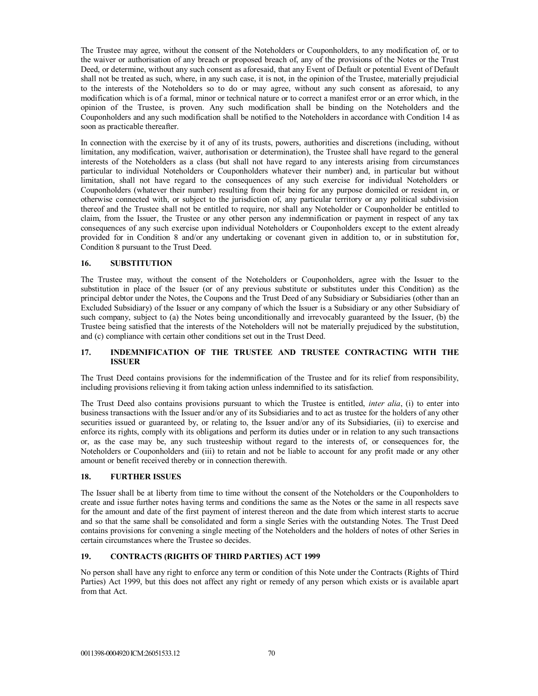The Trustee may agree, without the consent of the Noteholders or Couponholders, to any modification of, or to the waiver or authorisation of any breach or proposed breach of, any of the provisions of the Notes or the Trust Deed, or determine, without any such consent as aforesaid, that any Event of Default or potential Event of Default shall not be treated as such, where, in any such case, it is not, in the opinion of the Trustee, materially prejudicial to the interests of the Noteholders so to do or may agree, without any such consent as aforesaid, to any modification which is of a formal, minor or technical nature or to correct a manifest error or an error which, in the opinion of the Trustee, is proven. Any such modification shall be binding on the Noteholders and the Couponholders and any such modification shall be notified to the Noteholders in accordance with Condition 14 as soon as practicable thereafter.

In connection with the exercise by it of any of its trusts, powers, authorities and discretions (including, without limitation, any modification, waiver, authorisation or determination), the Trustee shall have regard to the general interests of the Noteholders as a class (but shall not have regard to any interests arising from circumstances particular to individual Noteholders or Couponholders whatever their number) and, in particular but without limitation, shall not have regard to the consequences of any such exercise for individual Noteholders or Couponholders (whatever their number) resulting from their being for any purpose domiciled or resident in, or otherwise connected with, or subject to the jurisdiction of, any particular territory or any political subdivision thereof and the Trustee shall not be entitled to require, nor shall any Noteholder or Couponholder be entitled to claim, from the Issuer, the Trustee or any other person any indemnification or payment in respect of any tax consequences of any such exercise upon individual Noteholders or Couponholders except to the extent already provided for in Condition 8 and/or any undertaking or covenant given in addition to, or in substitution for, Condition 8 pursuant to the Trust Deed.

## **16. SUBSTITUTION**

The Trustee may, without the consent of the Noteholders or Couponholders, agree with the Issuer to the substitution in place of the Issuer (or of any previous substitute or substitutes under this Condition) as the principal debtor under the Notes, the Coupons and the Trust Deed of any Subsidiary or Subsidiaries (other than an Excluded Subsidiary) of the Issuer or any company of which the Issuer is a Subsidiary or any other Subsidiary of such company, subject to (a) the Notes being unconditionally and irrevocably guaranteed by the Issuer, (b) the Trustee being satisfied that the interests of the Noteholders will not be materially prejudiced by the substitution, and (c) compliance with certain other conditions set out in the Trust Deed.

### **17. INDEMNIFICATION OF THE TRUSTEE AND TRUSTEE CONTRACTING WITH THE ISSUER**

The Trust Deed contains provisions for the indemnification of the Trustee and for its relief from responsibility, including provisions relieving it from taking action unless indemnified to its satisfaction.

The Trust Deed also contains provisions pursuant to which the Trustee is entitled, *inter alia*, (i) to enter into business transactions with the Issuer and/or any of its Subsidiaries and to act as trustee for the holders of any other securities issued or guaranteed by, or relating to, the Issuer and/or any of its Subsidiaries, (ii) to exercise and enforce its rights, comply with its obligations and perform its duties under or in relation to any such transactions or, as the case may be, any such trusteeship without regard to the interests of, or consequences for, the Noteholders or Couponholders and (iii) to retain and not be liable to account for any profit made or any other amount or benefit received thereby or in connection therewith.

### **18. FURTHER ISSUES**

The Issuer shall be at liberty from time to time without the consent of the Noteholders or the Couponholders to create and issue further notes having terms and conditions the same as the Notes or the same in all respects save for the amount and date of the first payment of interest thereon and the date from which interest starts to accrue and so that the same shall be consolidated and form a single Series with the outstanding Notes. The Trust Deed contains provisions for convening a single meeting of the Noteholders and the holders of notes of other Series in certain circumstances where the Trustee so decides.

## **19. CONTRACTS (RIGHTS OF THIRD PARTIES) ACT 1999**

No person shall have any right to enforce any term or condition of this Note under the Contracts (Rights of Third Parties) Act 1999, but this does not affect any right or remedy of any person which exists or is available apart from that Act.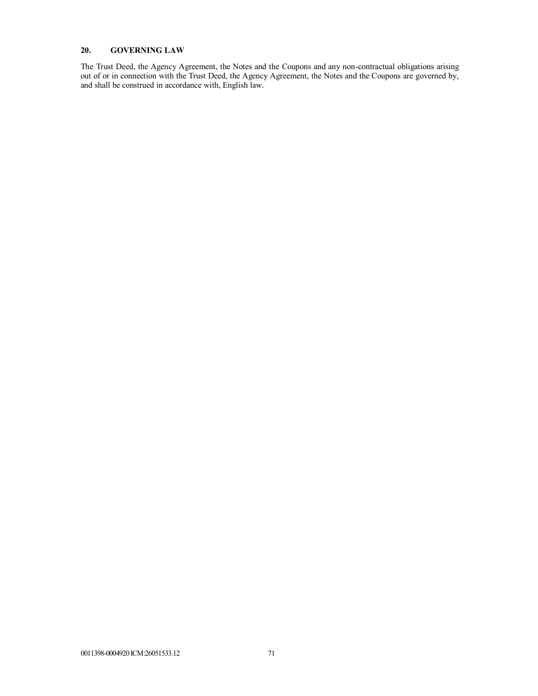# **20. GOVERNING LAW**

The Trust Deed, the Agency Agreement, the Notes and the Coupons and any non-contractual obligations arising out of or in connection with the Trust Deed, the Agency Agreement, the Notes and the Coupons are governed by, and shall be construed in accordance with, English law.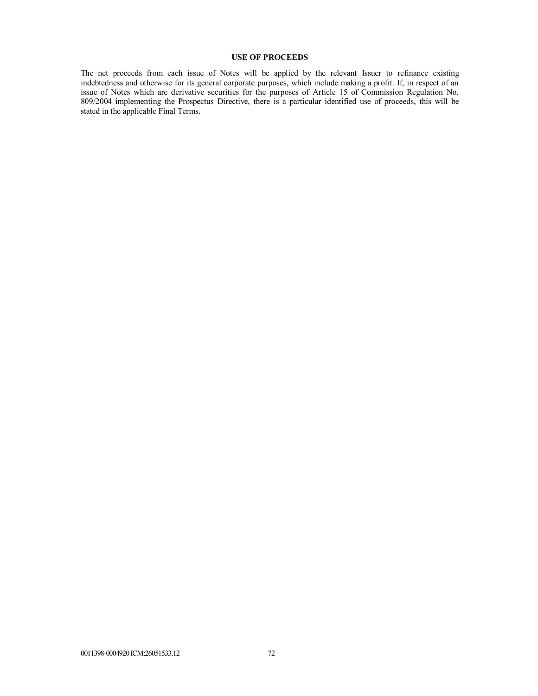# **USE OF PROCEEDS**

The net proceeds from each issue of Notes will be applied by the relevant Issuer to refinance existing indebtedness and otherwise for its general corporate purposes, which include making a profit. If, in respect of an issue of Notes which are derivative securities for the purposes of Article 15 of Commission Regulation No. 809/2004 implementing the Prospectus Directive, there is a particular identified use of proceeds, this will be stated in the applicable Final Terms.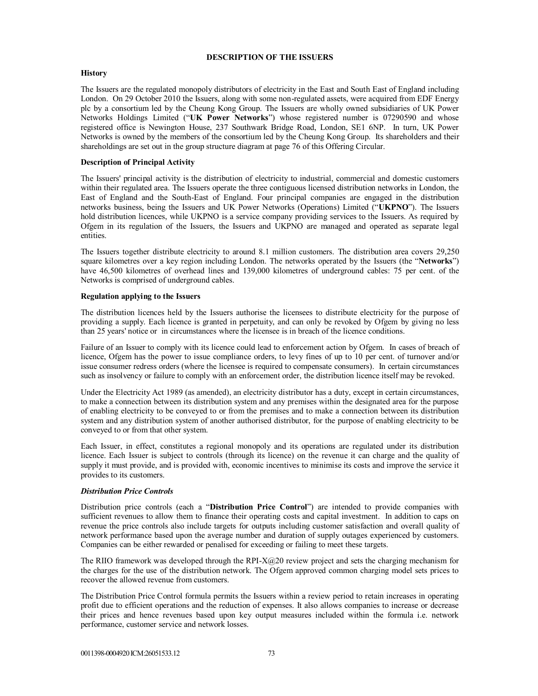## **DESCRIPTION OF THE ISSUERS**

## **History**

The Issuers are the regulated monopoly distributors of electricity in the East and South East of England including London. On 29 October 2010 the Issuers, along with some non-regulated assets, were acquired from EDF Energy plc by a consortium led by the Cheung Kong Group. The Issuers are wholly owned subsidiaries of UK Power Networks Holdings Limited ("**UK Power Networks**") whose registered number is 07290590 and whose registered office is Newington House, 237 Southwark Bridge Road, London, SE1 6NP. In turn, UK Power Networks is owned by the members of the consortium led by the Cheung Kong Group. Its shareholders and their shareholdings are set out in the group structure diagram at page 76 of this Offering Circular.

## **Description of Principal Activity**

The Issuers' principal activity is the distribution of electricity to industrial, commercial and domestic customers within their regulated area. The Issuers operate the three contiguous licensed distribution networks in London, the East of England and the South-East of England. Four principal companies are engaged in the distribution networks business, being the Issuers and UK Power Networks (Operations) Limited ("**UKPNO**"). The Issuers hold distribution licences, while UKPNO is a service company providing services to the Issuers. As required by Ofgem in its regulation of the Issuers, the Issuers and UKPNO are managed and operated as separate legal entities.

The Issuers together distribute electricity to around 8.1 million customers. The distribution area covers 29,250 square kilometres over a key region including London. The networks operated by the Issuers (the "**Networks**") have 46,500 kilometres of overhead lines and 139,000 kilometres of underground cables: 75 per cent. of the Networks is comprised of underground cables.

## **Regulation applying to the Issuers**

The distribution licences held by the Issuers authorise the licensees to distribute electricity for the purpose of providing a supply. Each licence is granted in perpetuity, and can only be revoked by Ofgem by giving no less than 25 years' notice or in circumstances where the licensee is in breach of the licence conditions.

Failure of an Issuer to comply with its licence could lead to enforcement action by Ofgem. In cases of breach of licence, Ofgem has the power to issue compliance orders, to levy fines of up to 10 per cent. of turnover and/or issue consumer redress orders (where the licensee is required to compensate consumers). In certain circumstances such as insolvency or failure to comply with an enforcement order, the distribution licence itself may be revoked.

Under the Electricity Act 1989 (as amended), an electricity distributor has a duty, except in certain circumstances, to make a connection between its distribution system and any premises within the designated area for the purpose of enabling electricity to be conveyed to or from the premises and to make a connection between its distribution system and any distribution system of another authorised distributor, for the purpose of enabling electricity to be conveyed to or from that other system.

Each Issuer, in effect, constitutes a regional monopoly and its operations are regulated under its distribution licence. Each Issuer is subject to controls (through its licence) on the revenue it can charge and the quality of supply it must provide, and is provided with, economic incentives to minimise its costs and improve the service it provides to its customers.

## *Distribution Price Controls*

Distribution price controls (each a "**Distribution Price Control**") are intended to provide companies with sufficient revenues to allow them to finance their operating costs and capital investment. In addition to caps on revenue the price controls also include targets for outputs including customer satisfaction and overall quality of network performance based upon the average number and duration of supply outages experienced by customers. Companies can be either rewarded or penalised for exceeding or failing to meet these targets.

The RIIO framework was developed through the RPI- $X@20$  review project and sets the charging mechanism for the charges for the use of the distribution network. The Ofgem approved common charging model sets prices to recover the allowed revenue from customers.

The Distribution Price Control formula permits the Issuers within a review period to retain increases in operating profit due to efficient operations and the reduction of expenses. It also allows companies to increase or decrease their prices and hence revenues based upon key output measures included within the formula i.e. network performance, customer service and network losses.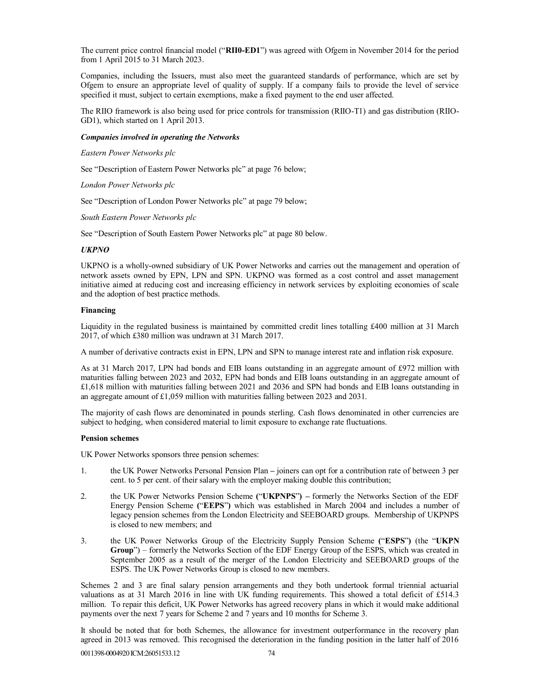The current price control financial model ("**RII0-ED1**") was agreed with Ofgem in November 2014 for the period from 1 April 2015 to 31 March 2023.

Companies, including the Issuers, must also meet the guaranteed standards of performance, which are set by Ofgem to ensure an appropriate level of quality of supply. If a company fails to provide the level of service specified it must, subject to certain exemptions, make a fixed payment to the end user affected.

The RIIO framework is also being used for price controls for transmission (RIIO-T1) and gas distribution (RIIO-GD1), which started on 1 April 2013.

#### *Companies involved in operating the Networks*

*Eastern Power Networks plc*

See "Description of Eastern Power Networks plc" at page 76 below;

*London Power Networks plc*

See "Description of London Power Networks plc" at page 79 below;

*South Eastern Power Networks plc*

See "Description of South Eastern Power Networks plc" at page 80 below.

#### *UKPNO*

UKPNO is a wholly-owned subsidiary of UK Power Networks and carries out the management and operation of network assets owned by EPN, LPN and SPN. UKPNO was formed as a cost control and asset management initiative aimed at reducing cost and increasing efficiency in network services by exploiting economies of scale and the adoption of best practice methods.

#### **Financing**

Liquidity in the regulated business is maintained by committed credit lines totalling £400 million at 31 March 2017, of which £380 million was undrawn at 31 March 2017.

A number of derivative contracts exist in EPN, LPN and SPN to manage interest rate and inflation risk exposure.

As at 31 March 2017, LPN had bonds and EIB loans outstanding in an aggregate amount of £972 million with maturities falling between 2023 and 2032, EPN had bonds and EIB loans outstanding in an aggregate amount of £1,618 million with maturities falling between 2021 and 2036 and SPN had bonds and EIB loans outstanding in an aggregate amount of £1,059 million with maturities falling between 2023 and 2031.

The majority of cash flows are denominated in pounds sterling. Cash flows denominated in other currencies are subject to hedging, when considered material to limit exposure to exchange rate fluctuations.

#### **Pension schemes**

UK Power Networks sponsors three pension schemes:

- 1. the UK Power Networks Personal Pension Plan **–** joiners can opt for a contribution rate of between 3 per cent. to 5 per cent. of their salary with the employer making double this contribution;
- 2. the UK Power Networks Pension Scheme **(**"**UKPNPS**"**) –** formerly the Networks Section of the EDF Energy Pension Scheme **(**"**EEPS**"**)** which was established in March 2004 and includes a number of legacy pension schemes from the London Electricity and SEEBOARD groups. Membership of UKPNPS is closed to new members; and
- 3. the UK Power Networks Group of the Electricity Supply Pension Scheme **(**"**ESPS**"**)** (the "**UKPN Group**") – formerly the Networks Section of the EDF Energy Group of the ESPS, which was created in September 2005 as a result of the merger of the London Electricity and SEEBOARD groups of the ESPS. The UK Power Networks Group is closed to new members.

Schemes 2 and 3 are final salary pension arrangements and they both undertook formal triennial actuarial valuations as at 31 March 2016 in line with UK funding requirements. This showed a total deficit of £514.3 million. To repair this deficit, UK Power Networks has agreed recovery plans in which it would make additional payments over the next 7 years for Scheme 2 and 7 years and 10 months for Scheme 3.

It should be noted that for both Schemes, the allowance for investment outperformance in the recovery plan agreed in 2013 was removed. This recognised the deterioration in the funding position in the latter half of 2016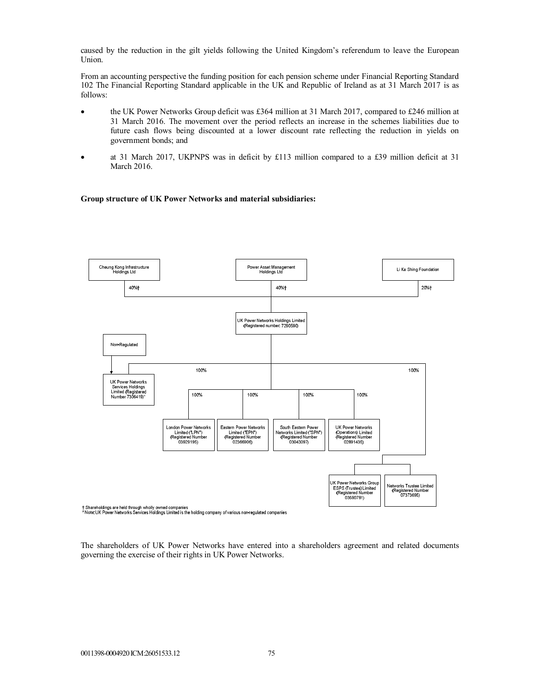caused by the reduction in the gilt yields following the United Kingdom's referendum to leave the European Union.

From an accounting perspective the funding position for each pension scheme under Financial Reporting Standard 102 The Financial Reporting Standard applicable in the UK and Republic of Ireland as at 31 March 2017 is as follows:

- the UK Power Networks Group deficit was £364 million at 31 March 2017, compared to £246 million at 31 March 2016. The movement over the period reflects an increase in the schemes liabilities due to future cash flows being discounted at a lower discount rate reflecting the reduction in yields on government bonds; and
- at 31 March 2017, UKPNPS was in deficit by £113 million compared to a £39 million deficit at 31 March 2016.

#### **Group structure of UK Power Networks and material subsidiaries:**



The shareholders of UK Power Networks have entered into a shareholders agreement and related documents governing the exercise of their rights in UK Power Networks.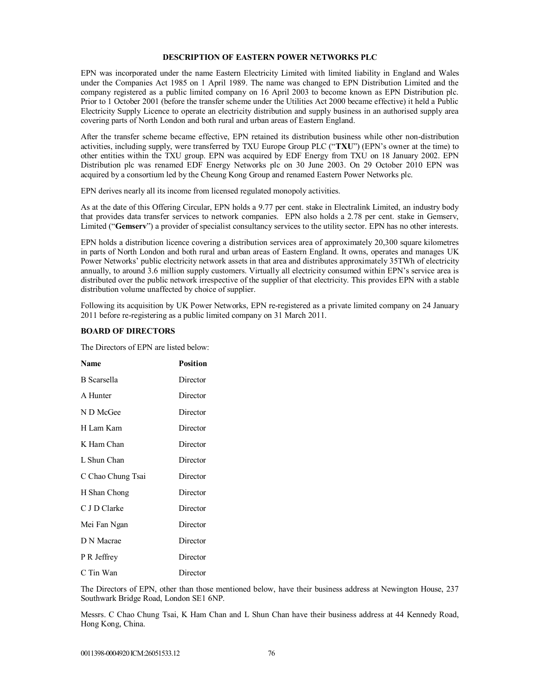## **DESCRIPTION OF EASTERN POWER NETWORKS PLC**

EPN was incorporated under the name Eastern Electricity Limited with limited liability in England and Wales under the Companies Act 1985 on 1 April 1989. The name was changed to EPN Distribution Limited and the company registered as a public limited company on 16 April 2003 to become known as EPN Distribution plc. Prior to 1 October 2001 (before the transfer scheme under the Utilities Act 2000 became effective) it held a Public Electricity Supply Licence to operate an electricity distribution and supply business in an authorised supply area covering parts of North London and both rural and urban areas of Eastern England.

After the transfer scheme became effective, EPN retained its distribution business while other non-distribution activities, including supply, were transferred by TXU Europe Group PLC ("**TXU**") (EPN's owner at the time) to other entities within the TXU group. EPN was acquired by EDF Energy from TXU on 18 January 2002. EPN Distribution plc was renamed EDF Energy Networks plc on 30 June 2003. On 29 October 2010 EPN was acquired by a consortium led by the Cheung Kong Group and renamed Eastern Power Networks plc.

EPN derives nearly all its income from licensed regulated monopoly activities.

As at the date of this Offering Circular, EPN holds a 9.77 per cent. stake in Electralink Limited, an industry body that provides data transfer services to network companies. EPN also holds a 2.78 per cent. stake in Gemserv, Limited ("**Gemserv**") a provider of specialist consultancy services to the utility sector. EPN has no other interests.

EPN holds a distribution licence covering a distribution services area of approximately 20,300 square kilometres in parts of North London and both rural and urban areas of Eastern England. It owns, operates and manages UK Power Networks' public electricity network assets in that area and distributes approximately 35TWh of electricity annually, to around 3.6 million supply customers. Virtually all electricity consumed within EPN's service area is distributed over the public network irrespective of the supplier of that electricity. This provides EPN with a stable distribution volume unaffected by choice of supplier.

Following its acquisition by UK Power Networks, EPN re-registered as a private limited company on 24 January 2011 before re-registering as a public limited company on 31 March 2011.

#### **BOARD OF DIRECTORS**

The Directors of EPN are listed below:

| <b>Name</b>        | <b>Position</b> |
|--------------------|-----------------|
| <b>B</b> Scarsella | Director        |
| A Hunter           | Director        |
| N D McGee          | Director        |
| H Lam Kam          | Director        |
| K Ham Chan         | Director        |
| L Shun Chan        | Director        |
| C Chao Chung Tsai  | Director        |
| H Shan Chong       | Director        |
| C J D Clarke       | Director        |
| Mei Fan Ngan       | Director        |
| D N Macrae         | Director        |
| P R Jeffrey        | Director        |
| C Tin Wan          | Director        |

The Directors of EPN, other than those mentioned below, have their business address at Newington House, 237 Southwark Bridge Road, London SE1 6NP.

Messrs. C Chao Chung Tsai, K Ham Chan and L Shun Chan have their business address at 44 Kennedy Road, Hong Kong, China.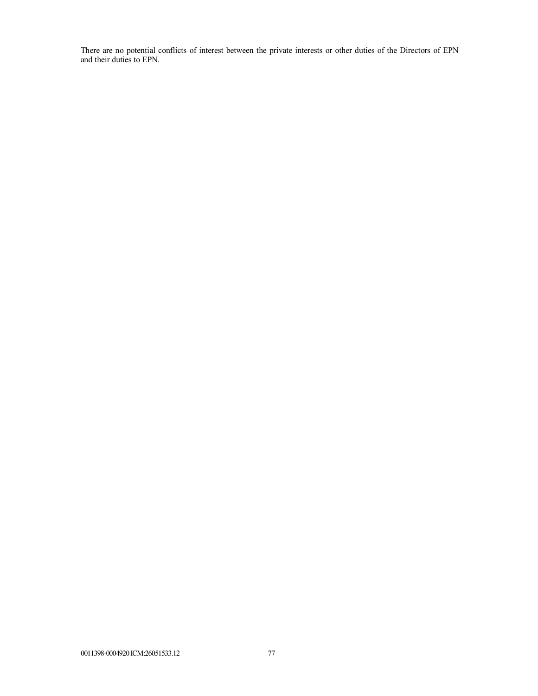There are no potential conflicts of interest between the private interests or other duties of the Directors of EPN and their duties to EPN.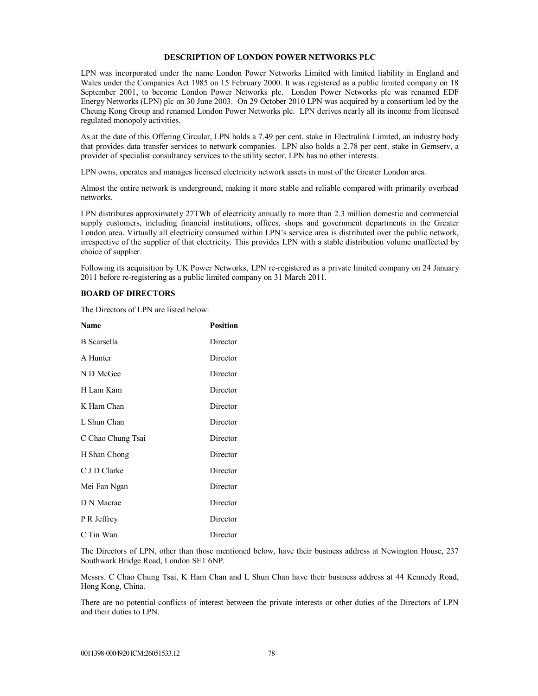## **DESCRIPTION OF LONDON POWER NETWORKS PLC**

LPN was incorporated under the name London Power Networks Limited with limited liability in England and Wales under the Companies Act 1985 on 15 February 2000. It was registered as a public limited company on 18 September 2001, to become London Power Networks plc. London Power Networks plc was renamed EDF Energy Networks (LPN) plc on 30 June 2003. On 29 October 2010 LPN was acquired by a consortium led by the Cheung Kong Group and renamed London Power Networks plc. LPN derives nearly all its income from licensed regulated monopoly activities.

As at the date of this Offering Circular, LPN holds a 7.49 per cent. stake in Electralink Limited, an industry body that provides data transfer services to network companies. LPN also holds a 2.78 per cent. stake in Gemserv, a provider of specialist consultancy services to the utility sector. LPN has no other interests.

LPN owns, operates and manages licensed electricity network assets in most of the Greater London area.

Almost the entire network is underground, making it more stable and reliable compared with primarily overhead networks.

LPN distributes approximately 27TWh of electricity annually to more than 2.3 million domestic and commercial supply customers, including financial institutions, offices, shops and government departments in the Greater London area. Virtually all electricity consumed within LPN's service area is distributed over the public network, irrespective of the supplier of that electricity. This provides LPN with a stable distribution volume unaffected by choice of supplier.

Following its acquisition by UK Power Networks, LPN re-registered as a private limited company on 24 January 2011 before re-registering as a public limited company on 31 March 2011.

## **BOARD OF DIRECTORS**

The Directors of LPN are listed below:

| <b>Name</b>        | <b>Position</b> |
|--------------------|-----------------|
| <b>B</b> Scarsella | Director        |
| A Hunter           | Director        |
| N D McGee          | Director        |
| H Lam Kam          | Director        |
| K Ham Chan         | Director        |
| L Shun Chan        | Director        |
| C Chao Chung Tsai  | Director        |
| H Shan Chong       | Director        |
| C J D Clarke       | Director        |
| Mei Fan Ngan       | Director        |
| D N Macrae         | Director        |
| P R Jeffrey        | Director        |
| C Tin Wan          | Director        |

The Directors of LPN, other than those mentioned below, have their business address at Newington House, 237 Southwark Bridge Road, London SE1 6NP.

Messrs. C Chao Chung Tsai, K Ham Chan and L Shun Chan have their business address at 44 Kennedy Road, Hong Kong, China.

There are no potential conflicts of interest between the private interests or other duties of the Directors of LPN and their duties to LPN.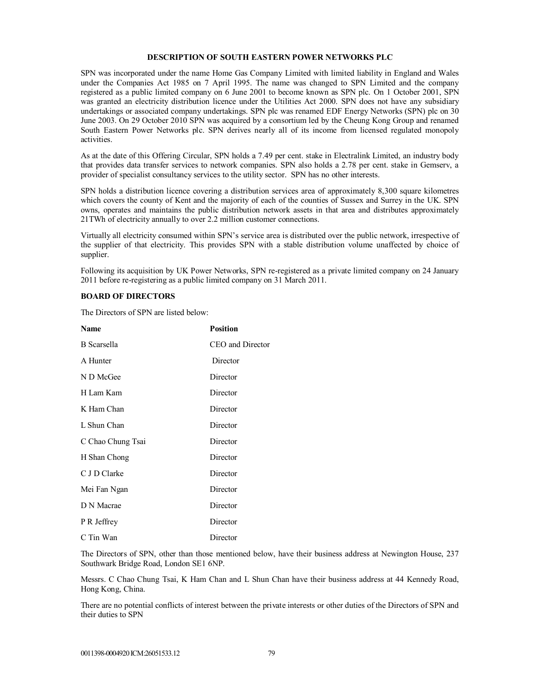## **DESCRIPTION OF SOUTH EASTERN POWER NETWORKS PLC**

SPN was incorporated under the name Home Gas Company Limited with limited liability in England and Wales under the Companies Act 1985 on 7 April 1995. The name was changed to SPN Limited and the company registered as a public limited company on 6 June 2001 to become known as SPN plc. On 1 October 2001, SPN was granted an electricity distribution licence under the Utilities Act 2000. SPN does not have any subsidiary undertakings or associated company undertakings. SPN plc was renamed EDF Energy Networks (SPN) plc on 30 June 2003. On 29 October 2010 SPN was acquired by a consortium led by the Cheung Kong Group and renamed South Eastern Power Networks plc. SPN derives nearly all of its income from licensed regulated monopoly activities.

As at the date of this Offering Circular, SPN holds a 7.49 per cent. stake in Electralink Limited, an industry body that provides data transfer services to network companies. SPN also holds a 2.78 per cent. stake in Gemserv, a provider of specialist consultancy services to the utility sector. SPN has no other interests.

SPN holds a distribution licence covering a distribution services area of approximately 8,300 square kilometres which covers the county of Kent and the majority of each of the counties of Sussex and Surrey in the UK. SPN owns, operates and maintains the public distribution network assets in that area and distributes approximately 21TWh of electricity annually to over 2.2 million customer connections.

Virtually all electricity consumed within SPN's service area is distributed over the public network, irrespective of the supplier of that electricity. This provides SPN with a stable distribution volume unaffected by choice of supplier.

Following its acquisition by UK Power Networks, SPN re-registered as a private limited company on 24 January 2011 before re-registering as a public limited company on 31 March 2011.

## **BOARD OF DIRECTORS**

| <b>Position</b>  |
|------------------|
| CEO and Director |
| Director         |
| Director         |
| Director         |
| Director         |
| Director         |
| Director         |
| Director         |
| Director         |
| Director         |
| Director         |
| Director         |
| Director         |
|                  |

The Directors of SPN are listed below:

The Directors of SPN, other than those mentioned below, have their business address at Newington House, 237 Southwark Bridge Road, London SE1 6NP.

Messrs. C Chao Chung Tsai, K Ham Chan and L Shun Chan have their business address at 44 Kennedy Road, Hong Kong, China.

There are no potential conflicts of interest between the private interests or other duties of the Directors of SPN and their duties to SPN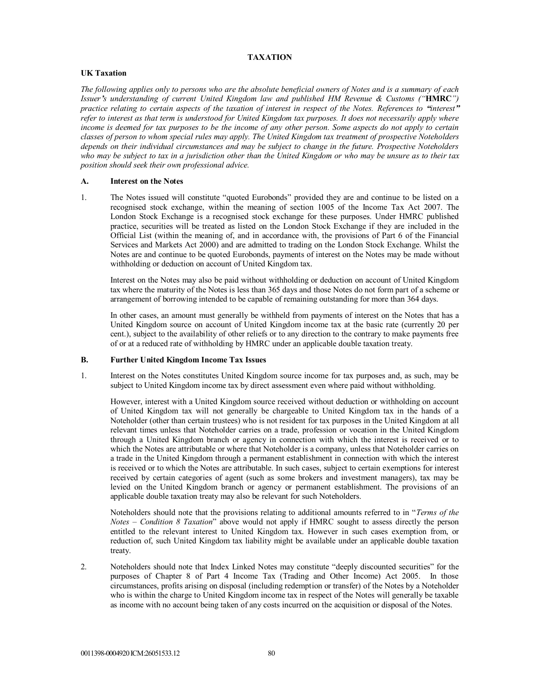## **TAXATION**

## **UK Taxation**

*The following applies only to persons who are the absolute beneficial owners of Notes and is a summary of each Issuer***'***s understanding of current United Kingdom law and published HM Revenue & Customs ("***HMRC***") practice relating to certain aspects of the taxation of interest in respect of the Notes. References to* **"***interest***"** *refer to interest as that term is understood for United Kingdom tax purposes. It does not necessarily apply where income is deemed for tax purposes to be the income of any other person. Some aspects do not apply to certain classes of person to whom special rules may apply. The United Kingdom tax treatment of prospective Noteholders depends on their individual circumstances and may be subject to change in the future. Prospective Noteholders who may be subject to tax in a jurisdiction other than the United Kingdom or who may be unsure as to their tax position should seek their own professional advice.*

#### **A. Interest on the Notes**

1. The Notes issued will constitute "quoted Eurobonds" provided they are and continue to be listed on a recognised stock exchange, within the meaning of section 1005 of the Income Tax Act 2007. The London Stock Exchange is a recognised stock exchange for these purposes. Under HMRC published practice, securities will be treated as listed on the London Stock Exchange if they are included in the Official List (within the meaning of, and in accordance with, the provisions of Part 6 of the Financial Services and Markets Act 2000) and are admitted to trading on the London Stock Exchange. Whilst the Notes are and continue to be quoted Eurobonds, payments of interest on the Notes may be made without withholding or deduction on account of United Kingdom tax.

Interest on the Notes may also be paid without withholding or deduction on account of United Kingdom tax where the maturity of the Notes is less than 365 days and those Notes do not form part of a scheme or arrangement of borrowing intended to be capable of remaining outstanding for more than 364 days.

In other cases, an amount must generally be withheld from payments of interest on the Notes that has a United Kingdom source on account of United Kingdom income tax at the basic rate (currently 20 per cent.), subject to the availability of other reliefs or to any direction to the contrary to make payments free of or at a reduced rate of withholding by HMRC under an applicable double taxation treaty.

#### **B. Further United Kingdom Income Tax Issues**

1. Interest on the Notes constitutes United Kingdom source income for tax purposes and, as such, may be subject to United Kingdom income tax by direct assessment even where paid without withholding.

However, interest with a United Kingdom source received without deduction or withholding on account of United Kingdom tax will not generally be chargeable to United Kingdom tax in the hands of a Noteholder (other than certain trustees) who is not resident for tax purposes in the United Kingdom at all relevant times unless that Noteholder carries on a trade, profession or vocation in the United Kingdom through a United Kingdom branch or agency in connection with which the interest is received or to which the Notes are attributable or where that Noteholder is a company, unless that Noteholder carries on a trade in the United Kingdom through a permanent establishment in connection with which the interest is received or to which the Notes are attributable. In such cases, subject to certain exemptions for interest received by certain categories of agent (such as some brokers and investment managers), tax may be levied on the United Kingdom branch or agency or permanent establishment. The provisions of an applicable double taxation treaty may also be relevant for such Noteholders.

Noteholders should note that the provisions relating to additional amounts referred to in "*Terms of the Notes – Condition 8 Taxation*" above would not apply if HMRC sought to assess directly the person entitled to the relevant interest to United Kingdom tax. However in such cases exemption from, or reduction of, such United Kingdom tax liability might be available under an applicable double taxation treaty.

2. Noteholders should note that Index Linked Notes may constitute "deeply discounted securities" for the purposes of Chapter 8 of Part 4 Income Tax (Trading and Other Income) Act 2005. In those circumstances, profits arising on disposal (including redemption or transfer) of the Notes by a Noteholder who is within the charge to United Kingdom income tax in respect of the Notes will generally be taxable as income with no account being taken of any costs incurred on the acquisition or disposal of the Notes.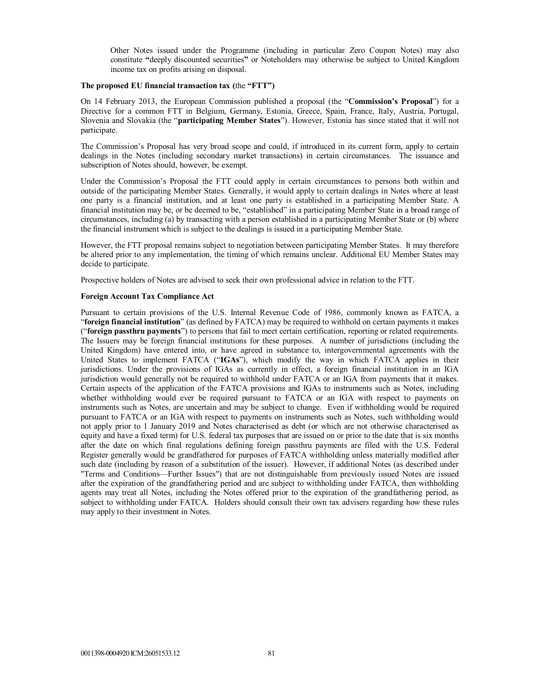Other Notes issued under the Programme (including in particular Zero Coupon Notes) may also constitute **"**deeply discounted securities**"** or Noteholders may otherwise be subject to United Kingdom income tax on profits arising on disposal.

#### **The proposed EU financial transaction tax (**the **"FTT")**

On 14 February 2013, the European Commission published a proposal (the "**Commission's Proposal**") for a Directive for a common FTT in Belgium, Germany, Estonia, Greece, Spain, France, Italy, Austria, Portugal, Slovenia and Slovakia (the "**participating Member States**"). However, Estonia has since stated that it will not participate.

The Commission's Proposal has very broad scope and could, if introduced in its current form, apply to certain dealings in the Notes (including secondary market transactions) in certain circumstances. The issuance and subscription of Notes should, however, be exempt.

Under the Commission's Proposal the FTT could apply in certain circumstances to persons both within and outside of the participating Member States. Generally, it would apply to certain dealings in Notes where at least one party is a financial institution, and at least one party is established in a participating Member State. A financial institution may be, or be deemed to be, "established" in a participating Member State in a broad range of circumstances, including (a) by transacting with a person established in a participating Member State or (b) where the financial instrument which is subject to the dealings is issued in a participating Member State.

However, the FTT proposal remains subject to negotiation between participating Member States. It may therefore be altered prior to any implementation, the timing of which remains unclear. Additional EU Member States may decide to participate.

Prospective holders of Notes are advised to seek their own professional advice in relation to the FTT.

#### **Foreign Account Tax Compliance Act**

Pursuant to certain provisions of the U.S. Internal Revenue Code of 1986, commonly known as FATCA, a "**foreign financial institution**" (as defined by FATCA) may be required to withhold on certain payments it makes ("**foreign passthru payments**") to persons that fail to meet certain certification, reporting or related requirements. The Issuers may be foreign financial institutions for these purposes. A number of jurisdictions (including the United Kingdom) have entered into, or have agreed in substance to, intergovernmental agreements with the United States to implement FATCA ("**IGAs**"), which modify the way in which FATCA applies in their jurisdictions. Under the provisions of IGAs as currently in effect, a foreign financial institution in an IGA jurisdiction would generally not be required to withhold under FATCA or an IGA from payments that it makes. Certain aspects of the application of the FATCA provisions and IGAs to instruments such as Notes, including whether withholding would ever be required pursuant to FATCA or an IGA with respect to payments on instruments such as Notes, are uncertain and may be subject to change. Even if withholding would be required pursuant to FATCA or an IGA with respect to payments on instruments such as Notes, such withholding would not apply prior to 1 January 2019 and Notes characterised as debt (or which are not otherwise characterised as equity and have a fixed term) for U.S. federal tax purposes that are issued on or prior to the date that is six months after the date on which final regulations defining foreign passthru payments are filed with the U.S. Federal Register generally would be grandfathered for purposes of FATCA withholding unless materially modified after such date (including by reason of a substitution of the issuer). However, if additional Notes (as described under "Terms and Conditions—Further Issues") that are not distinguishable from previously issued Notes are issued after the expiration of the grandfathering period and are subject to withholding under FATCA, then withholding agents may treat all Notes, including the Notes offered prior to the expiration of the grandfathering period, as subject to withholding under FATCA. Holders should consult their own tax advisers regarding how these rules may apply to their investment in Notes.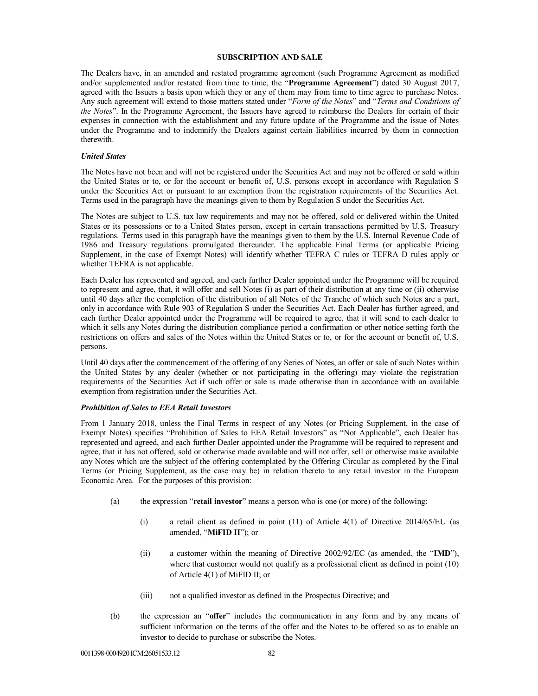## **SUBSCRIPTION AND SALE**

The Dealers have, in an amended and restated programme agreement (such Programme Agreement as modified and/or supplemented and/or restated from time to time, the "**Programme Agreement**") dated 30 August 2017, agreed with the Issuers a basis upon which they or any of them may from time to time agree to purchase Notes. Any such agreement will extend to those matters stated under "*Form of the Notes*" and "*Terms and Conditions of the Notes*". In the Programme Agreement, the Issuers have agreed to reimburse the Dealers for certain of their expenses in connection with the establishment and any future update of the Programme and the issue of Notes under the Programme and to indemnify the Dealers against certain liabilities incurred by them in connection therewith.

## *United States*

The Notes have not been and will not be registered under the Securities Act and may not be offered or sold within the United States or to, or for the account or benefit of, U.S. persons except in accordance with Regulation S under the Securities Act or pursuant to an exemption from the registration requirements of the Securities Act. Terms used in the paragraph have the meanings given to them by Regulation S under the Securities Act.

The Notes are subject to U.S. tax law requirements and may not be offered, sold or delivered within the United States or its possessions or to a United States person, except in certain transactions permitted by U.S. Treasury regulations. Terms used in this paragraph have the meanings given to them by the U.S. Internal Revenue Code of 1986 and Treasury regulations promulgated thereunder. The applicable Final Terms (or applicable Pricing Supplement, in the case of Exempt Notes) will identify whether TEFRA C rules or TEFRA D rules apply or whether TEFRA is not applicable.

Each Dealer has represented and agreed, and each further Dealer appointed under the Programme will be required to represent and agree, that, it will offer and sell Notes (i) as part of their distribution at any time or (ii) otherwise until 40 days after the completion of the distribution of all Notes of the Tranche of which such Notes are a part, only in accordance with Rule 903 of Regulation S under the Securities Act. Each Dealer has further agreed, and each further Dealer appointed under the Programme will be required to agree, that it will send to each dealer to which it sells any Notes during the distribution compliance period a confirmation or other notice setting forth the restrictions on offers and sales of the Notes within the United States or to, or for the account or benefit of, U.S. persons.

Until 40 days after the commencement of the offering of any Series of Notes, an offer or sale of such Notes within the United States by any dealer (whether or not participating in the offering) may violate the registration requirements of the Securities Act if such offer or sale is made otherwise than in accordance with an available exemption from registration under the Securities Act.

#### *Prohibition of Sales to EEA Retail Investors*

From 1 January 2018, unless the Final Terms in respect of any Notes (or Pricing Supplement, in the case of Exempt Notes) specifies "Prohibition of Sales to EEA Retail Investors" as "Not Applicable", each Dealer has represented and agreed, and each further Dealer appointed under the Programme will be required to represent and agree, that it has not offered, sold or otherwise made available and will not offer, sell or otherwise make available any Notes which are the subject of the offering contemplated by the Offering Circular as completed by the Final Terms (or Pricing Supplement, as the case may be) in relation thereto to any retail investor in the European Economic Area. For the purposes of this provision:

- (a) the expression "**retail investor**" means a person who is one (or more) of the following:
	- (i) a retail client as defined in point  $(11)$  of Article  $4(1)$  of Directive 2014/65/EU (as amended, "**MiFID II**"); or
	- (ii) a customer within the meaning of Directive 2002/92/EC (as amended, the "**IMD**"), where that customer would not qualify as a professional client as defined in point (10) of Article 4(1) of MiFID II; or
	- (iii) not a qualified investor as defined in the Prospectus Directive; and
- (b) the expression an "**offer**" includes the communication in any form and by any means of sufficient information on the terms of the offer and the Notes to be offered so as to enable an investor to decide to purchase or subscribe the Notes.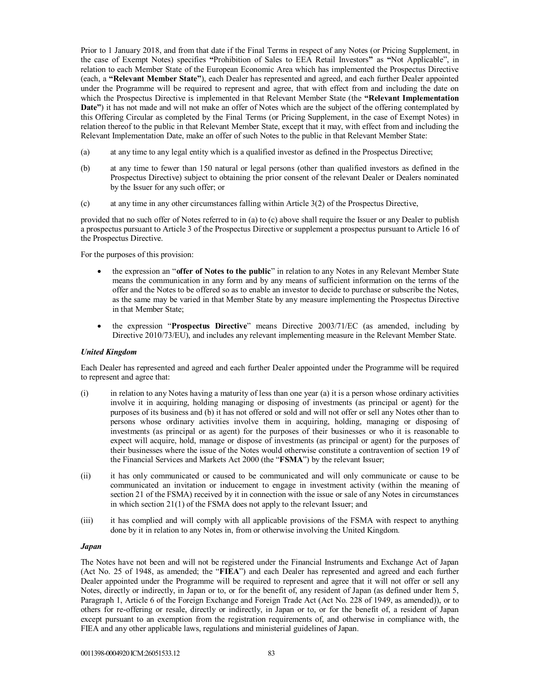Prior to 1 January 2018, and from that date if the Final Terms in respect of any Notes (or Pricing Supplement, in the case of Exempt Notes) specifies **"**Prohibition of Sales to EEA Retail Investors**"** as **"**Not Applicable", in relation to each Member State of the European Economic Area which has implemented the Prospectus Directive (each, a **"Relevant Member State"**), each Dealer has represented and agreed, and each further Dealer appointed under the Programme will be required to represent and agree, that with effect from and including the date on which the Prospectus Directive is implemented in that Relevant Member State (the **"Relevant Implementation Date"**) it has not made and will not make an offer of Notes which are the subject of the offering contemplated by this Offering Circular as completed by the Final Terms (or Pricing Supplement, in the case of Exempt Notes) in relation thereof to the public in that Relevant Member State, except that it may, with effect from and including the Relevant Implementation Date, make an offer of such Notes to the public in that Relevant Member State:

- (a) at any time to any legal entity which is a qualified investor as defined in the Prospectus Directive;
- (b) at any time to fewer than 150 natural or legal persons (other than qualified investors as defined in the Prospectus Directive) subject to obtaining the prior consent of the relevant Dealer or Dealers nominated by the Issuer for any such offer; or
- (c) at any time in any other circumstances falling within Article 3(2) of the Prospectus Directive,

provided that no such offer of Notes referred to in (a) to (c) above shall require the Issuer or any Dealer to publish a prospectus pursuant to Article 3 of the Prospectus Directive or supplement a prospectus pursuant to Article 16 of the Prospectus Directive.

For the purposes of this provision:

- the expression an "**offer of Notes to the public**" in relation to any Notes in any Relevant Member State means the communication in any form and by any means of sufficient information on the terms of the offer and the Notes to be offered so as to enable an investor to decide to purchase or subscribe the Notes, as the same may be varied in that Member State by any measure implementing the Prospectus Directive in that Member State;
- the expression "**Prospectus Directive**" means Directive 2003/71/EC (as amended, including by Directive 2010/73/EU), and includes any relevant implementing measure in the Relevant Member State.

## *United Kingdom*

Each Dealer has represented and agreed and each further Dealer appointed under the Programme will be required to represent and agree that:

- (i) in relation to any Notes having a maturity of less than one year (a) it is a person whose ordinary activities involve it in acquiring, holding managing or disposing of investments (as principal or agent) for the purposes of its business and (b) it has not offered or sold and will not offer or sell any Notes other than to persons whose ordinary activities involve them in acquiring, holding, managing or disposing of investments (as principal or as agent) for the purposes of their businesses or who it is reasonable to expect will acquire, hold, manage or dispose of investments (as principal or agent) for the purposes of their businesses where the issue of the Notes would otherwise constitute a contravention of section 19 of the Financial Services and Markets Act 2000 (the "**FSMA**") by the relevant Issuer;
- (ii) it has only communicated or caused to be communicated and will only communicate or cause to be communicated an invitation or inducement to engage in investment activity (within the meaning of section 21 of the FSMA) received by it in connection with the issue or sale of any Notes in circumstances in which section 21(1) of the FSMA does not apply to the relevant Issuer; and
- (iii) it has complied and will comply with all applicable provisions of the FSMA with respect to anything done by it in relation to any Notes in, from or otherwise involving the United Kingdom.

#### *Japan*

The Notes have not been and will not be registered under the Financial Instruments and Exchange Act of Japan (Act No. 25 of 1948, as amended; the "**FIEA**") and each Dealer has represented and agreed and each further Dealer appointed under the Programme will be required to represent and agree that it will not offer or sell any Notes, directly or indirectly, in Japan or to, or for the benefit of, any resident of Japan (as defined under Item 5, Paragraph 1, Article 6 of the Foreign Exchange and Foreign Trade Act (Act No. 228 of 1949, as amended)), or to others for re-offering or resale, directly or indirectly, in Japan or to, or for the benefit of, a resident of Japan except pursuant to an exemption from the registration requirements of, and otherwise in compliance with, the FIEA and any other applicable laws, regulations and ministerial guidelines of Japan.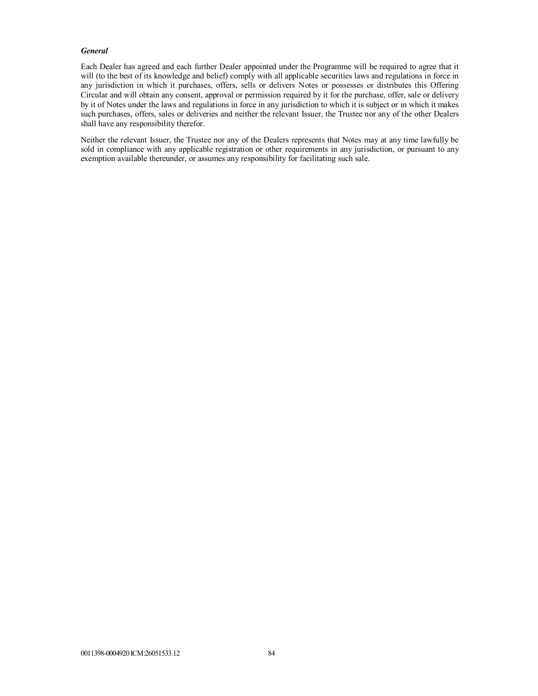#### *General*

Each Dealer has agreed and each further Dealer appointed under the Programme will be required to agree that it will (to the best of its knowledge and belief) comply with all applicable securities laws and regulations in force in any jurisdiction in which it purchases, offers, sells or delivers Notes or possesses or distributes this Offering Circular and will obtain any consent, approval or permission required by it for the purchase, offer, sale or delivery by it of Notes under the laws and regulations in force in any jurisdiction to which it is subject or in which it makes such purchases, offers, sales or deliveries and neither the relevant Issuer, the Trustee nor any of the other Dealers shall have any responsibility therefor.

Neither the relevant Issuer, the Trustee nor any of the Dealers represents that Notes may at any time lawfully be sold in compliance with any applicable registration or other requirements in any jurisdiction, or pursuant to any exemption available thereunder, or assumes any responsibility for facilitating such sale.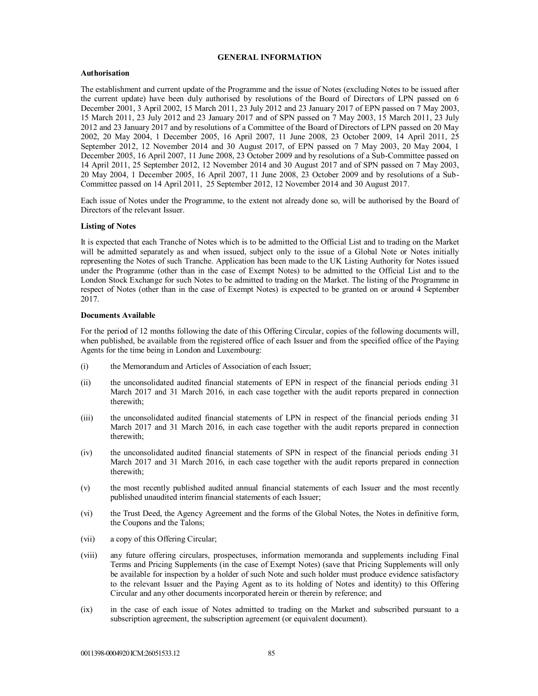## **GENERAL INFORMATION**

#### **Authorisation**

The establishment and current update of the Programme and the issue of Notes (excluding Notes to be issued after the current update) have been duly authorised by resolutions of the Board of Directors of LPN passed on 6 December 2001, 3 April 2002, 15 March 2011, 23 July 2012 and 23 January 2017 of EPN passed on 7 May 2003, 15 March 2011, 23 July 2012 and 23 January 2017 and of SPN passed on 7 May 2003, 15 March 2011, 23 July 2012 and 23 January 2017 and by resolutions of a Committee of the Board of Directors of LPN passed on 20 May 2002, 20 May 2004, 1 December 2005, 16 April 2007, 11 June 2008, 23 October 2009, 14 April 2011, 25 September 2012, 12 November 2014 and 30 August 2017, of EPN passed on 7 May 2003, 20 May 2004, 1 December 2005, 16 April 2007, 11 June 2008, 23 October 2009 and by resolutions of a Sub-Committee passed on 14 April 2011, 25 September 2012, 12 November 2014 and 30 August 2017 and of SPN passed on 7 May 2003, 20 May 2004, 1 December 2005, 16 April 2007, 11 June 2008, 23 October 2009 and by resolutions of a Sub-Committee passed on 14 April 2011, 25 September 2012, 12 November 2014 and 30 August 2017.

Each issue of Notes under the Programme, to the extent not already done so, will be authorised by the Board of Directors of the relevant Issuer.

## **Listing of Notes**

It is expected that each Tranche of Notes which is to be admitted to the Official List and to trading on the Market will be admitted separately as and when issued, subject only to the issue of a Global Note or Notes initially representing the Notes of such Tranche. Application has been made to the UK Listing Authority for Notes issued under the Programme (other than in the case of Exempt Notes) to be admitted to the Official List and to the London Stock Exchange for such Notes to be admitted to trading on the Market. The listing of the Programme in respect of Notes (other than in the case of Exempt Notes) is expected to be granted on or around 4 September 2017.

#### **Documents Available**

For the period of 12 months following the date of this Offering Circular, copies of the following documents will, when published, be available from the registered office of each Issuer and from the specified office of the Paying Agents for the time being in London and Luxembourg:

- (i) the Memorandum and Articles of Association of each Issuer;
- (ii) the unconsolidated audited financial statements of EPN in respect of the financial periods ending 31 March 2017 and 31 March 2016, in each case together with the audit reports prepared in connection therewith;
- (iii) the unconsolidated audited financial statements of LPN in respect of the financial periods ending 31 March 2017 and 31 March 2016, in each case together with the audit reports prepared in connection therewith;
- (iv) the unconsolidated audited financial statements of SPN in respect of the financial periods ending 31 March 2017 and 31 March 2016, in each case together with the audit reports prepared in connection therewith;
- (v) the most recently published audited annual financial statements of each Issuer and the most recently published unaudited interim financial statements of each Issuer;
- (vi) the Trust Deed, the Agency Agreement and the forms of the Global Notes, the Notes in definitive form, the Coupons and the Talons;
- (vii) a copy of this Offering Circular;
- (viii) any future offering circulars, prospectuses, information memoranda and supplements including Final Terms and Pricing Supplements (in the case of Exempt Notes) (save that Pricing Supplements will only be available for inspection by a holder of such Note and such holder must produce evidence satisfactory to the relevant Issuer and the Paying Agent as to its holding of Notes and identity) to this Offering Circular and any other documents incorporated herein or therein by reference; and
- (ix) in the case of each issue of Notes admitted to trading on the Market and subscribed pursuant to a subscription agreement, the subscription agreement (or equivalent document).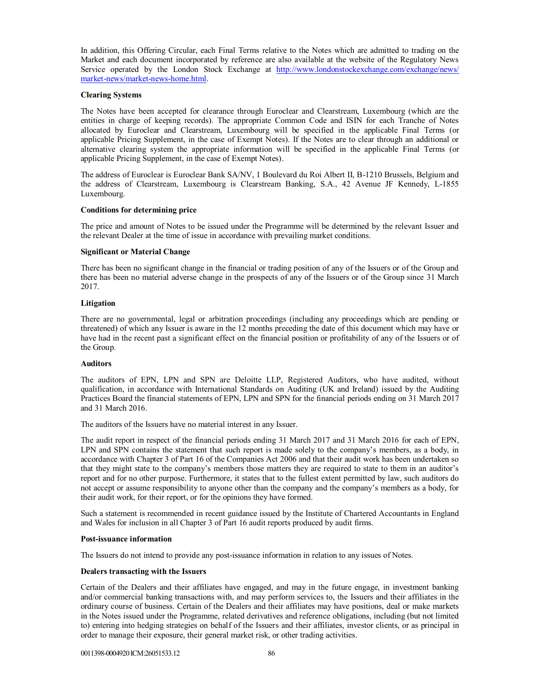In addition, this Offering Circular, each Final Terms relative to the Notes which are admitted to trading on the Market and each document incorporated by reference are also available at the website of the Regulatory News Service operated by the London Stock Exchange at http://www.londonstockexchange.com/exchange/news/ market-news/market-news-home.html.

## **Clearing Systems**

The Notes have been accepted for clearance through Euroclear and Clearstream, Luxembourg (which are the entities in charge of keeping records). The appropriate Common Code and ISIN for each Tranche of Notes allocated by Euroclear and Clearstream, Luxembourg will be specified in the applicable Final Terms (or applicable Pricing Supplement, in the case of Exempt Notes). If the Notes are to clear through an additional or alternative clearing system the appropriate information will be specified in the applicable Final Terms (or applicable Pricing Supplement, in the case of Exempt Notes).

The address of Euroclear is Euroclear Bank SA/NV, 1 Boulevard du Roi Albert II, B-1210 Brussels, Belgium and the address of Clearstream, Luxembourg is Clearstream Banking, S.A., 42 Avenue JF Kennedy, L-1855 Luxembourg.

#### **Conditions for determining price**

The price and amount of Notes to be issued under the Programme will be determined by the relevant Issuer and the relevant Dealer at the time of issue in accordance with prevailing market conditions.

## **Significant or Material Change**

There has been no significant change in the financial or trading position of any of the Issuers or of the Group and there has been no material adverse change in the prospects of any of the Issuers or of the Group since 31 March 2017.

## **Litigation**

There are no governmental, legal or arbitration proceedings (including any proceedings which are pending or threatened) of which any Issuer is aware in the 12 months preceding the date of this document which may have or have had in the recent past a significant effect on the financial position or profitability of any of the Issuers or of the Group.

#### **Auditors**

The auditors of EPN, LPN and SPN are Deloitte LLP, Registered Auditors, who have audited, without qualification, in accordance with International Standards on Auditing (UK and Ireland) issued by the Auditing Practices Board the financial statements of EPN, LPN and SPN for the financial periods ending on 31 March 2017 and 31 March 2016.

The auditors of the Issuers have no material interest in any Issuer.

The audit report in respect of the financial periods ending 31 March 2017 and 31 March 2016 for each of EPN, LPN and SPN contains the statement that such report is made solely to the company's members, as a body, in accordance with Chapter 3 of Part 16 of the Companies Act 2006 and that their audit work has been undertaken so that they might state to the company's members those matters they are required to state to them in an auditor's report and for no other purpose. Furthermore, it states that to the fullest extent permitted by law, such auditors do not accept or assume responsibility to anyone other than the company and the company's members as a body, for their audit work, for their report, or for the opinions they have formed.

Such a statement is recommended in recent guidance issued by the Institute of Chartered Accountants in England and Wales for inclusion in all Chapter 3 of Part 16 audit reports produced by audit firms.

#### **Post-issuance information**

The Issuers do not intend to provide any post-issuance information in relation to any issues of Notes.

#### **Dealers transacting with the Issuers**

Certain of the Dealers and their affiliates have engaged, and may in the future engage, in investment banking and/or commercial banking transactions with, and may perform services to, the Issuers and their affiliates in the ordinary course of business. Certain of the Dealers and their affiliates may have positions, deal or make markets in the Notes issued under the Programme, related derivatives and reference obligations, including (but not limited to) entering into hedging strategies on behalf of the Issuers and their affiliates, investor clients, or as principal in order to manage their exposure, their general market risk, or other trading activities.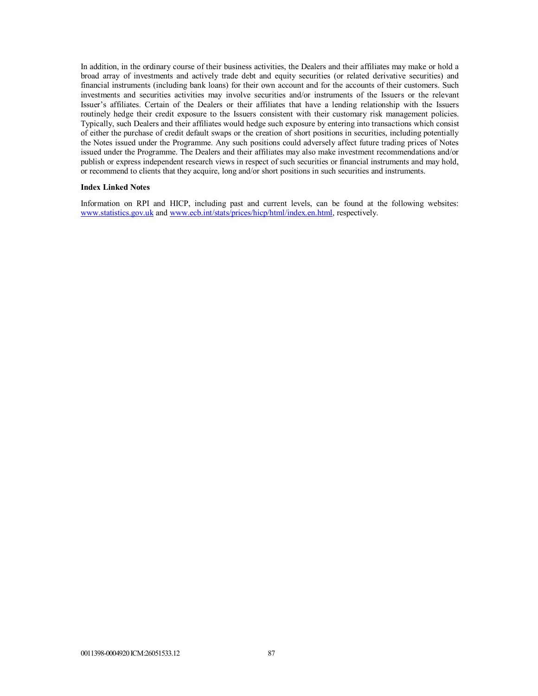In addition, in the ordinary course of their business activities, the Dealers and their affiliates may make or hold a broad array of investments and actively trade debt and equity securities (or related derivative securities) and financial instruments (including bank loans) for their own account and for the accounts of their customers. Such investments and securities activities may involve securities and/or instruments of the Issuers or the relevant Issuer's affiliates. Certain of the Dealers or their affiliates that have a lending relationship with the Issuers routinely hedge their credit exposure to the Issuers consistent with their customary risk management policies. Typically, such Dealers and their affiliates would hedge such exposure by entering into transactions which consist of either the purchase of credit default swaps or the creation of short positions in securities, including potentially the Notes issued under the Programme. Any such positions could adversely affect future trading prices of Notes issued under the Programme. The Dealers and their affiliates may also make investment recommendations and/or publish or express independent research views in respect of such securities or financial instruments and may hold, or recommend to clients that they acquire, long and/or short positions in such securities and instruments.

#### **Index Linked Notes**

Information on RPI and HICP, including past and current levels, can be found at the following websites: www.statistics.gov.uk and www.ecb.int/stats/prices/hicp/html/index.en.html, respectively.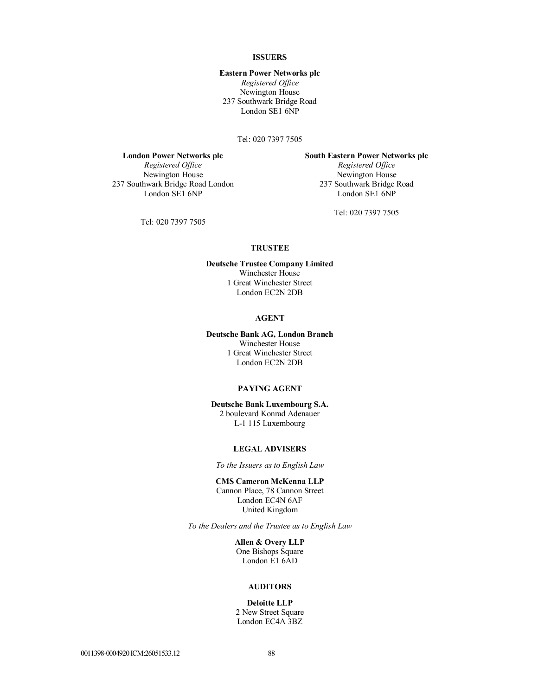## **ISSUERS**

## **Eastern Power Networks plc**

*Registered Office* Newington House 237 Southwark Bridge Road London SE1 6NP

Tel: 020 7397 7505

237 Southwark Bridge Road London<br>London SE1 6NP

**London Power Networks plc South Eastern Power Networks plc** *Registered Office Registered Office* Newington House<br>
Newington House<br>
Newington House<br>
237 Southwark Bridge Road<br>
237 Southwark Bridge Road London SE1 6NP

Tel: 020 7397 7505

Tel: 020 7397 7505

## **TRUSTEE**

**Deutsche Trustee Company Limited** Winchester House 1 Great Winchester Street London EC2N 2DB

## **AGENT**

**Deutsche Bank AG, London Branch** Winchester House 1 Great Winchester Street London EC2N 2DB

## **PAYING AGENT**

**Deutsche Bank Luxembourg S.A.** 2 boulevard Konrad Adenauer L-1 115 Luxembourg

## **LEGAL ADVISERS**

*To the Issuers as to English Law*

#### **CMS Cameron McKenna LLP**

Cannon Place, 78 Cannon Street London EC4N 6AF United Kingdom

*To the Dealers and the Trustee as to English Law*

**Allen & Overy LLP** One Bishops Square London E1 6AD

#### **AUDITORS**

**Deloitte LLP** 2 New Street Square London EC4A 3BZ